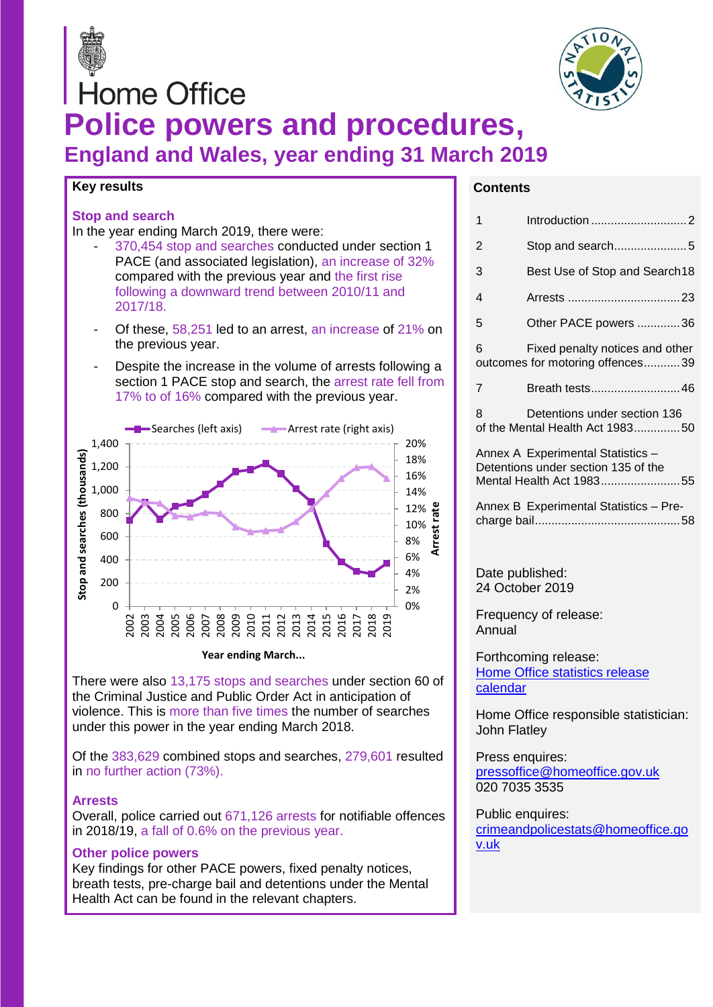



# **Home Office Police powers and procedures, England and Wales, year ending 31 March 2019**

#### **Key results**

#### **Stop and search**

In the year ending March 2019, there were:

- 370,454 stop and searches conducted under section 1 PACE (and associated legislation), an increase of 32% compared with the previous year and the first rise following a downward trend between 2010/11 and 2017/18.
- Of these, 58,251 led to an arrest, an increase of 21% on the previous year.
- Despite the increase in the volume of arrests following a section 1 PACE stop and search, the arrest rate fell from 17% to of 16% compared with the previous year.



There were also 13,175 stops and searches under section 60 of the Criminal Justice and Public Order Act in anticipation of violence. This is more than five times the number of searches

under this power in the year ending March 2018. Of the 383,629 combined stops and searches, 279,601 resulted in no further action (73%).

#### **Arrests**

Overall, police carried out 671,126 arrests for notifiable offences in 2018/19, a fall of 0.6% on the previous year.

#### **Other police powers**

Key findings for other PACE powers, fixed penalty notices, breath tests, pre-charge bail and detentions under the Mental Health Act can be found in the relevant chapters.

#### **C Contents**

| 1                                                                                                    |                                                                     |  |  |  |
|------------------------------------------------------------------------------------------------------|---------------------------------------------------------------------|--|--|--|
| 2                                                                                                    | Stop and search5                                                    |  |  |  |
| 3                                                                                                    | Best Use of Stop and Search18                                       |  |  |  |
| 4                                                                                                    |                                                                     |  |  |  |
| 5                                                                                                    | Other PACE powers 36                                                |  |  |  |
| 6                                                                                                    | Fixed penalty notices and other<br>outcomes for motoring offences39 |  |  |  |
| 7                                                                                                    | Breath tests46                                                      |  |  |  |
| 8                                                                                                    | Detentions under section 136<br>of the Mental Health Act 198350     |  |  |  |
| Annex A Experimental Statistics -<br>Detentions under section 135 of the<br>Mental Health Act 198355 |                                                                     |  |  |  |
|                                                                                                      | Annex B Experimental Statistics - Pre-                              |  |  |  |
|                                                                                                      |                                                                     |  |  |  |
| Date published:<br>24 October 2019                                                                   |                                                                     |  |  |  |
| Frequency of release:<br>Annual                                                                      |                                                                     |  |  |  |
| Forthcoming release:<br><b>Home Office statistics release</b><br>calendar                            |                                                                     |  |  |  |
| John Flatley                                                                                         | Home Office responsible statistician:                               |  |  |  |
|                                                                                                      |                                                                     |  |  |  |

Press enquires: [pressoffice@homeoffice.gov.uk](mailto:pressPublication%20informationk) 020 7035 3535

Public enquires: [crimeandpolicestats@homeoffice.go](file:///C:/Users/DavisoR1/AppData/Local/Microsoft/Windows/INetCache/Content.Outlook/XT1UXSYB/crimeandpolicestats@homeoffice.gov.uk) [v.uk](file:///C:/Users/DavisoR1/AppData/Local/Microsoft/Windows/INetCache/Content.Outlook/XT1UXSYB/crimeandpolicestats@homeoffice.gov.uk)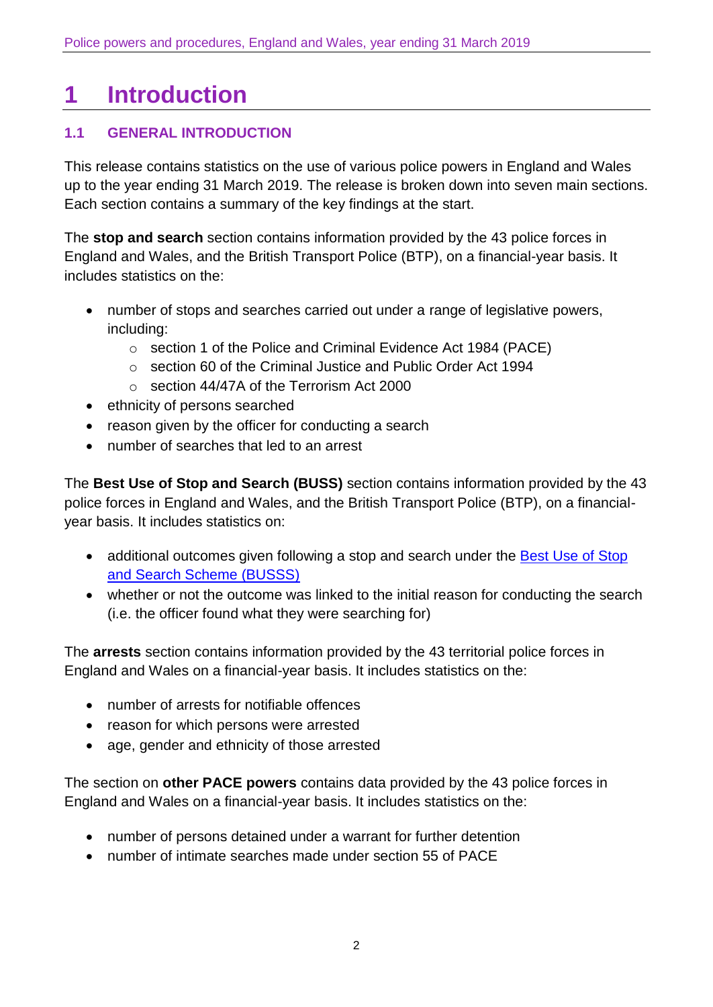# <span id="page-1-0"></span>**1 Introduction**

# **1.1 GENERAL INTRODUCTION**

This release contains statistics on the use of various police powers in England and Wales up to the year ending 31 March 2019. The release is broken down into seven main sections. Each section contains a summary of the key findings at the start.

The **stop and search** section contains information provided by the 43 police forces in England and Wales, and the British Transport Police (BTP), on a financial-year basis. It includes statistics on the:

- number of stops and searches carried out under a range of legislative powers, including:
	- o section 1 of the Police and Criminal Evidence Act 1984 (PACE)
	- o section 60 of the Criminal Justice and Public Order Act 1994
	- o section 44/47A of the Terrorism Act 2000
- ethnicity of persons searched
- reason given by the officer for conducting a search
- number of searches that led to an arrest

The **Best Use of Stop and Search (BUSS)** section contains information provided by the 43 police forces in England and Wales, and the British Transport Police (BTP), on a financialyear basis. It includes statistics on:

- additional outcomes given following a stop and search under the Best Use of Stop [and Search Scheme \(BUSSS\)](https://www.gov.uk/government/publications/best-use-of-stop-and-search-scheme)
- whether or not the outcome was linked to the initial reason for conducting the search (i.e. the officer found what they were searching for)

The **arrests** section contains information provided by the 43 territorial police forces in England and Wales on a financial-year basis. It includes statistics on the:

- number of arrests for notifiable offences
- reason for which persons were arrested
- age, gender and ethnicity of those arrested

The section on **other PACE powers** contains data provided by the 43 police forces in England and Wales on a financial-year basis. It includes statistics on the:

- number of persons detained under a warrant for further detention
- number of intimate searches made under section 55 of PACE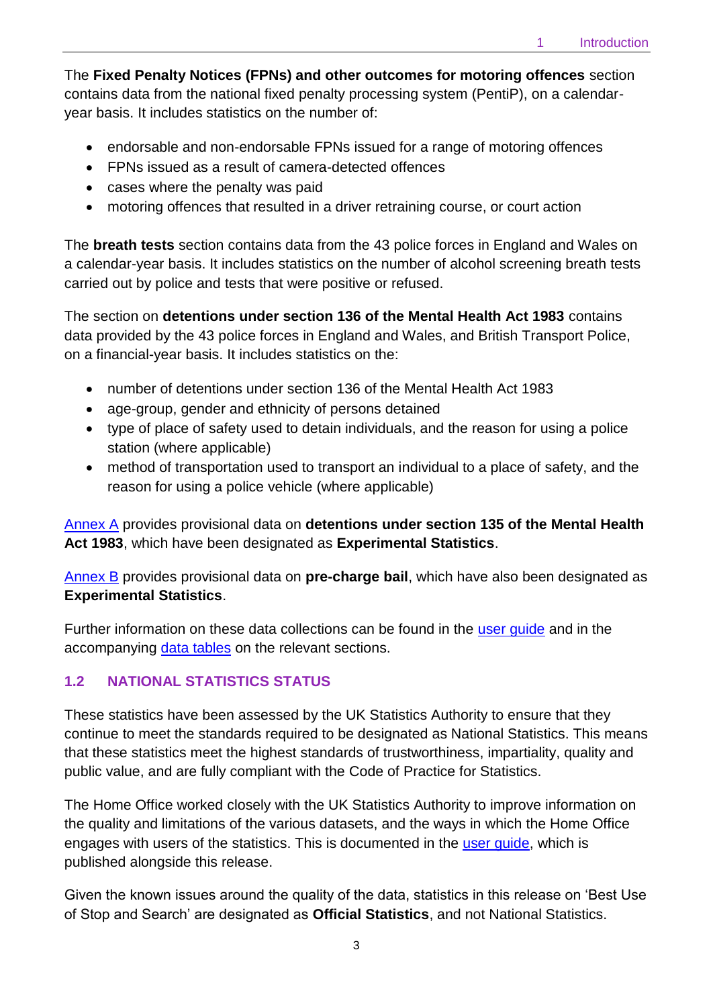The **Fixed Penalty Notices (FPNs) and other outcomes for motoring offences** section contains data from the national fixed penalty processing system (PentiP), on a calendaryear basis. It includes statistics on the number of:

- endorsable and non-endorsable FPNs issued for a range of motoring offences
- FPNs issued as a result of camera-detected offences
- cases where the penalty was paid
- motoring offences that resulted in a driver retraining course, or court action

The **breath tests** section contains data from the 43 police forces in England and Wales on a calendar-year basis. It includes statistics on the number of alcohol screening breath tests carried out by police and tests that were positive or refused.

The section on **detentions under section 136 of the Mental Health Act 1983** contains data provided by the 43 police forces in England and Wales, and British Transport Police, on a financial-year basis. It includes statistics on the:

- number of detentions under section 136 of the Mental Health Act 1983
- age-group, gender and ethnicity of persons detained
- type of place of safety used to detain individuals, and the reason for using a police station (where applicable)
- method of transportation used to transport an individual to a place of safety, and the reason for using a police vehicle (where applicable)

[Annex A](#page-54-0) provides provisional data on **detentions under section 135 of the Mental Health Act 1983**, which have been designated as **Experimental Statistics**.

[Annex B](#page-57-0) provides provisional data on **pre-charge bail**, which have also been designated as **Experimental Statistics**.

Further information on these data collections can be found in the [user guide](https://www.gov.uk/government/collections/police-powers-and-procedures-england-and-wales) and in the accompanying [data tables](https://www.gov.uk/government/statistics/police-powers-and-procedures-england-and-wales-year-ending-31-march-2019) on the relevant sections.

# **1.2 NATIONAL STATISTICS STATUS**

These statistics have been assessed by the UK Statistics Authority to ensure that they continue to meet the standards required to be designated as National Statistics. This means that these statistics meet the highest standards of trustworthiness, impartiality, quality and public value, and are fully compliant with the [Code of Practice for Statistics.](https://www.statisticsauthority.gov.uk/monitoring-and-assessment/code-of-practice/)

The Home Office worked closely with the UK Statistics Authority to improve information on the quality and limitations of the various datasets, and the ways in which the Home Office engages with users of the statistics. This is documented in the [user guide,](https://www.gov.uk/government/collections/police-powers-and-procedures-england-and-wales) which is published alongside this release.

Given the known issues around the quality of the data, statistics in this release on 'Best Use of Stop and Search' are designated as **Official Statistics**, and not National Statistics.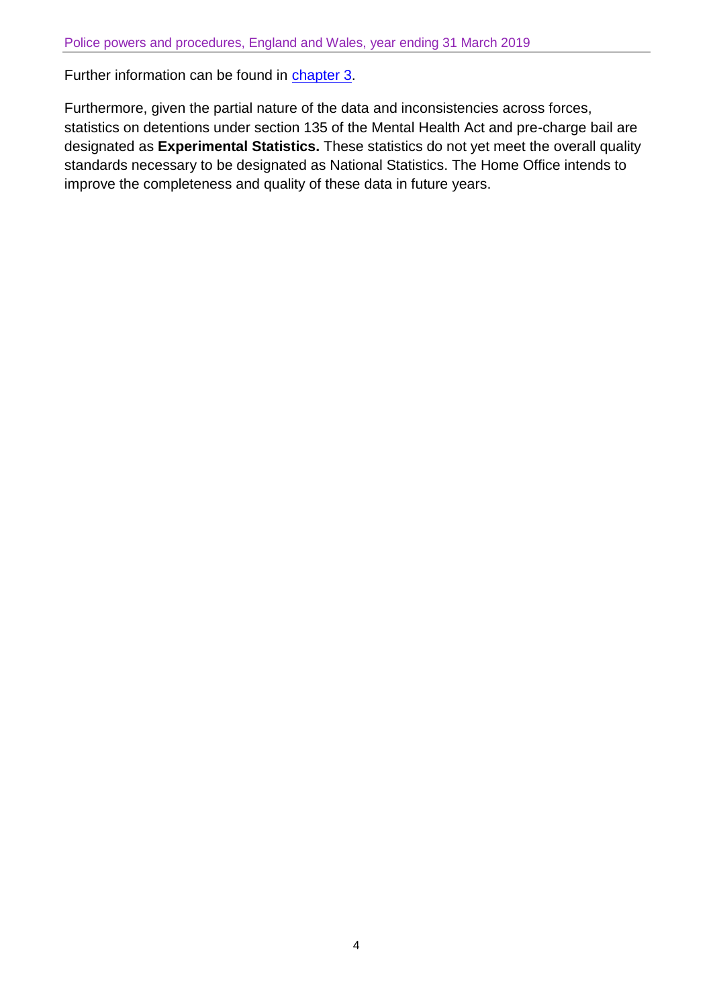Further information can be found in [chapter 3.](#page-17-0)

Furthermore, given the partial nature of the data and inconsistencies across forces, statistics on detentions under section 135 of the Mental Health Act and pre-charge bail are designated as **Experimental Statistics.** These statistics do not yet meet the overall quality standards necessary to be designated as National Statistics. The Home Office intends to improve the completeness and quality of these data in future years.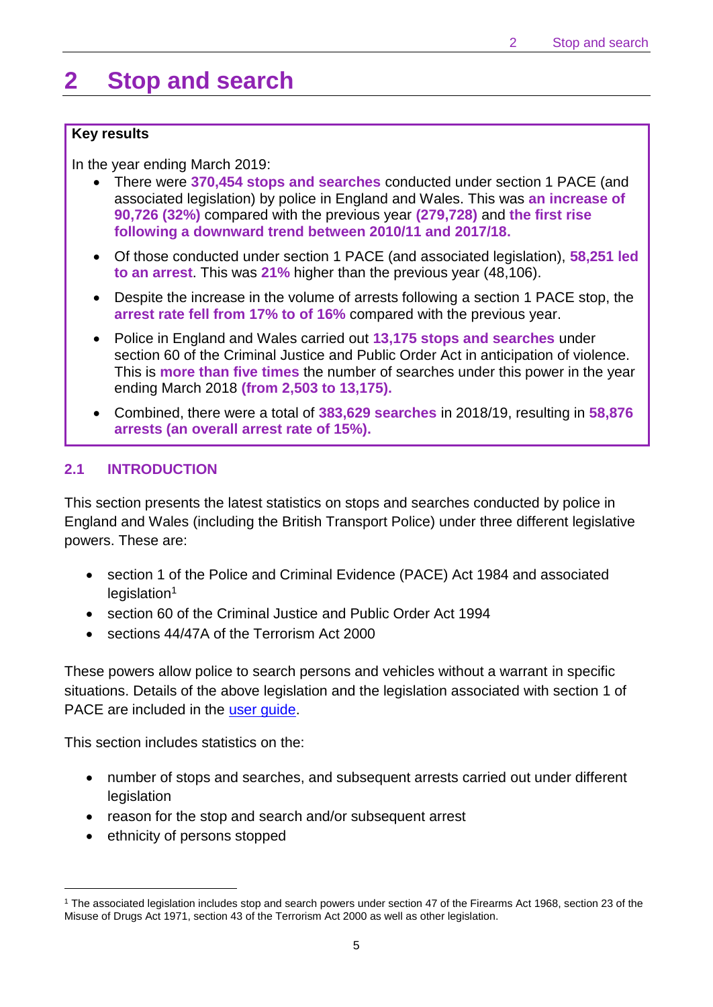# <span id="page-4-0"></span>**2 Stop and search**

#### **Key results**

In the year ending March 2019:

- There were **370,454 stops and searches** conducted under section 1 PACE (and associated legislation) by police in England and Wales. This was **an increase of 90,726 (32%)** compared with the previous year **(279,728)** and **the first rise following a downward trend between 2010/11 and 2017/18.**
- Of those conducted under section 1 PACE (and associated legislation), **58,251 led to an arrest**. This was **21%** higher than the previous year (48,106).
- Despite the increase in the volume of arrests following a section 1 PACE stop, the **arrest rate fell from 17% to of 16%** compared with the previous year.
- Police in England and Wales carried out **13,175 stops and searches** under section 60 of the Criminal Justice and Public Order Act in anticipation of violence. This is **more than five times** the number of searches under this power in the year ending March 2018 **(from 2,503 to 13,175).**
- Combined, there were a total of **383,629 searches** in 2018/19, resulting in **58,876 arrests (an overall arrest rate of 15%).**

## **2.1 INTRODUCTION**

This section presents the latest statistics on stops and searches conducted by police in England and Wales (including the British Transport Police) under three different legislative powers. These are:

- section 1 of the Police and Criminal Evidence (PACE) Act 1984 and associated  $legislation<sup>1</sup>$
- section 60 of the Criminal Justice and Public Order Act 1994
- sections 44/47A of the Terrorism Act 2000

These powers allow police to search persons and vehicles without a warrant in specific situations. Details of the above legislation and the legislation associated with section 1 of PACE are included in the user quide.

This section includes statistics on the:

- number of stops and searches, and subsequent arrests carried out under different **legislation**
- reason for the stop and search and/or subsequent arrest
- ethnicity of persons stopped

 $\overline{a}$ 

<sup>1</sup> The associated legislation includes stop and search powers under section 47 of the Firearms Act 1968, section 23 of the Misuse of Drugs Act 1971, section 43 of the Terrorism Act 2000 as well as other legislation.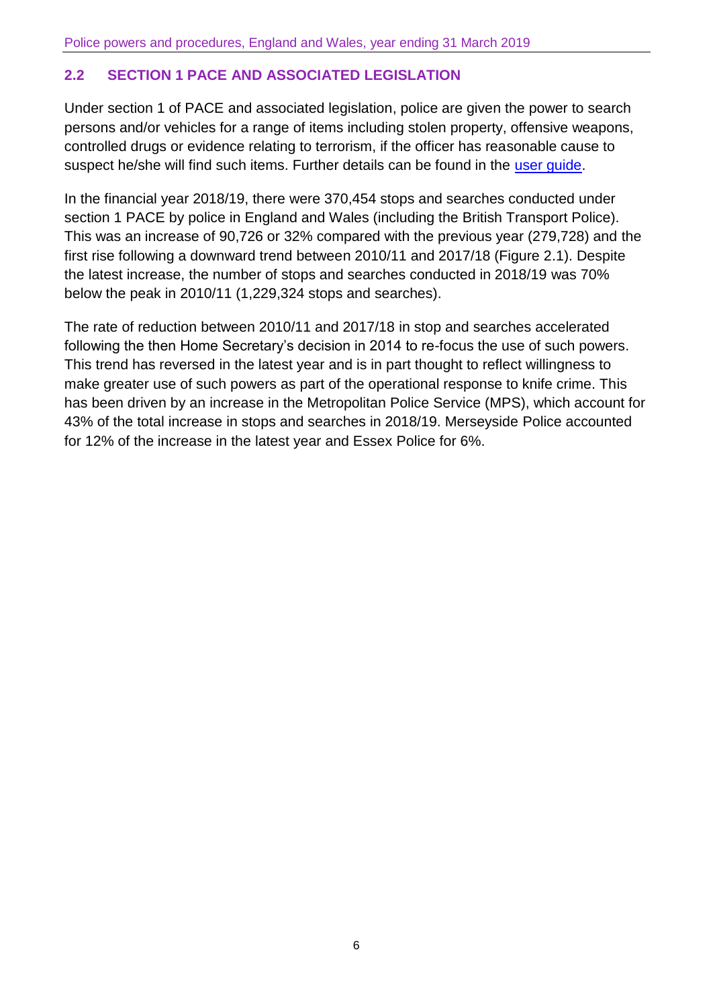# **2.2 SECTION 1 PACE AND ASSOCIATED LEGISLATION**

Under section 1 of PACE and associated legislation, police are given the power to search persons and/or vehicles for a range of items including stolen property, offensive weapons, controlled drugs or evidence relating to terrorism, if the officer has reasonable cause to suspect he/she will find such items. Further details can be found in the [user guide.](https://www.gov.uk/government/collections/police-powers-and-procedures-england-and-wales)

In the financial year 2018/19, there were 370,454 stops and searches conducted under section 1 PACE by police in England and Wales (including the British Transport Police). This was an increase of 90,726 or 32% compared with the previous year (279,728) and the first rise following a downward trend between 2010/11 and 2017/18 (Figure 2.1). Despite the latest increase, the number of stops and searches conducted in 2018/19 was 70% below the peak in 2010/11 (1,229,324 stops and searches).

The rate of reduction between 2010/11 and 2017/18 in stop and searches accelerated following the then Home Secretary's decision in 2014 to re-focus the use of such powers. This trend has reversed in the latest year and is in part thought to reflect willingness to make greater use of such powers as part of the operational response to knife crime. This has been driven by an increase in the Metropolitan Police Service (MPS), which account for 43% of the total increase in stops and searches in 2018/19. Merseyside Police accounted for 12% of the increase in the latest year and Essex Police for 6%.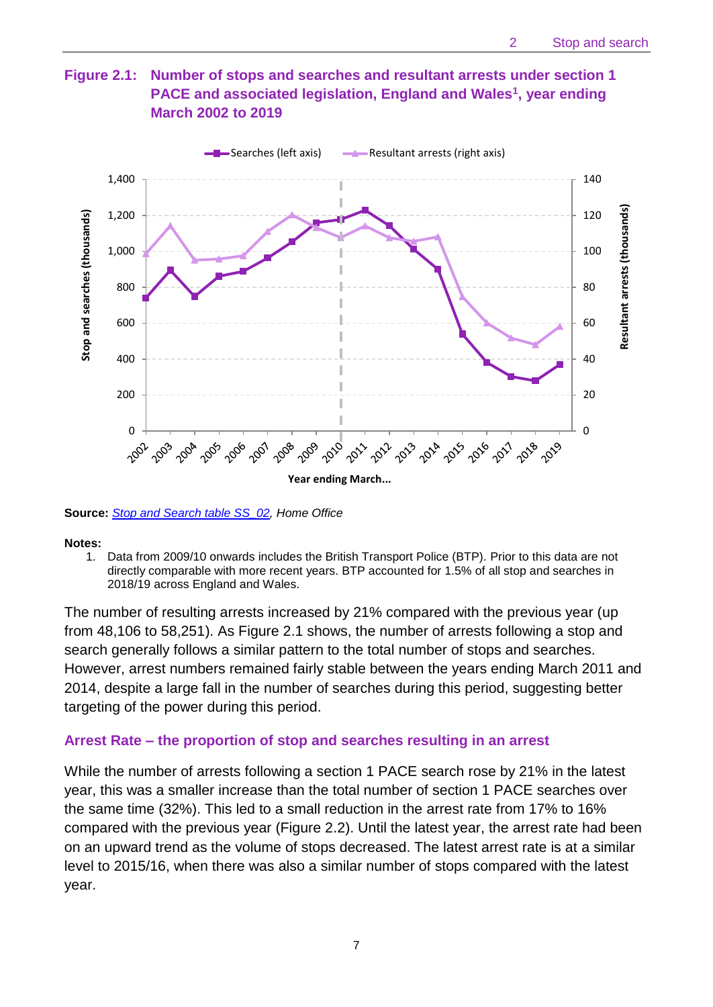## **Figure 2.1: Number of stops and searches and resultant arrests under section 1 PACE and associated legislation, England and Wales<sup>1</sup> , year ending March 2002 to 2019**



**Source:** *[Stop and Search table SS\\_02,](https://www.gov.uk/government/statistics/police-powers-and-procedures-england-and-wales-year-ending-31-march-2019) Home Office*

#### **Notes:**

1. Data from 2009/10 onwards includes the British Transport Police (BTP). Prior to this data are not directly comparable with more recent years. BTP accounted for 1.5% of all stop and searches in 2018/19 across England and Wales.

The number of resulting arrests increased by 21% compared with the previous year (up from 48,106 to 58,251). As Figure 2.1 shows, the number of arrests following a stop and search generally follows a similar pattern to the total number of stops and searches. However, arrest numbers remained fairly stable between the years ending March 2011 and 2014, despite a large fall in the number of searches during this period, suggesting better targeting of the power during this period.

#### **Arrest Rate – the proportion of stop and searches resulting in an arrest**

While the number of arrests following a section 1 PACE search rose by 21% in the latest year, this was a smaller increase than the total number of section 1 PACE searches over the same time (32%). This led to a small reduction in the arrest rate from 17% to 16% compared with the previous year (Figure 2.2). Until the latest year, the arrest rate had been on an upward trend as the volume of stops decreased. The latest arrest rate is at a similar level to 2015/16, when there was also a similar number of stops compared with the latest year.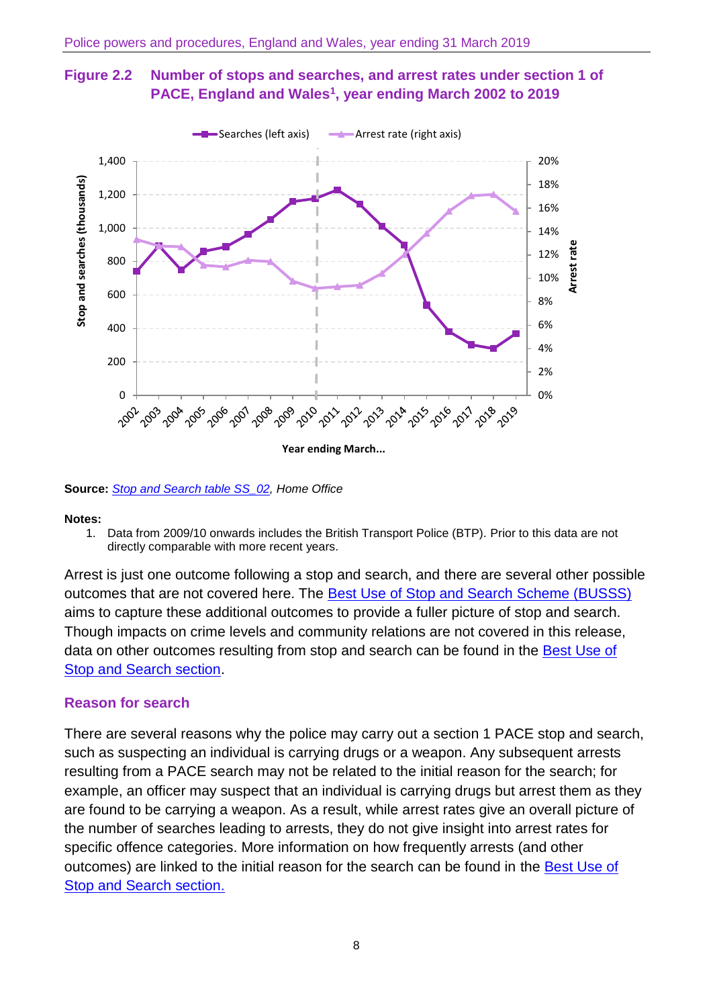



**Source:** *[Stop and Search table SS\\_02,](https://www.gov.uk/government/statistics/police-powers-and-procedures-england-and-wales-year-ending-31-march-2019) Home Office*

#### **Notes:**

1. Data from 2009/10 onwards includes the British Transport Police (BTP). Prior to this data are not directly comparable with more recent years.

Arrest is just one outcome following a stop and search, and there are several other possible outcomes that are not covered here. The [Best Use of Stop and Search Scheme \(BUSSS\)](https://www.gov.uk/government/publications/best-use-of-stop-and-search-scheme) aims to capture these additional outcomes to provide a fuller picture of stop and search. Though impacts on crime levels and community relations are not covered in this release, data on other outcomes resulting from stop and search can be found in the Best Use of [Stop and Search section.](#page-17-0)

#### **Reason for search**

There are several reasons why the police may carry out a section 1 PACE stop and search, such as suspecting an individual is carrying drugs or a weapon. Any subsequent arrests resulting from a PACE search may not be related to the initial reason for the search; for example, an officer may suspect that an individual is carrying drugs but arrest them as they are found to be carrying a weapon. As a result, while arrest rates give an overall picture of the number of searches leading to arrests, they do not give insight into arrest rates for specific offence categories. More information on how frequently arrests (and other outcomes) are linked to the initial reason for the search can be found in the **Best Use of** [Stop and Search section.](#page-17-0)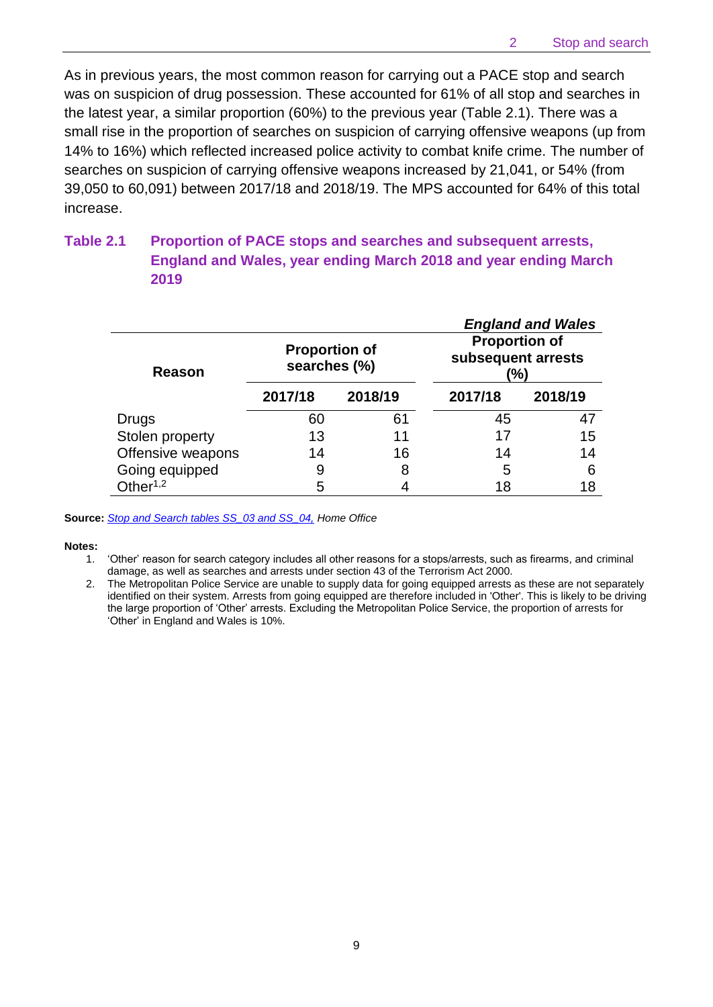As in previous years, the most common reason for carrying out a PACE stop and search was on suspicion of drug possession. These accounted for 61% of all stop and searches in the latest year, a similar proportion (60%) to the previous year (Table 2.1). There was a small rise in the proportion of searches on suspicion of carrying offensive weapons (up from 14% to 16%) which reflected increased police activity to combat knife crime. The number of searches on suspicion of carrying offensive weapons increased by 21,041, or 54% (from 39,050 to 60,091) between 2017/18 and 2018/19. The MPS accounted for 64% of this total increase.

## **Table 2.1 Proportion of PACE stops and searches and subsequent arrests, England and Wales, year ending March 2018 and year ending March 2019**

|                   |                                      |         |                                                   | <b>England and Wales</b> |
|-------------------|--------------------------------------|---------|---------------------------------------------------|--------------------------|
| Reason            | <b>Proportion of</b><br>searches (%) |         | <b>Proportion of</b><br>subsequent arrests<br>(%) |                          |
|                   | 2017/18                              | 2018/19 | 2017/18                                           | 2018/19                  |
| <b>Drugs</b>      | 60                                   | 61      | 45                                                | 47                       |
| Stolen property   | 13                                   | 11      | 17                                                | 15                       |
| Offensive weapons | 14                                   | 16      | 14                                                | 14                       |
| Going equipped    | 9                                    | 8       | 5                                                 | 6                        |
| Other $1,2$       | 5                                    |         | 18                                                | 18                       |

**Source:** *[Stop and Search tables SS\\_03 and SS\\_04,](https://www.gov.uk/government/statistics/police-powers-and-procedures-england-and-wales-year-ending-31-march-2019) Home Office*

#### **Notes:**

1. 'Other' reason for search category includes all other reasons for a stops/arrests, such as firearms, and criminal damage, as well as searches and arrests under section 43 of the Terrorism Act 2000.

2. The Metropolitan Police Service are unable to supply data for going equipped arrests as these are not separately identified on their system. Arrests from going equipped are therefore included in 'Other'. This is likely to be driving the large proportion of 'Other' arrests. Excluding the Metropolitan Police Service, the proportion of arrests for 'Other' in England and Wales is 10%.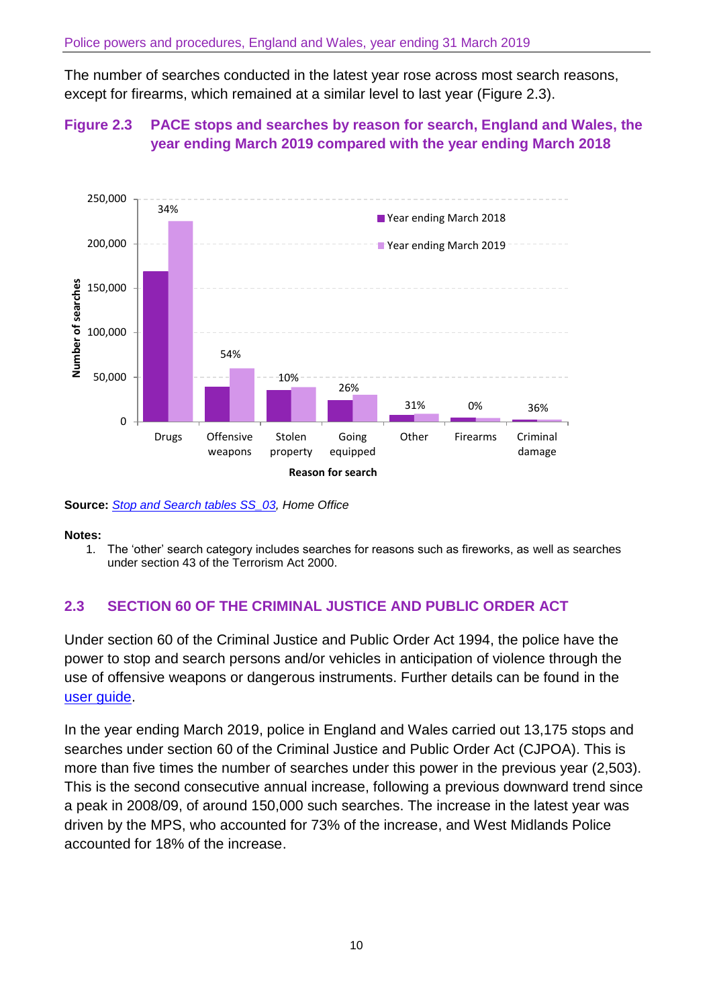The number of searches conducted in the latest year rose across most search reasons, except for firearms, which remained at a similar level to last year (Figure 2.3).

## **Figure 2.3 PACE stops and searches by reason for search, England and Wales, the year ending March 2019 compared with the year ending March 2018**



**Source:** *[Stop and Search tables SS\\_03,](https://www.gov.uk/government/statistics/police-powers-and-procedures-england-and-wales-year-ending-31-march-2019) Home Office*

#### **Notes:**

1. The 'other' search category includes searches for reasons such as fireworks, as well as searches under section 43 of the Terrorism Act 2000.

## **2.3 SECTION 60 OF THE CRIMINAL JUSTICE AND PUBLIC ORDER ACT**

Under section 60 of the Criminal Justice and Public Order Act 1994, the police have the power to stop and search persons and/or vehicles in anticipation of violence through the use of offensive weapons or dangerous instruments. Further details can be found in the [user guide.](https://www.gov.uk/government/collections/police-powers-and-procedures-england-and-wales)

In the year ending March 2019, police in England and Wales carried out 13,175 stops and searches under section 60 of the Criminal Justice and Public Order Act (CJPOA). This is more than five times the number of searches under this power in the previous year (2,503). This is the second consecutive annual increase, following a previous downward trend since a peak in 2008/09, of around 150,000 such searches. The increase in the latest year was driven by the MPS, who accounted for 73% of the increase, and West Midlands Police accounted for 18% of the increase.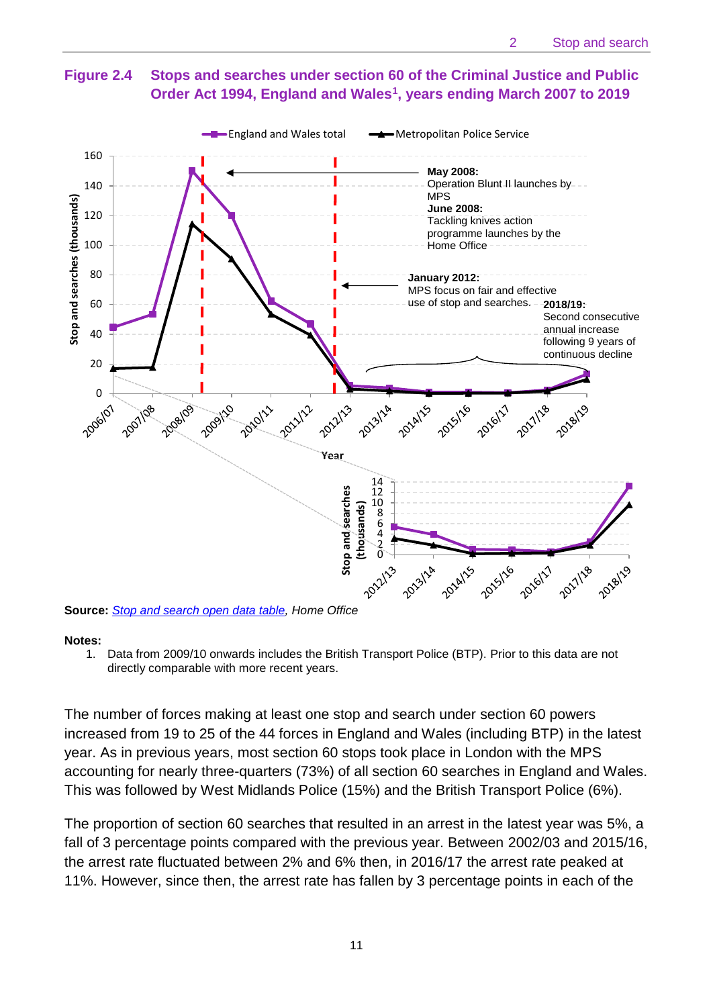# **Figure 2.4 Stops and searches under section 60 of the Criminal Justice and Public Order Act 1994, England and Wales<sup>1</sup> , years ending March 2007 to 2019**



**Source:** *[Stop and search open data table,](https://www.gov.uk/government/statistics/police-powers-and-procedures-england-and-wales-year-ending-31-march-2019) Home Office*

#### **Notes:**

1. Data from 2009/10 onwards includes the British Transport Police (BTP). Prior to this data are not directly comparable with more recent years.

The number of forces making at least one stop and search under section 60 powers increased from 19 to 25 of the 44 forces in England and Wales (including BTP) in the latest year. As in previous years, most section 60 stops took place in London with the MPS accounting for nearly three-quarters (73%) of all section 60 searches in England and Wales. This was followed by West Midlands Police (15%) and the British Transport Police (6%).

The proportion of section 60 searches that resulted in an arrest in the latest year was 5%, a fall of 3 percentage points compared with the previous year. Between 2002/03 and 2015/16, the arrest rate fluctuated between 2% and 6% then, in 2016/17 the arrest rate peaked at 11%. However, since then, the arrest rate has fallen by 3 percentage points in each of the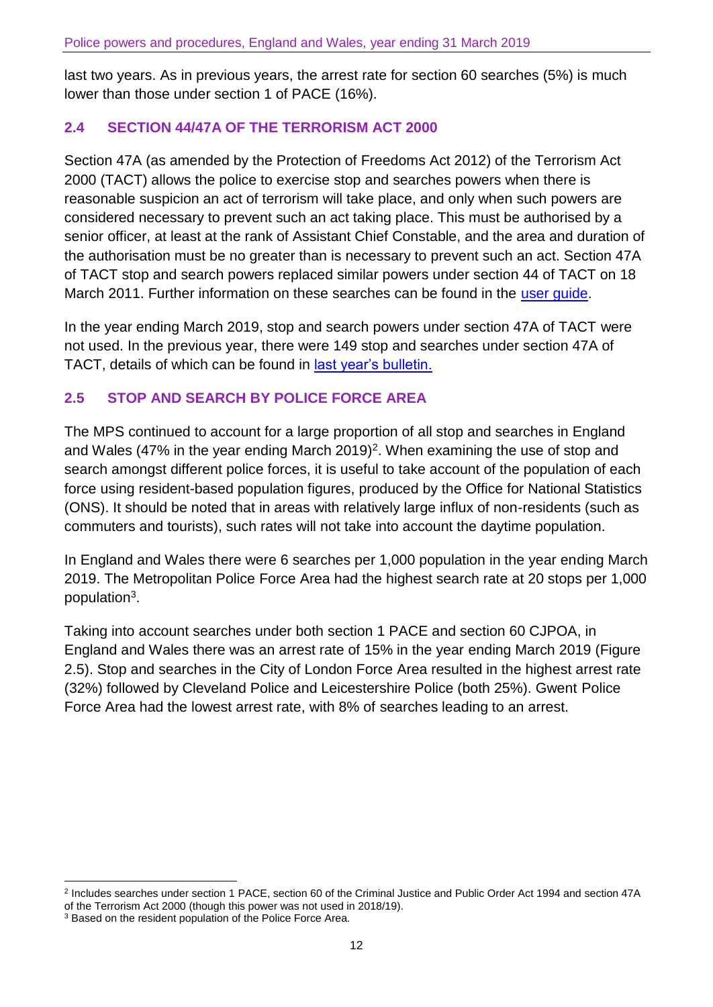last two years. As in previous years, the arrest rate for section 60 searches (5%) is much lower than those under section 1 of PACE (16%).

### **2.4 SECTION 44/47A OF THE TERRORISM ACT 2000**

Section 47A (as amended by the Protection of Freedoms Act 2012) of the Terrorism Act 2000 (TACT) allows the police to exercise stop and searches powers when there is reasonable suspicion an act of terrorism will take place, and only when such powers are considered necessary to prevent such an act taking place. This must be authorised by a senior officer, at least at the rank of Assistant Chief Constable, and the area and duration of the authorisation must be no greater than is necessary to prevent such an act. Section 47A of TACT stop and search powers replaced similar powers under section 44 of TACT on 18 March 2011. Further information on these searches can be found in the [user guide.](https://www.gov.uk/government/collections/police-powers-and-procedures-england-and-wales)

In the year ending March 2019, stop and search powers under section 47A of TACT were not used. In the previous year, there were 149 stop and searches under section 47A of TACT, details of which can be found in [last year's bulletin.](https://www.gov.uk/government/statistics/police-powers-and-procedures-england-and-wales-year-ending-31-march-2018)

## **2.5 STOP AND SEARCH BY POLICE FORCE AREA**

The MPS continued to account for a large proportion of all stop and searches in England and Wales (47% in the year ending March 2019)<sup>2</sup>. When examining the use of stop and search amongst different police forces, it is useful to take account of the population of each force using resident-based population figures, produced by the Office for National Statistics (ONS). It should be noted that in areas with relatively large influx of non-residents (such as commuters and tourists), such rates will not take into account the daytime population.

In England and Wales there were 6 searches per 1,000 population in the year ending March 2019. The Metropolitan Police Force Area had the highest search rate at 20 stops per 1,000 population<sup>3</sup>.

Taking into account searches under both section 1 PACE and section 60 CJPOA, in England and Wales there was an arrest rate of 15% in the year ending March 2019 (Figure 2.5). Stop and searches in the City of London Force Area resulted in the highest arrest rate (32%) followed by Cleveland Police and Leicestershire Police (both 25%). Gwent Police Force Area had the lowest arrest rate, with 8% of searches leading to an arrest.

 $\overline{a}$ 

<sup>2</sup> Includes searches under section 1 PACE, section 60 of the Criminal Justice and Public Order Act 1994 and section 47A of the Terrorism Act 2000 (though this power was not used in 2018/19).

<sup>&</sup>lt;sup>3</sup> Based on the resident population of the Police Force Area.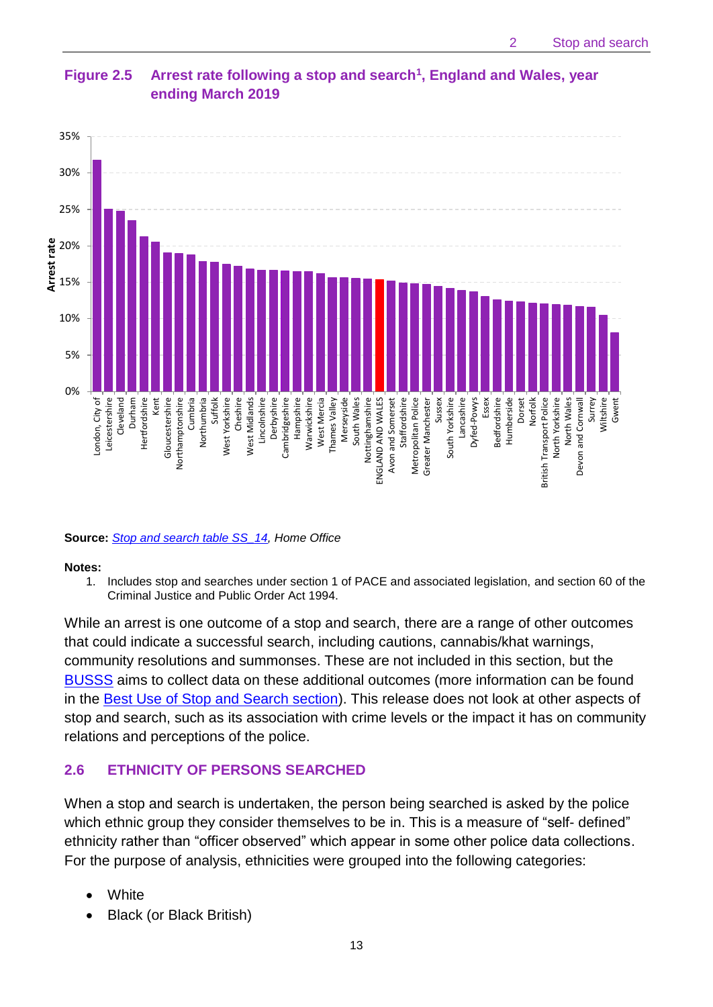

## **Figure 2.5 Arrest rate following a stop and search<sup>1</sup> , England and Wales, year ending March 2019**

#### **Source:** *[Stop and search table SS\\_14,](https://www.gov.uk/government/statistics/police-powers-and-procedures-england-and-wales-year-ending-31-march-2019) Home Office*

#### **Notes:**

1. Includes stop and searches under section 1 of PACE and associated legislation, and section 60 of the Criminal Justice and Public Order Act 1994.

While an arrest is one outcome of a stop and search, there are a range of other outcomes that could indicate a successful search, including cautions, cannabis/khat warnings, community resolutions and summonses. These are not included in this section, but the [BUSSS](https://www.gov.uk/government/publications/best-use-of-stop-and-search-scheme) aims to collect data on these additional outcomes (more information can be found in the **Best Use of Stop and Search section**). This release does not look at other aspects of stop and search, such as its association with crime levels or the impact it has on community relations and perceptions of the police.

## **2.6 ETHNICITY OF PERSONS SEARCHED**

When a stop and search is undertaken, the person being searched is asked by the police which ethnic group they consider themselves to be in. This is a measure of "self- defined" ethnicity rather than "officer observed" which appear in some other police data collections. For the purpose of analysis, ethnicities were grouped into the following categories:

- **White**
- Black (or Black British)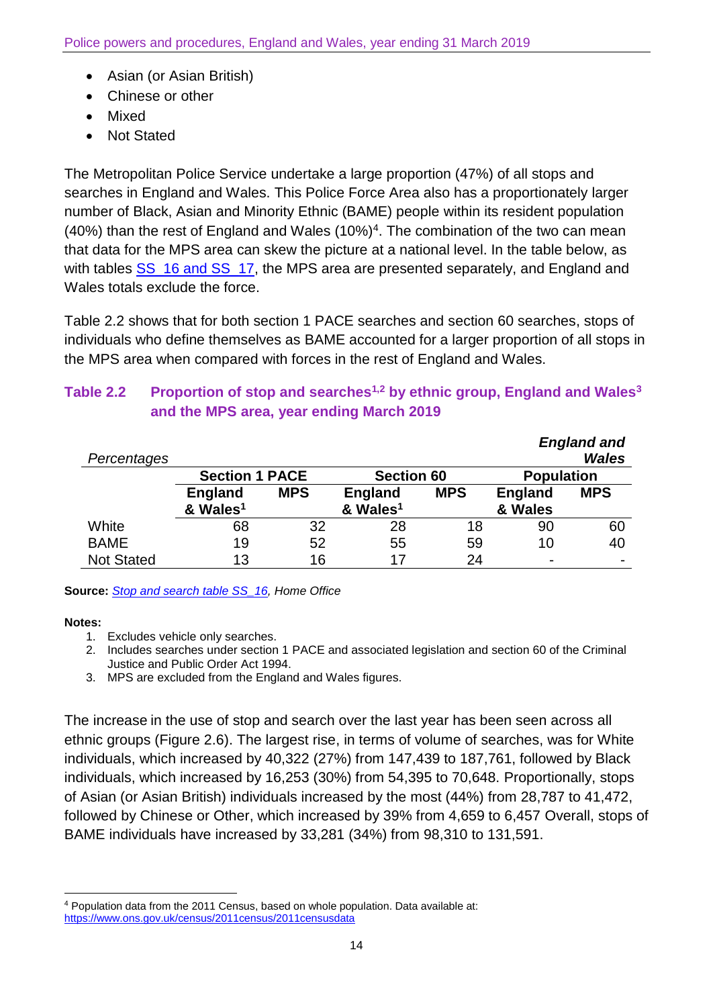- Asian (or Asian British)
- Chinese or other
- Mixed
- Not Stated

The Metropolitan Police Service undertake a large proportion (47%) of all stops and searches in England and Wales. This Police Force Area also has a proportionately larger number of Black, Asian and Minority Ethnic (BAME) people within its resident population  $(40%)$  than the rest of England and Wales  $(10%)<sup>4</sup>$ . The combination of the two can mean that data for the MPS area can skew the picture at a national level. In the table below, as with tables [SS\\_16 and SS\\_17,](https://www.gov.uk/government/statistics/police-powers-and-procedures-england-and-wales-year-ending-31-march-2019) the MPS area are presented separately, and England and Wales totals exclude the force.

Table 2.2 shows that for both section 1 PACE searches and section 60 searches, stops of individuals who define themselves as BAME accounted for a larger proportion of all stops in the MPS area when compared with forces in the rest of England and Wales.

# **Table 2.2 Proportion of stop and searches1,2 by ethnic group, England and Wales<sup>3</sup> and the MPS area, year ending March 2019**

| Percentages       |                       |            |                      |            |                   | <b>England and</b><br><b>Wales</b> |
|-------------------|-----------------------|------------|----------------------|------------|-------------------|------------------------------------|
|                   | <b>Section 1 PACE</b> |            | <b>Section 60</b>    |            | <b>Population</b> |                                    |
|                   | <b>England</b>        | <b>MPS</b> | <b>England</b>       | <b>MPS</b> | <b>England</b>    | <b>MPS</b>                         |
|                   | & Wales <sup>1</sup>  |            | & Wales <sup>1</sup> |            | & Wales           |                                    |
| White             | 68                    | 32         | 28                   | 18         | 90                | 60                                 |
| <b>BAME</b>       | 19                    | 52         | 55                   | 59         | 10                | 40                                 |
| <b>Not Stated</b> | 13                    | 16         | 17                   | 24         | ۰                 |                                    |

**Source:** *[Stop and search table SS\\_16,](https://www.gov.uk/government/statistics/police-powers-and-procedures-england-and-wales-year-ending-31-march-2019) Home Office*

#### **Notes:**

 $\overline{\phantom{a}}$ 

- 1. Excludes vehicle only searches.
- 2. Includes searches under section 1 PACE and associated legislation and section 60 of the Criminal Justice and Public Order Act 1994.
- 3. MPS are excluded from the England and Wales figures.

The increase in the use of stop and search over the last year has been seen across all ethnic groups (Figure 2.6). The largest rise, in terms of volume of searches, was for White individuals, which increased by 40,322 (27%) from 147,439 to 187,761, followed by Black individuals, which increased by 16,253 (30%) from 54,395 to 70,648. Proportionally, stops of Asian (or Asian British) individuals increased by the most (44%) from 28,787 to 41,472, followed by Chinese or Other, which increased by 39% from 4,659 to 6,457 Overall, stops of BAME individuals have increased by 33,281 (34%) from 98,310 to 131,591.

<sup>4</sup> Population data from the 2011 Census, based on whole population. Data available at: <https://www.ons.gov.uk/census/2011census/2011censusdata>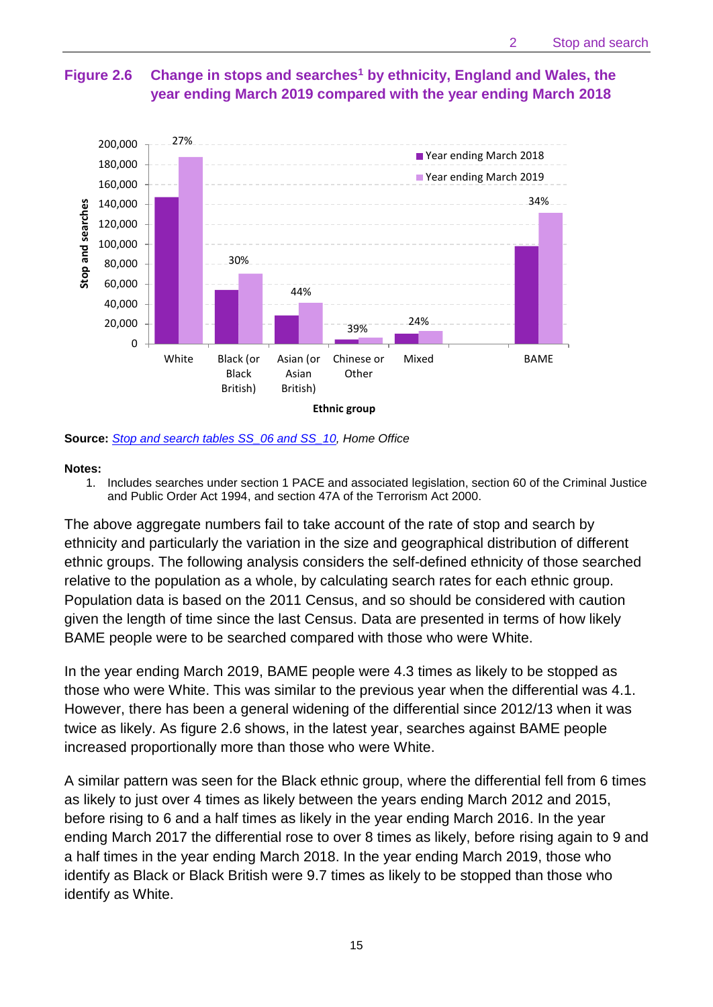## **Figure 2.6 Change in stops and searches<sup>1</sup> by ethnicity, England and Wales, the year ending March 2019 compared with the year ending March 2018**



**Source:** *[Stop and search tables SS\\_06 and SS\\_10,](https://www.gov.uk/government/statistics/police-powers-and-procedures-england-and-wales-year-ending-31-march-2019) Home Office*

#### **Notes:**

1. Includes searches under section 1 PACE and associated legislation, section 60 of the Criminal Justice and Public Order Act 1994, and section 47A of the Terrorism Act 2000.

The above aggregate numbers fail to take account of the rate of stop and search by ethnicity and particularly the variation in the size and geographical distribution of different ethnic groups. The following analysis considers the self-defined ethnicity of those searched relative to the population as a whole, by calculating search rates for each ethnic group. Population data is based on the 2011 Census, and so should be considered with caution given the length of time since the last Census. Data are presented in terms of how likely BAME people were to be searched compared with those who were White.

In the year ending March 2019, BAME people were 4.3 times as likely to be stopped as those who were White. This was similar to the previous year when the differential was 4.1. However, there has been a general widening of the differential since 2012/13 when it was twice as likely. As figure 2.6 shows, in the latest year, searches against BAME people increased proportionally more than those who were White.

A similar pattern was seen for the Black ethnic group, where the differential fell from 6 times as likely to just over 4 times as likely between the years ending March 2012 and 2015, before rising to 6 and a half times as likely in the year ending March 2016. In the year ending March 2017 the differential rose to over 8 times as likely, before rising again to 9 and a half times in the year ending March 2018. In the year ending March 2019, those who identify as Black or Black British were 9.7 times as likely to be stopped than those who identify as White.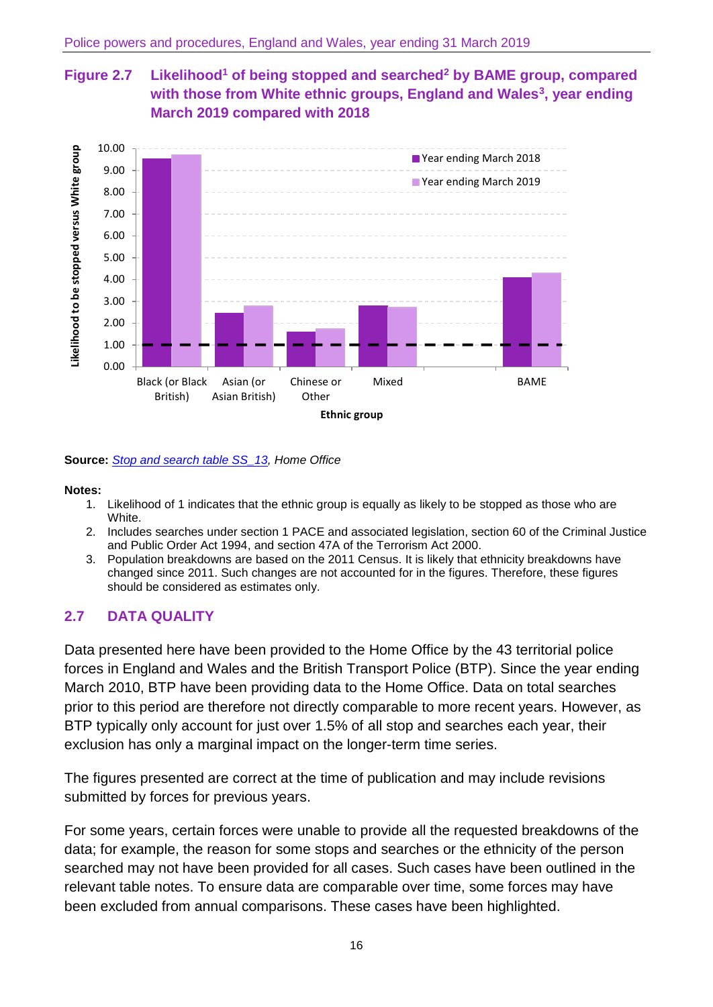# **Figure 2.7 Likelihood<sup>1</sup> of being stopped and searched<sup>2</sup> by BAME group, compared with those from White ethnic groups, England and Wales<sup>3</sup> , year ending March 2019 compared with 2018**



**Source:** *[Stop and search table SS\\_13,](https://www.gov.uk/government/statistics/police-powers-and-procedures-england-and-wales-year-ending-31-march-2019) Home Office*

#### **Notes:**

- 1. Likelihood of 1 indicates that the ethnic group is equally as likely to be stopped as those who are White.
- 2. Includes searches under section 1 PACE and associated legislation, section 60 of the Criminal Justice and Public Order Act 1994, and section 47A of the Terrorism Act 2000.
- 3. Population breakdowns are based on the 2011 Census. It is likely that ethnicity breakdowns have changed since 2011. Such changes are not accounted for in the figures. Therefore, these figures should be considered as estimates only.

# **2.7 DATA QUALITY**

Data presented here have been provided to the Home Office by the 43 territorial police forces in England and Wales and the British Transport Police (BTP). Since the year ending March 2010, BTP have been providing data to the Home Office. Data on total searches prior to this period are therefore not directly comparable to more recent years. However, as BTP typically only account for just over 1.5% of all stop and searches each year, their exclusion has only a marginal impact on the longer-term time series.

The figures presented are correct at the time of publication and may include revisions submitted by forces for previous years.

For some years, certain forces were unable to provide all the requested breakdowns of the data; for example, the reason for some stops and searches or the ethnicity of the person searched may not have been provided for all cases. Such cases have been outlined in the relevant table notes. To ensure data are comparable over time, some forces may have been excluded from annual comparisons. These cases have been highlighted.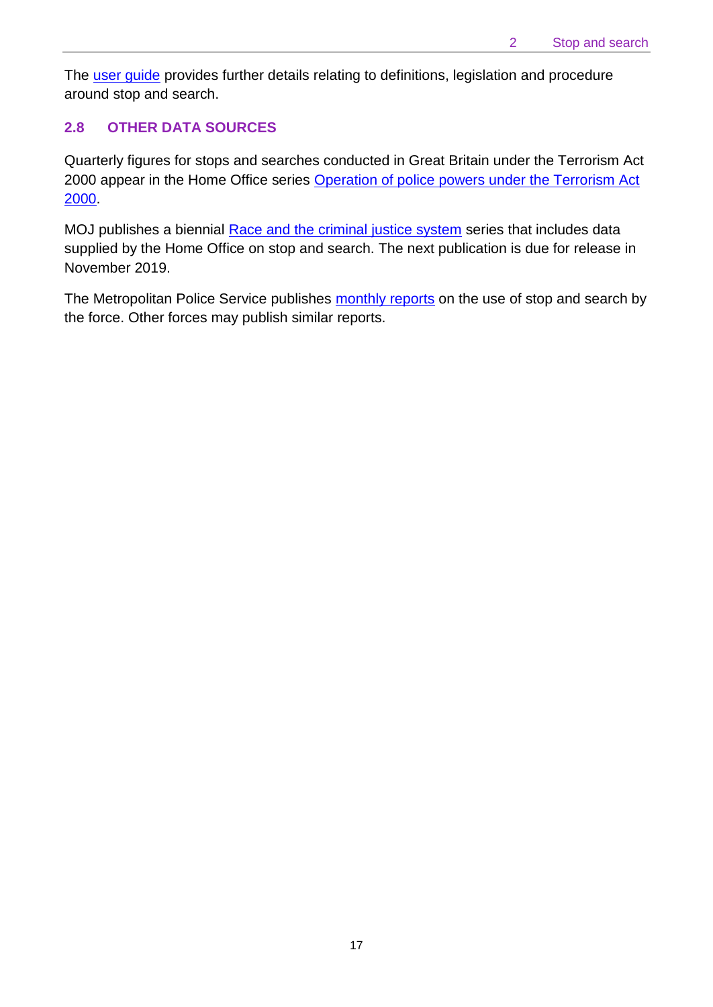The [user guide](https://www.gov.uk/government/collections/police-powers-and-procedures-england-and-wales) provides further details relating to definitions, legislation and procedure around stop and search.

## **2.8 OTHER DATA SOURCES**

Quarterly figures for stops and searches conducted in Great Britain under the Terrorism Act 2000 appear in the Home Office series Operation of police powers under the Terrorism Act [2000.](https://www.gov.uk/government/collections/operation-of-police-powers-under-the-terrorism-act-2000)

MOJ publishes a biennial [Race and the criminal justice system](https://www.gov.uk/government/collections/race-and-the-criminal-justice-system) series that includes data supplied by the Home Office on stop and search. The next publication is due for release in November 2019.

The Metropolitan Police Service publishes [monthly reports](http://www.met.police.uk/foi/units/stop_and_search.htm) on the use of stop and search by the force. Other forces may publish similar reports.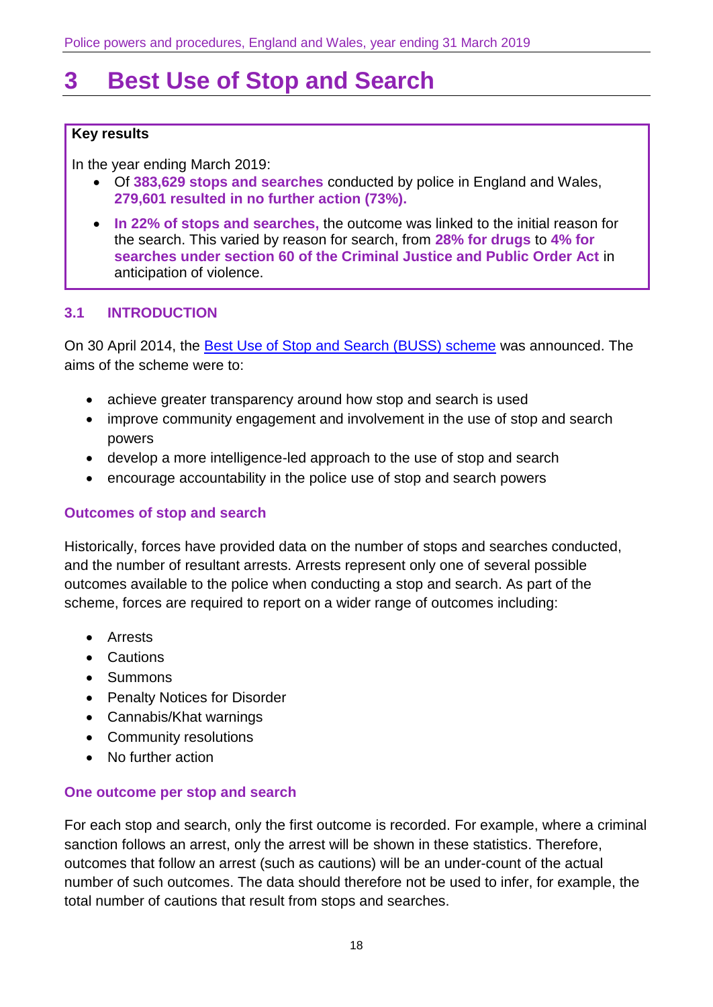# <span id="page-17-0"></span>**3 Best Use of Stop and Search**

#### **Key results**

In the year ending March 2019:

- Of **383,629 stops and searches** conducted by police in England and Wales, **279,601 resulted in no further action (73%).**
- **In 22% of stops and searches,** the outcome was linked to the initial reason for the search. This varied by reason for search, from **28% for drugs** to **4% for searches under section 60 of the Criminal Justice and Public Order Act** in anticipation of violence.

## **3.1 INTRODUCTION**

On 30 April 2014, the [Best Use of Stop and Search \(BUSS\) scheme](https://www.gov.uk/government/publications/best-use-of-stop-and-search-scheme) was announced. The aims of the scheme were to:

- achieve greater transparency around how stop and search is used
- improve community engagement and involvement in the use of stop and search powers
- develop a more intelligence-led approach to the use of stop and search
- encourage accountability in the police use of stop and search powers

#### **Outcomes of stop and search**

Historically, forces have provided data on the number of stops and searches conducted, and the number of resultant arrests. Arrests represent only one of several possible outcomes available to the police when conducting a stop and search. As part of the scheme, forces are required to report on a wider range of outcomes including:

- Arrests
- Cautions
- Summons
- Penalty Notices for Disorder
- Cannabis/Khat warnings
- Community resolutions
- No further action

#### **One outcome per stop and search**

For each stop and search, only the first outcome is recorded. For example, where a criminal sanction follows an arrest, only the arrest will be shown in these statistics. Therefore, outcomes that follow an arrest (such as cautions) will be an under-count of the actual number of such outcomes. The data should therefore not be used to infer, for example, the total number of cautions that result from stops and searches.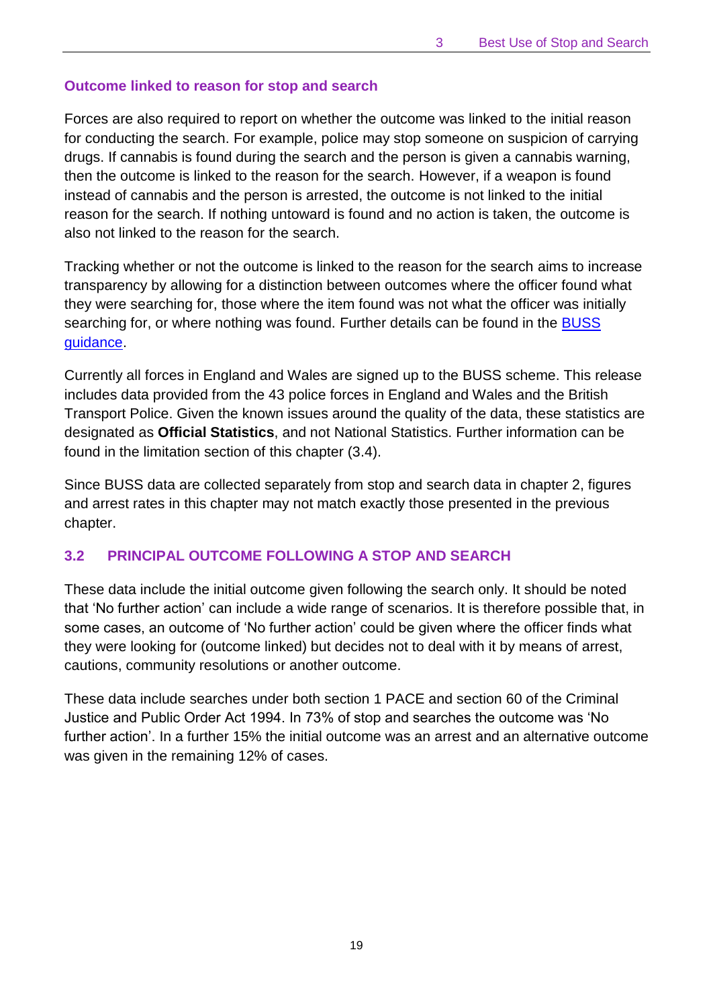## **Outcome linked to reason for stop and search**

Forces are also required to report on whether the outcome was linked to the initial reason for conducting the search. For example, police may stop someone on suspicion of carrying drugs. If cannabis is found during the search and the person is given a cannabis warning, then the outcome is linked to the reason for the search. However, if a weapon is found instead of cannabis and the person is arrested, the outcome is not linked to the initial reason for the search. If nothing untoward is found and no action is taken, the outcome is also not linked to the reason for the search.

Tracking whether or not the outcome is linked to the reason for the search aims to increase transparency by allowing for a distinction between outcomes where the officer found what they were searching for, those where the item found was not what the officer was initially searching for, or where nothing was found. Further details can be found in the BUSS [guidance.](https://www.gov.uk/government/publications/best-use-of-stop-and-search-scheme)

Currently all forces in England and Wales are signed up to the BUSS scheme. This release includes data provided from the 43 police forces in England and Wales and the British Transport Police. Given the known issues around the quality of the data, these statistics are designated as **Official Statistics**, and not National Statistics. Further information can be found in the limitation section of this chapter (3.4).

Since BUSS data are collected separately from stop and search data in chapter 2, figures and arrest rates in this chapter may not match exactly those presented in the previous chapter.

# **3.2 PRINCIPAL OUTCOME FOLLOWING A STOP AND SEARCH**

These data include the initial outcome given following the search only. It should be noted that 'No further action' can include a wide range of scenarios. It is therefore possible that, in some cases, an outcome of 'No further action' could be given where the officer finds what they were looking for (outcome linked) but decides not to deal with it by means of arrest, cautions, community resolutions or another outcome.

These data include searches under both section 1 PACE and section 60 of the Criminal Justice and Public Order Act 1994. In 73% of stop and searches the outcome was 'No further action'. In a further 15% the initial outcome was an arrest and an alternative outcome was given in the remaining 12% of cases.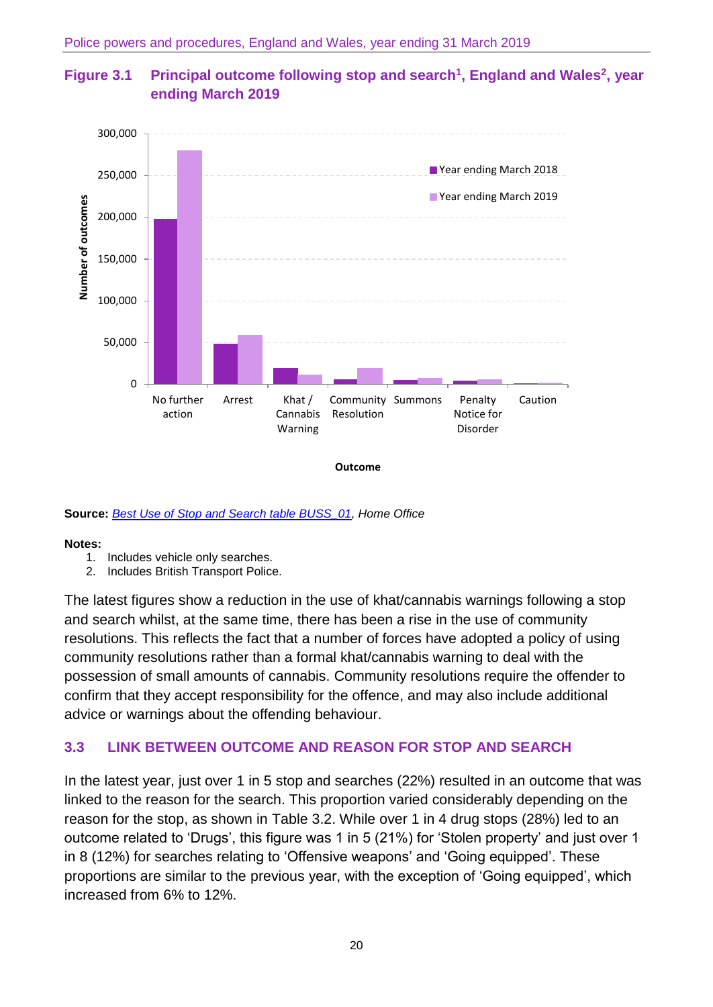# **Figure 3.1 Principal outcome following stop and search<sup>1</sup> , England and Wales<sup>2</sup> , year ending March 2019**



**Source:** *[Best Use of Stop and Search table BUSS\\_01,](https://www.gov.uk/government/statistics/police-powers-and-procedures-england-and-wales-year-ending-31-march-2019) Home Office*

#### **Notes:**

- 1. Includes vehicle only searches.
- 2. Includes British Transport Police.

The latest figures show a reduction in the use of khat/cannabis warnings following a stop and search whilst, at the same time, there has been a rise in the use of community resolutions. This reflects the fact that a number of forces have adopted a policy of using community resolutions rather than a formal khat/cannabis warning to deal with the possession of small amounts of cannabis. Community resolutions require the offender to confirm that they accept responsibility for the offence, and may also include additional advice or warnings about the offending behaviour.

## **3.3 LINK BETWEEN OUTCOME AND REASON FOR STOP AND SEARCH**

In the latest year, just over 1 in 5 stop and searches (22%) resulted in an outcome that was linked to the reason for the search. This proportion varied considerably depending on the reason for the stop, as shown in Table 3.2. While over 1 in 4 drug stops (28%) led to an outcome related to 'Drugs', this figure was 1 in 5 (21%) for 'Stolen property' and just over 1 in 8 (12%) for searches relating to 'Offensive weapons' and 'Going equipped'. These proportions are similar to the previous year, with the exception of 'Going equipped', which increased from 6% to 12%.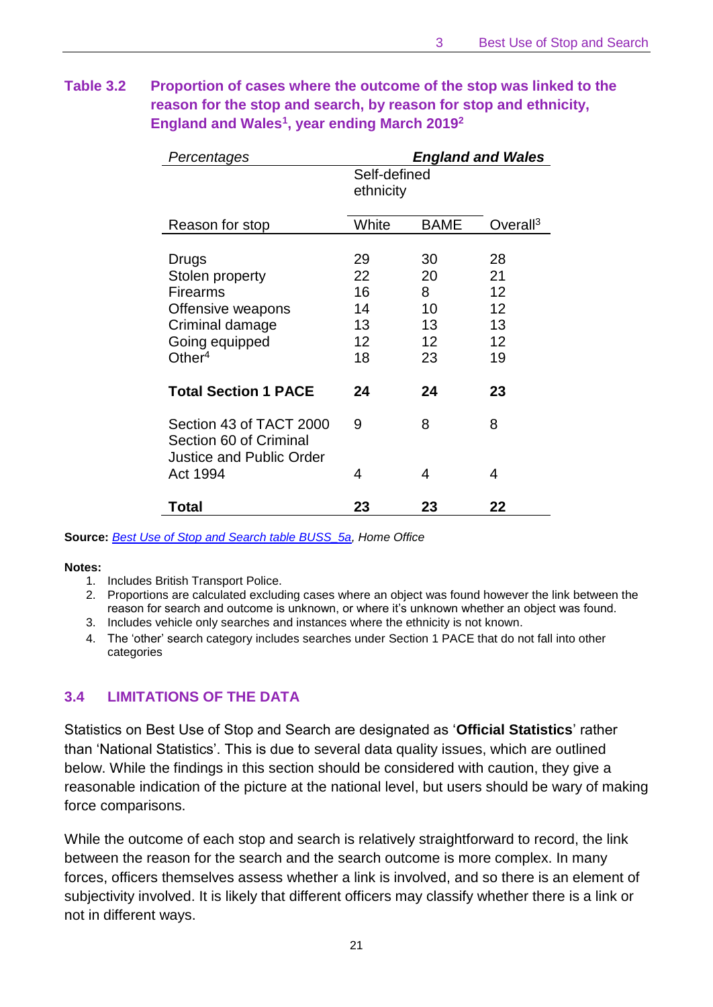# **Table 3.2 Proportion of cases where the outcome of the stop was linked to the reason for the stop and search, by reason for stop and ethnicity, England and Wales<sup>1</sup> , year ending March 2019<sup>2</sup>**

| Percentages                                                                                                        |                                        | <b>England and Wales</b>              |                                        |
|--------------------------------------------------------------------------------------------------------------------|----------------------------------------|---------------------------------------|----------------------------------------|
|                                                                                                                    | Self-defined<br>ethnicity              |                                       |                                        |
| Reason for stop                                                                                                    | White                                  | <b>BAME</b>                           | Overall <sup>3</sup>                   |
| Drugs<br>Stolen property<br><b>Firearms</b><br>Offensive weapons<br>Criminal damage<br>Going equipped<br>Other $4$ | 29<br>22<br>16<br>14<br>13<br>12<br>18 | 30<br>20<br>8<br>10<br>13<br>12<br>23 | 28<br>21<br>12<br>12<br>13<br>12<br>19 |
| <b>Total Section 1 PACE</b>                                                                                        | 24                                     | 24                                    | 23                                     |
| Section 43 of TACT 2000<br>Section 60 of Criminal<br>Justice and Public Order                                      | 9                                      | 8                                     | 8                                      |
| Act 1994                                                                                                           | 4                                      | 4                                     | 4                                      |
| Total                                                                                                              | 23                                     | 23                                    | 22                                     |

#### **Source:** *[Best Use of Stop and Search table BUSS\\_5a,](https://www.gov.uk/government/statistics/police-powers-and-procedures-england-and-wales-year-ending-31-march-2019) Home Office*

#### **Notes:**

- 1. Includes British Transport Police.
- 2. Proportions are calculated excluding cases where an object was found however the link between the reason for search and outcome is unknown, or where it's unknown whether an object was found.
- 3. Includes vehicle only searches and instances where the ethnicity is not known.
- 4. The 'other' search category includes searches under Section 1 PACE that do not fall into other categories

## **3.4 LIMITATIONS OF THE DATA**

Statistics on Best Use of Stop and Search are designated as '**Official Statistics**' rather than 'National Statistics'. This is due to several data quality issues, which are outlined below. While the findings in this section should be considered with caution, they give a reasonable indication of the picture at the national level, but users should be wary of making force comparisons.

While the outcome of each stop and search is relatively straightforward to record, the link between the reason for the search and the search outcome is more complex. In many forces, officers themselves assess whether a link is involved, and so there is an element of subjectivity involved. It is likely that different officers may classify whether there is a link or not in different ways.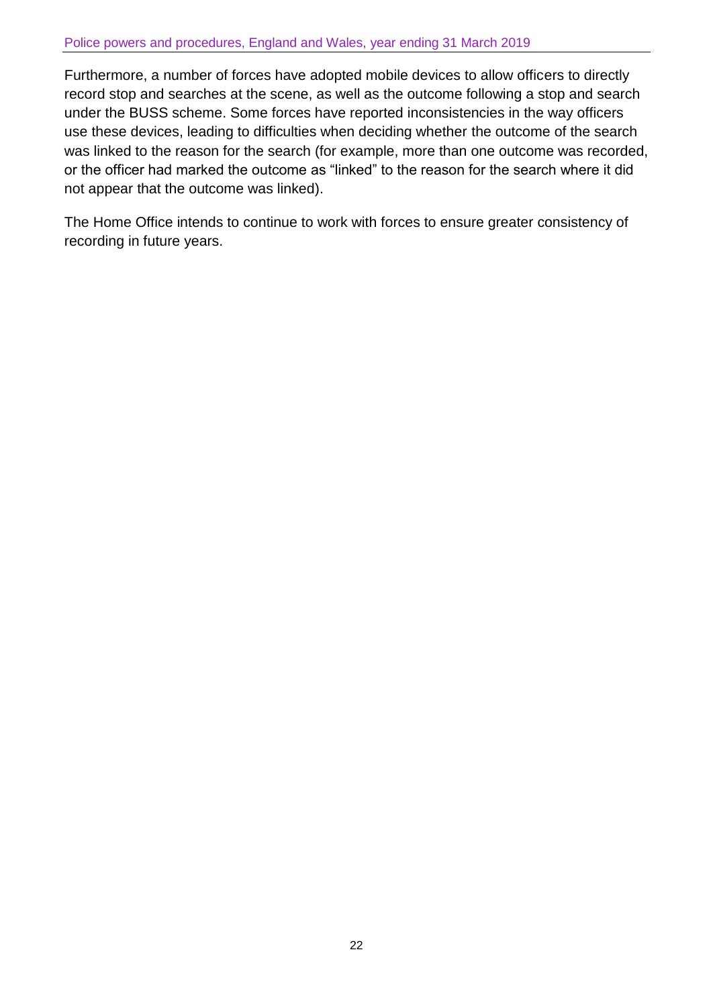#### Police powers and procedures, England and Wales, year ending 31 March 2019

Furthermore, a number of forces have adopted mobile devices to allow officers to directly record stop and searches at the scene, as well as the outcome following a stop and search under the BUSS scheme. Some forces have reported inconsistencies in the way officers use these devices, leading to difficulties when deciding whether the outcome of the search was linked to the reason for the search (for example, more than one outcome was recorded, or the officer had marked the outcome as "linked" to the reason for the search where it did not appear that the outcome was linked).

The Home Office intends to continue to work with forces to ensure greater consistency of recording in future years.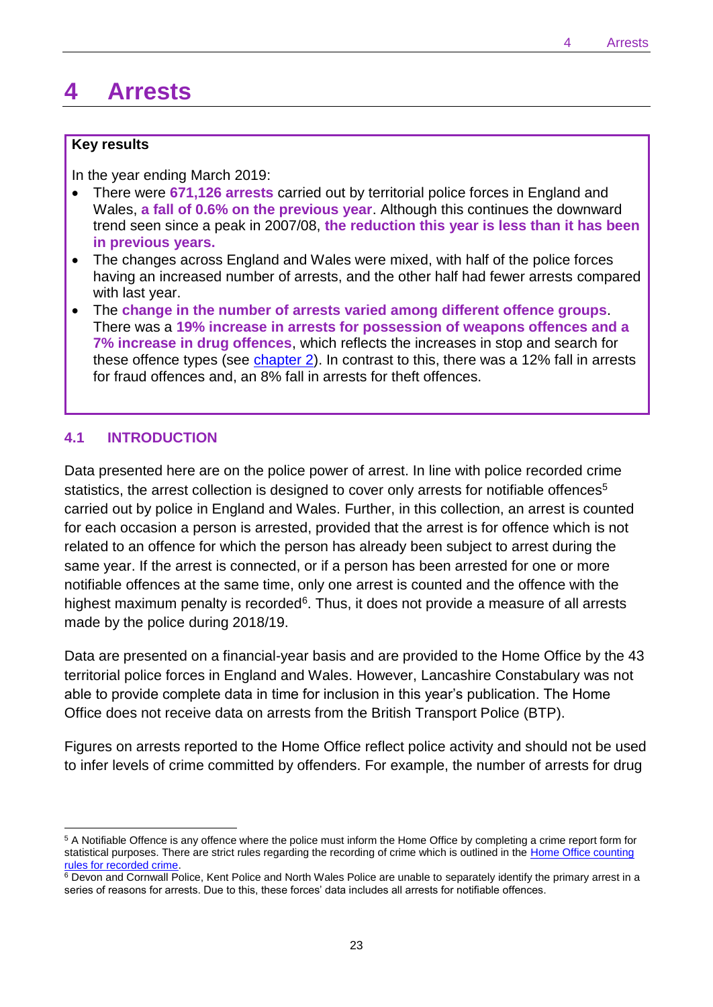# <span id="page-22-0"></span>**4 Arrests**

#### **Key results**

In the year ending March 2019:

- There were **671,126 arrests** carried out by territorial police forces in England and Wales, **a fall of 0.6% on the previous year**. Although this continues the downward trend seen since a peak in 2007/08, **the reduction this year is less than it has been in previous years.**
- The changes across England and Wales were mixed, with half of the police forces having an increased number of arrests, and the other half had fewer arrests compared with last year.
- The **change in the number of arrests varied among different offence groups**. There was a **19% increase in arrests for possession of weapons offences and a 7% increase in drug offences**, which reflects the increases in stop and search for these offence types (see [chapter 2\)](#page-4-0). In contrast to this, there was a 12% fall in arrests for fraud offences and, an 8% fall in arrests for theft offences.

#### **4.1 INTRODUCTION**

 $\overline{a}$ 

Data presented here are on the police power of arrest. In line with police recorded crime statistics, the arrest collection is designed to cover only arrests for notifiable offences<sup>5</sup> carried out by police in England and Wales. Further, in this collection, an arrest is counted for each occasion a person is arrested, provided that the arrest is for offence which is not related to an offence for which the person has already been subject to arrest during the same year. If the arrest is connected, or if a person has been arrested for one or more notifiable offences at the same time, only one arrest is counted and the offence with the highest maximum penalty is recorded<sup>6</sup>. Thus, it does not provide a measure of all arrests made by the police during 2018/19.

Data are presented on a financial-year basis and are provided to the Home Office by the 43 territorial police forces in England and Wales. However, Lancashire Constabulary was not able to provide complete data in time for inclusion in this year's publication. The Home Office does not receive data on arrests from the British Transport Police (BTP).

Figures on arrests reported to the Home Office reflect police activity and should not be used to infer levels of crime committed by offenders. For example, the number of arrests for drug

<sup>5</sup> A Notifiable Offence is any offence where the police must inform the Home Office by completing a crime report form for statistical purposes. There are strict rules regarding the recording of crime which is outlined in the Home Office counting [rules for recorded crime.](https://www.gov.uk/government/publications/counting-rules-for-recorded-crime)

 $6$  Devon and Cornwall Police, Kent Police and North Wales Police are unable to separately identify the primary arrest in a series of reasons for arrests. Due to this, these forces' data includes all arrests for notifiable offences.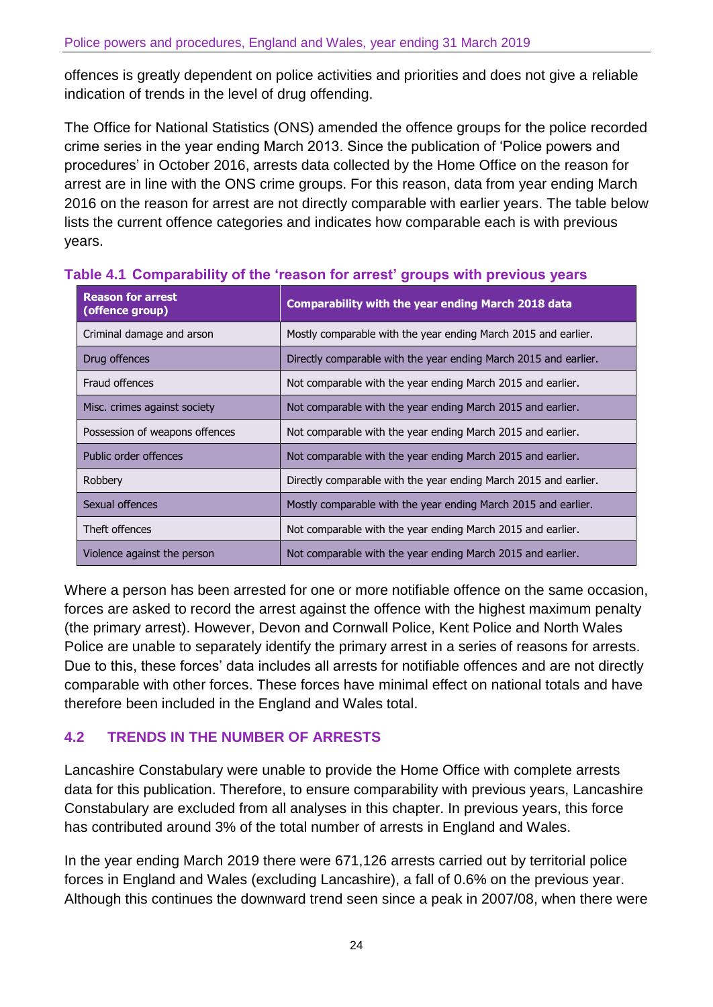offences is greatly dependent on police activities and priorities and does not give a reliable indication of trends in the level of drug offending.

The Office for National Statistics (ONS) amended the offence groups for the police recorded crime series in the year ending March 2013. Since the publication of 'Police powers and procedures' in October 2016, arrests data collected by the Home Office on the reason for arrest are in line with the ONS crime groups. For this reason, data from year ending March 2016 on the reason for arrest are not directly comparable with earlier years. The table below lists the current offence categories and indicates how comparable each is with previous years.

| <b>Reason for arrest</b><br>(offence group) | <b>Comparability with the year ending March 2018 data</b>        |
|---------------------------------------------|------------------------------------------------------------------|
| Criminal damage and arson                   | Mostly comparable with the year ending March 2015 and earlier.   |
| Drug offences                               | Directly comparable with the year ending March 2015 and earlier. |
| Fraud offences                              | Not comparable with the year ending March 2015 and earlier.      |
| Misc. crimes against society                | Not comparable with the year ending March 2015 and earlier.      |
| Possession of weapons offences              | Not comparable with the year ending March 2015 and earlier.      |
| Public order offences                       | Not comparable with the year ending March 2015 and earlier.      |
| Robbery                                     | Directly comparable with the year ending March 2015 and earlier. |
| Sexual offences                             | Mostly comparable with the year ending March 2015 and earlier.   |
| Theft offences                              | Not comparable with the year ending March 2015 and earlier.      |
| Violence against the person                 | Not comparable with the year ending March 2015 and earlier.      |

## **Table 4.1 Comparability of the 'reason for arrest' groups with previous years**

Where a person has been arrested for one or more notifiable offence on the same occasion, forces are asked to record the arrest against the offence with the highest maximum penalty (the primary arrest). However, Devon and Cornwall Police, Kent Police and North Wales Police are unable to separately identify the primary arrest in a series of reasons for arrests. Due to this, these forces' data includes all arrests for notifiable offences and are not directly comparable with other forces. These forces have minimal effect on national totals and have therefore been included in the England and Wales total.

## **4.2 TRENDS IN THE NUMBER OF ARRESTS**

Lancashire Constabulary were unable to provide the Home Office with complete arrests data for this publication. Therefore, to ensure comparability with previous years, Lancashire Constabulary are excluded from all analyses in this chapter. In previous years, this force has contributed around 3% of the total number of arrests in England and Wales.

In the year ending March 2019 there were 671,126 arrests carried out by territorial police forces in England and Wales (excluding Lancashire), a fall of 0.6% on the previous year. Although this continues the downward trend seen since a peak in 2007/08, when there were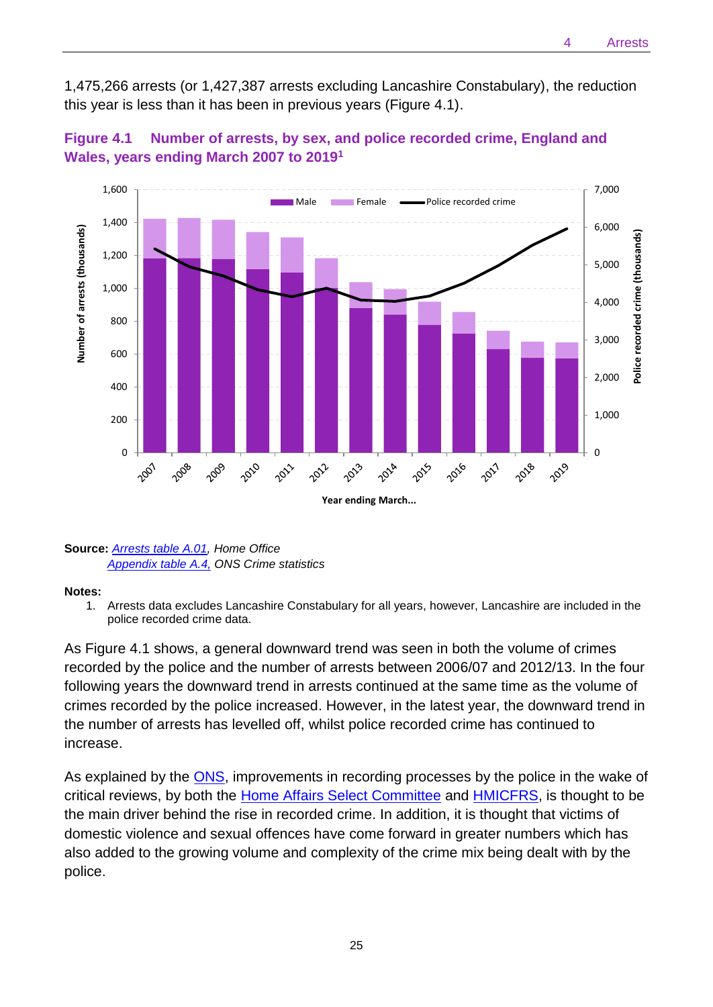1,475,266 arrests (or 1,427,387 arrests excluding Lancashire Constabulary), the reduction this year is less than it has been in previous years (Figure 4.1).



## **Figure 4.1 Number of arrests, by sex, and police recorded crime, England and Wales, years ending March 2007 to 2019<sup>1</sup>**

#### **Source:** *[Arrests table A.01,](https://www.gov.uk/government/statistics/police-powers-and-procedures-england-and-wales-year-ending-31-march-2019) Home Office [Appendix table A.4,](https://www.ons.gov.uk/redir/eyJhbGciOiJIUzI1NiJ9.eyJpbmRleCI6NCwicGFnZVNpemUiOjEwLCJwYWdlIjoxLCJ1cmkiOiIvcGVvcGxlcG9wdWxhdGlvbmFuZGNvbW11bml0eS9jcmltZWFuZGp1c3RpY2UvZGF0YXNldHMvY3JpbWVpbmVuZ2xhbmRhbmR3YWxlc2FwcGVuZGl4dGFibGVzIiwibGlzdFR5cGUiOiJyZWxhdGVkZGF0YSJ9.HWzH68QhBSuPzT9RQ23ZMvdvhfiHDmz1ql3NfOD4wB4) ONS Crime statistics*

#### **Notes:**

1. Arrests data excludes Lancashire Constabulary for all years, however, Lancashire are included in the police recorded crime data.

As Figure 4.1 shows, a general downward trend was seen in both the volume of crimes recorded by the police and the number of arrests between 2006/07 and 2012/13. In the four following years the downward trend in arrests continued at the same time as the volume of crimes recorded by the police increased. However, in the latest year, the downward trend in the number of arrests has levelled off, whilst police recorded crime has continued to increase.

As explained by the **ONS**, improvements in recording processes by the police in the wake of critical reviews, by both the [Home Affairs Select Committee](https://publications.parliament.uk/pa/cm201314/cmselect/cmpubadm/760/760.pdf) and [HMICFRS,](https://www.justiceinspectorates.gov.uk/hmicfrs/wp-content/uploads/crime-recording-making-the-victim-count.pdf) is thought to be the main driver behind the rise in recorded crime. In addition, it is thought that victims of domestic violence and sexual offences have come forward in greater numbers which has also added to the growing volume and complexity of the crime mix being dealt with by the police.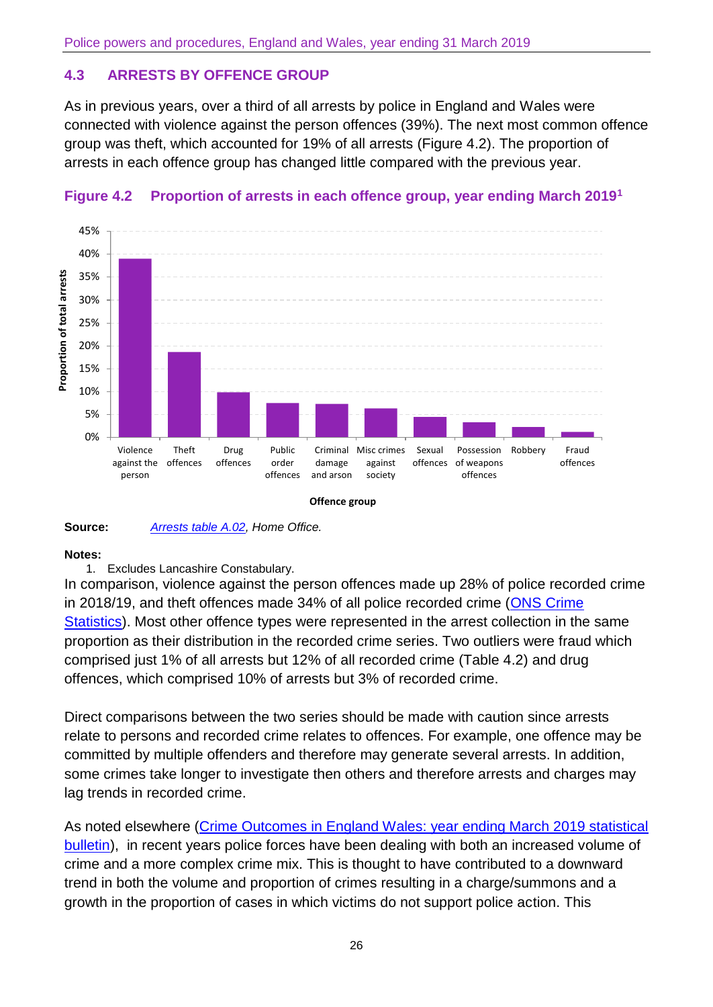# **4.3 ARRESTS BY OFFENCE GROUP**

As in previous years, over a third of all arrests by police in England and Wales were connected with violence against the person offences (39%). The next most common offence group was theft, which accounted for 19% of all arrests (Figure 4.2). The proportion of arrests in each offence group has changed little compared with the previous year.



## **Figure 4.2 Proportion of arrests in each offence group, year ending March 2019<sup>1</sup>**



#### **Notes:**

1. Excludes Lancashire Constabulary.

In comparison, violence against the person offences made up 28% of police recorded crime in 2018/19, and theft offences made 34% of all police recorded crime [\(ONS Crime](https://www.ons.gov.uk/peoplepopulationandcommunity/crimeandjustice)  [Statistics\)](https://www.ons.gov.uk/peoplepopulationandcommunity/crimeandjustice). Most other offence types were represented in the arrest collection in the same proportion as their distribution in the recorded crime series. Two outliers were fraud which comprised just 1% of all arrests but 12% of all recorded crime (Table 4.2) and drug offences, which comprised 10% of arrests but 3% of recorded crime.

Direct comparisons between the two series should be made with caution since arrests relate to persons and recorded crime relates to offences. For example, one offence may be committed by multiple offenders and therefore may generate several arrests. In addition, some crimes take longer to investigate then others and therefore arrests and charges may lag trends in recorded crime.

As noted elsewhere (Crime Outcomes in England Wales: year ending March 2019 statistical [bulletin\)](https://www.gov.uk/government/statistics/crime-outcomes-in-england-and-wales-2018-to-2019), in recent years police forces have been dealing with both an increased volume of crime and a more complex crime mix. This is thought to have contributed to a downward trend in both the volume and proportion of crimes resulting in a charge/summons and a growth in the proportion of cases in which victims do not support police action. This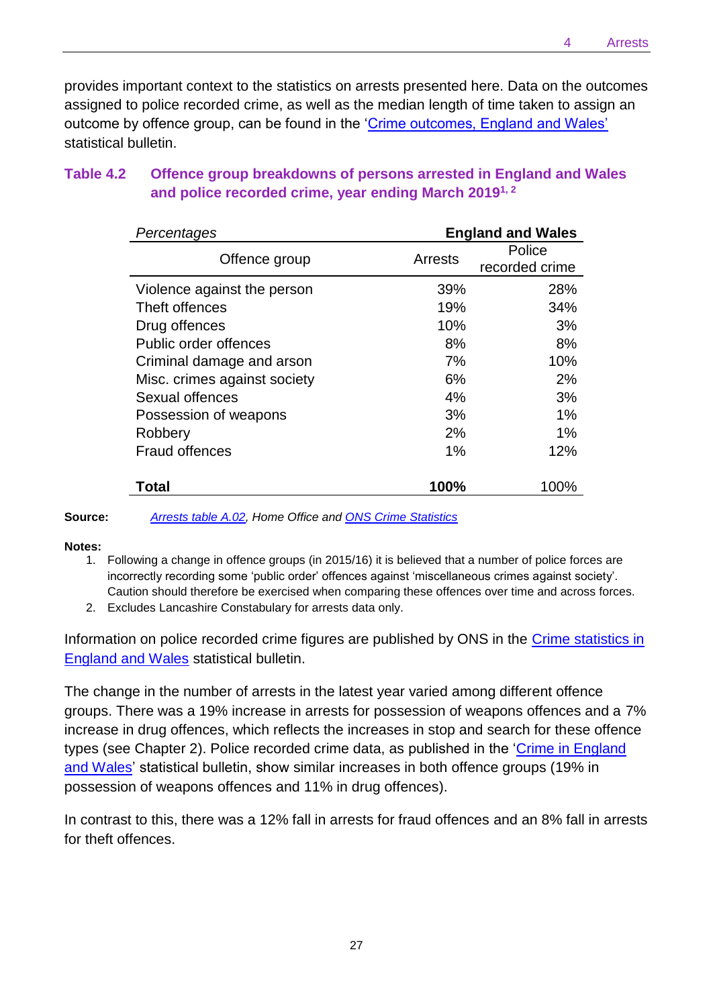provides important context to the statistics on arrests presented here. Data on the outcomes assigned to police recorded crime, as well as the median length of time taken to assign an outcome by offence group, can be found in the ['Crime outcomes, England and Wales'](https://www.gov.uk/government/collections/crime-outcomes-in-england-and-wales-statistics) statistical bulletin.

| Table 4.2 | Offence group breakdowns of persons arrested in England and Wales |
|-----------|-------------------------------------------------------------------|
|           | and police recorded crime, year ending March 2019 <sup>1, 2</sup> |

| Percentages                  |         | <b>England and Wales</b> |
|------------------------------|---------|--------------------------|
| Offence group                | Arrests | Police<br>recorded crime |
| Violence against the person  | 39%     | 28%                      |
| Theft offences               | 19%     | 34%                      |
| Drug offences                | 10%     | 3%                       |
| Public order offences        | 8%      | 8%                       |
| Criminal damage and arson    | 7%      | 10%                      |
| Misc. crimes against society | 6%      | 2%                       |
| Sexual offences              | 4%      | 3%                       |
| Possession of weapons        | 3%      | 1%                       |
| Robbery                      | 2%      | 1%                       |
| <b>Fraud offences</b>        | 1%      | 12%                      |
| Total                        | 100%    | 100%                     |

**Source:** *[Arrests table A.02,](https://www.gov.uk/government/statistics/police-powers-and-procedures-england-and-wales-year-ending-31-march-2019) Home Office and [ONS Crime Statistics](https://www.ons.gov.uk/peoplepopulationandcommunity/crimeandjustice/bulletins/crimeinenglandandwales/yearendingmarch2018)*

#### **Notes:**

- 1. Following a change in offence groups (in 2015/16) it is believed that a number of police forces are incorrectly recording some 'public order' offences against 'miscellaneous crimes against society'. Caution should therefore be exercised when comparing these offences over time and across forces.
- 2. Excludes Lancashire Constabulary for arrests data only.

Information on police recorded crime figures are published by ONS in the [Crime statistics in](https://www.ons.gov.uk/peoplepopulationandcommunity/crimeandjustice/bulletins/crimeinenglandandwales/previousReleases)  [England and Wales](https://www.ons.gov.uk/peoplepopulationandcommunity/crimeandjustice/bulletins/crimeinenglandandwales/previousReleases) statistical bulletin.

The change in the number of arrests in the latest year varied among different offence groups. There was a 19% increase in arrests for possession of weapons offences and a 7% increase in drug offences, which reflects the increases in stop and search for these offence types (see Chapter 2). Police recorded crime data, as published in the 'Crime in England [and Wales'](https://www.ons.gov.uk/peoplepopulationandcommunity/crimeandjustice/bulletins/crimeinenglandandwales/previousReleases) statistical bulletin, show similar increases in both offence groups (19% in possession of weapons offences and 11% in drug offences).

In contrast to this, there was a 12% fall in arrests for fraud offences and an 8% fall in arrests for theft offences.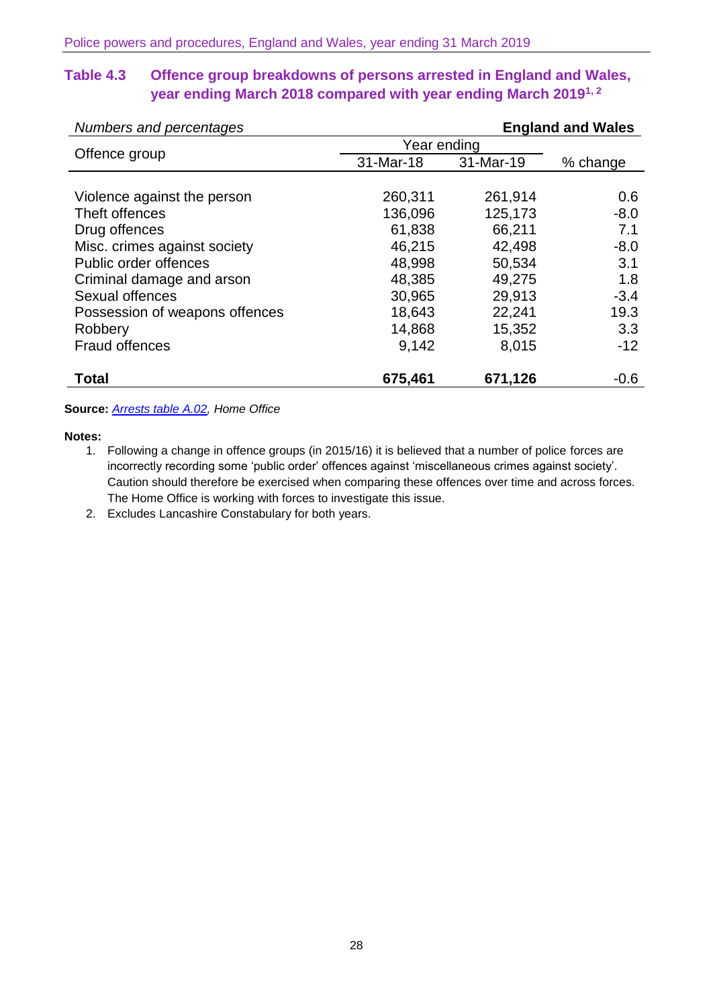## **Table 4.3 Offence group breakdowns of persons arrested in England and Wales, year ending March 2018 compared with year ending March 20191, 2**

| Numbers and percentages        |             |           | <b>England and Wales</b> |
|--------------------------------|-------------|-----------|--------------------------|
|                                | Year ending |           |                          |
| Offence group                  | 31-Mar-18   | 31-Mar-19 | % change                 |
|                                |             |           |                          |
| Violence against the person    | 260,311     | 261,914   | 0.6                      |
| Theft offences                 | 136,096     | 125,173   | $-8.0$                   |
| Drug offences                  | 61,838      | 66,211    | 7.1                      |
| Misc. crimes against society   | 46,215      | 42,498    | $-8.0$                   |
| Public order offences          | 48,998      | 50,534    | 3.1                      |
| Criminal damage and arson      | 48,385      | 49,275    | 1.8                      |
| Sexual offences                | 30,965      | 29,913    | $-3.4$                   |
| Possession of weapons offences | 18,643      | 22,241    | 19.3                     |
| Robbery                        | 14,868      | 15,352    | 3.3                      |
| <b>Fraud offences</b>          | 9,142       | 8,015     | $-12$                    |
| <b>Total</b>                   | 675,461     | 671,126   | $-0.6$                   |

#### **Source:** *[Arrests table A.02,](https://www.gov.uk/government/statistics/police-powers-and-procedures-england-and-wales-year-ending-31-march-2019) Home Office*

#### **Notes:**

- 1. Following a change in offence groups (in 2015/16) it is believed that a number of police forces are incorrectly recording some 'public order' offences against 'miscellaneous crimes against society'. Caution should therefore be exercised when comparing these offences over time and across forces. The Home Office is working with forces to investigate this issue.
- 2. Excludes Lancashire Constabulary for both years.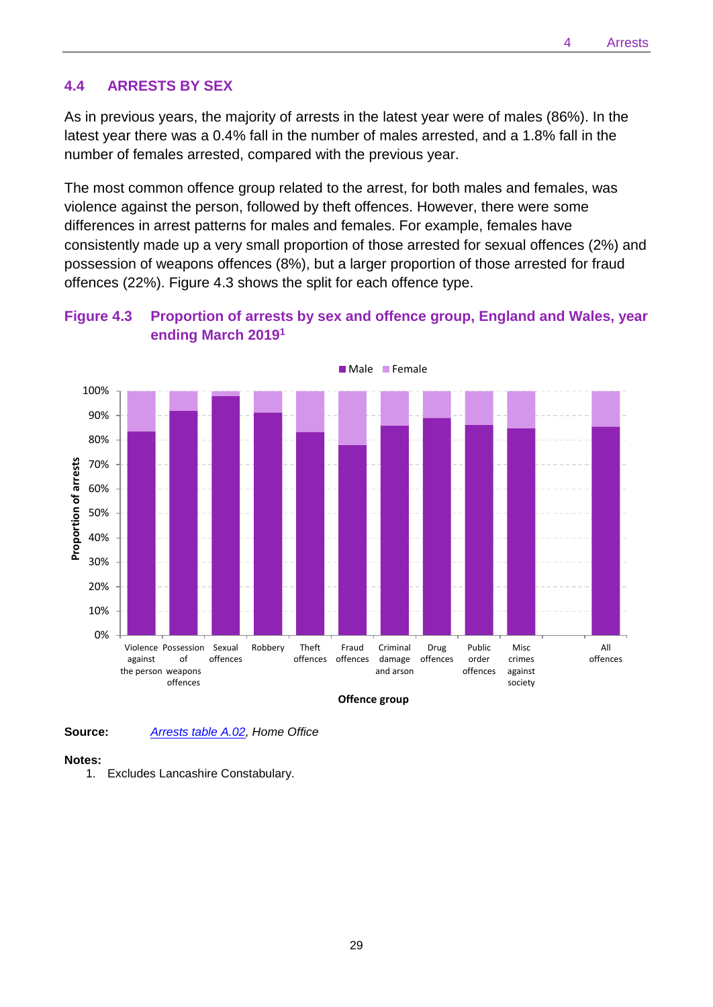#### **4.4 ARRESTS BY SEX**

As in previous years, the majority of arrests in the latest year were of males (86%). In the latest year there was a 0.4% fall in the number of males arrested, and a 1.8% fall in the number of females arrested, compared with the previous year.

The most common offence group related to the arrest, for both males and females, was violence against the person, followed by theft offences. However, there were some differences in arrest patterns for males and females. For example, females have consistently made up a very small proportion of those arrested for sexual offences (2%) and possession of weapons offences (8%), but a larger proportion of those arrested for fraud offences (22%). Figure 4.3 shows the split for each offence type.



## **Figure 4.3 Proportion of arrests by sex and offence group, England and Wales, year ending March 2019 1**

**Offence group**

Criminal damage and arson

Drug offences

Public order offences

Misc crimes against society

All offences

Fraud offences

**Source:** *[Arrests table A.02,](https://www.gov.uk/government/statistics/police-powers-and-procedures-england-and-wales-year-ending-31-march-2019) Home Office*

Violence Possession Sexual

of offences offences

Robbery Theft

offences

against the person weapons

#### **Notes:**

0%

10% 20%

30%

1. Excludes Lancashire Constabulary.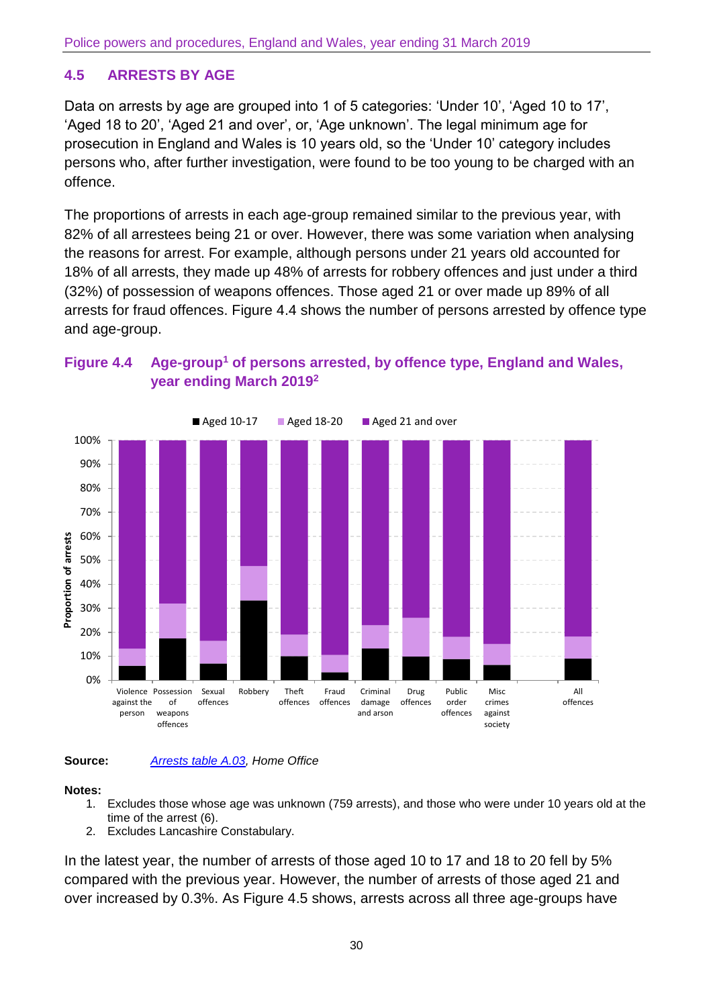# **4.5 ARRESTS BY AGE**

Data on arrests by age are grouped into 1 of 5 categories: 'Under 10', 'Aged 10 to 17', 'Aged 18 to 20', 'Aged 21 and over', or, 'Age unknown'. The legal minimum age for prosecution in England and Wales is 10 years old, so the 'Under 10' category includes persons who, after further investigation, were found to be too young to be charged with an offence.

The proportions of arrests in each age-group remained similar to the previous year, with 82% of all arrestees being 21 or over. However, there was some variation when analysing the reasons for arrest. For example, although persons under 21 years old accounted for 18% of all arrests, they made up 48% of arrests for robbery offences and just under a third (32%) of possession of weapons offences. Those aged 21 or over made up 89% of all arrests for fraud offences. Figure 4.4 shows the number of persons arrested by offence type and age-group.







#### **Notes:**

- 1. Excludes those whose age was unknown (759 arrests), and those who were under 10 years old at the time of the arrest (6).
- 2. Excludes Lancashire Constabulary.

In the latest year, the number of arrests of those aged 10 to 17 and 18 to 20 fell by 5% compared with the previous year. However, the number of arrests of those aged 21 and over increased by 0.3%. As Figure 4.5 shows, arrests across all three age-groups have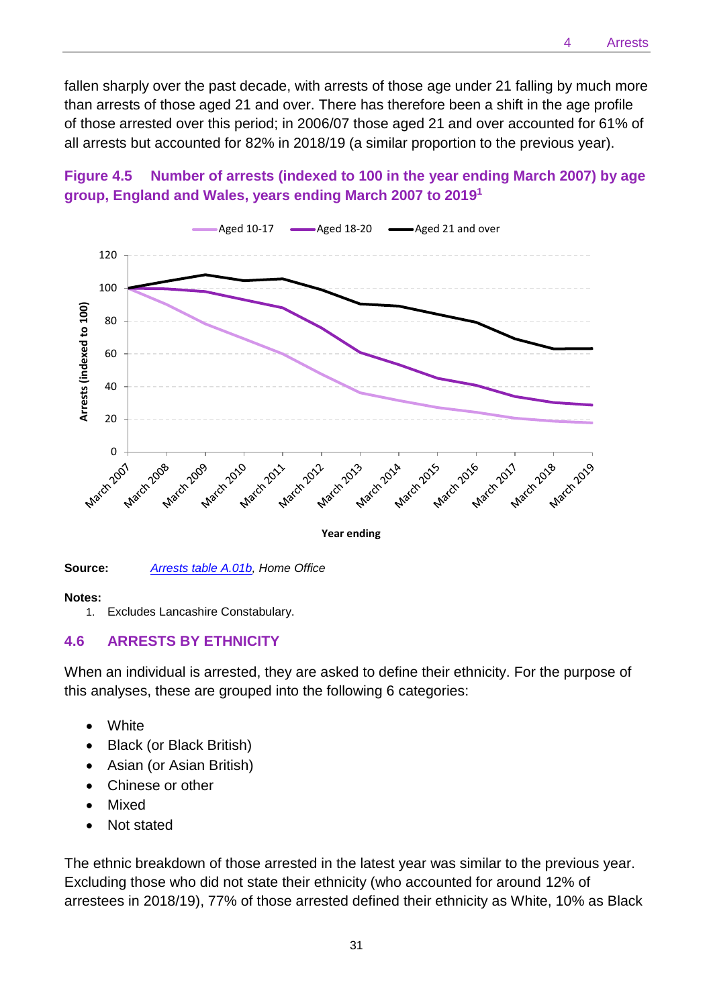fallen sharply over the past decade, with arrests of those age under 21 falling by much more than arrests of those aged 21 and over. There has therefore been a shift in the age profile of those arrested over this period; in 2006/07 those aged 21 and over accounted for 61% of all arrests but accounted for 82% in 2018/19 (a similar proportion to the previous year).





**Source:** *[Arrests table A.01b,](https://www.gov.uk/government/statistics/police-powers-and-procedures-england-and-wales-year-ending-31-march-2019) Home Office*

#### **Notes:**

1. Excludes Lancashire Constabulary.

#### **4.6 ARRESTS BY ETHNICITY**

When an individual is arrested, they are asked to define their ethnicity. For the purpose of this analyses, these are grouped into the following 6 categories:

- White
- Black (or Black British)
- Asian (or Asian British)
- Chinese or other
- **Mixed**
- Not stated

The ethnic breakdown of those arrested in the latest year was similar to the previous year. Excluding those who did not state their ethnicity (who accounted for around 12% of arrestees in 2018/19), 77% of those arrested defined their ethnicity as White, 10% as Black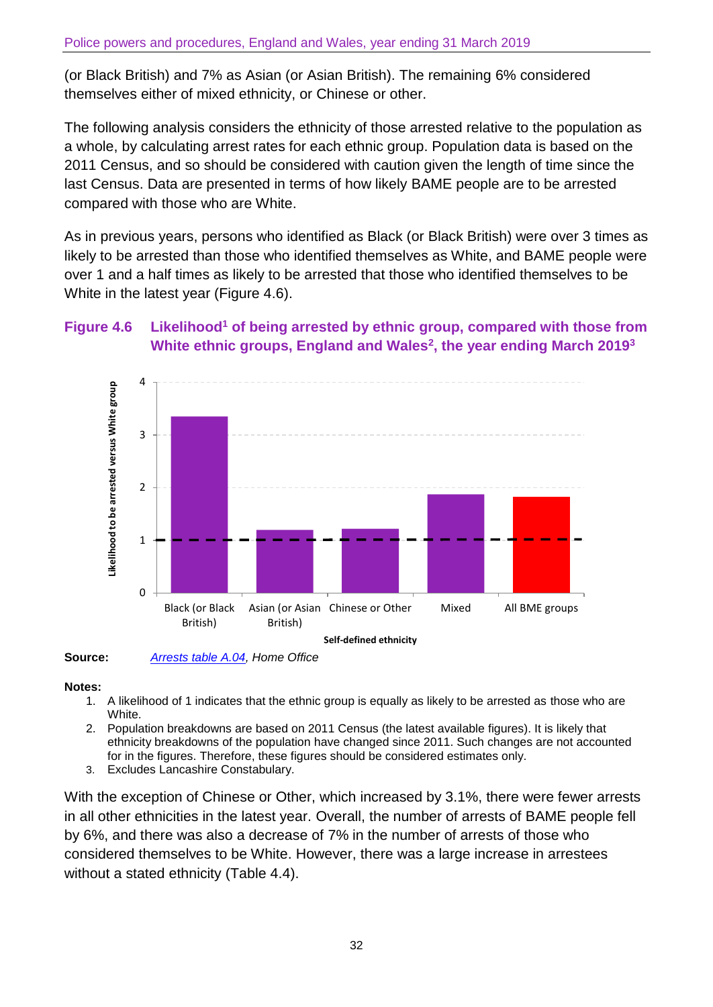(or Black British) and 7% as Asian (or Asian British). The remaining 6% considered themselves either of mixed ethnicity, or Chinese or other.

The following analysis considers the ethnicity of those arrested relative to the population as a whole, by calculating arrest rates for each ethnic group. Population data is based on the 2011 Census, and so should be considered with caution given the length of time since the last Census. Data are presented in terms of how likely BAME people are to be arrested compared with those who are White.

As in previous years, persons who identified as Black (or Black British) were over 3 times as likely to be arrested than those who identified themselves as White, and BAME people were over 1 and a half times as likely to be arrested that those who identified themselves to be White in the latest year (Figure 4.6).

## **Figure 4.6 Likelihood<sup>1</sup> of being arrested by ethnic group, compared with those from White ethnic groups, England and Wales<sup>2</sup> , the year ending March 2019 3**



**Source:** *[Arrests table A.04,](https://www.gov.uk/government/statistics/police-powers-and-procedures-england-and-wales-year-ending-31-march-2019) Home Office*

#### **Notes:**

- 1. A likelihood of 1 indicates that the ethnic group is equally as likely to be arrested as those who are White.
- 2. Population breakdowns are based on 2011 Census (the latest available figures). It is likely that ethnicity breakdowns of the population have changed since 2011. Such changes are not accounted for in the figures. Therefore, these figures should be considered estimates only.
- 3. Excludes Lancashire Constabulary.

With the exception of Chinese or Other, which increased by 3.1%, there were fewer arrests in all other ethnicities in the latest year. Overall, the number of arrests of BAME people fell by 6%, and there was also a decrease of 7% in the number of arrests of those who considered themselves to be White. However, there was a large increase in arrestees without a stated ethnicity (Table 4.4).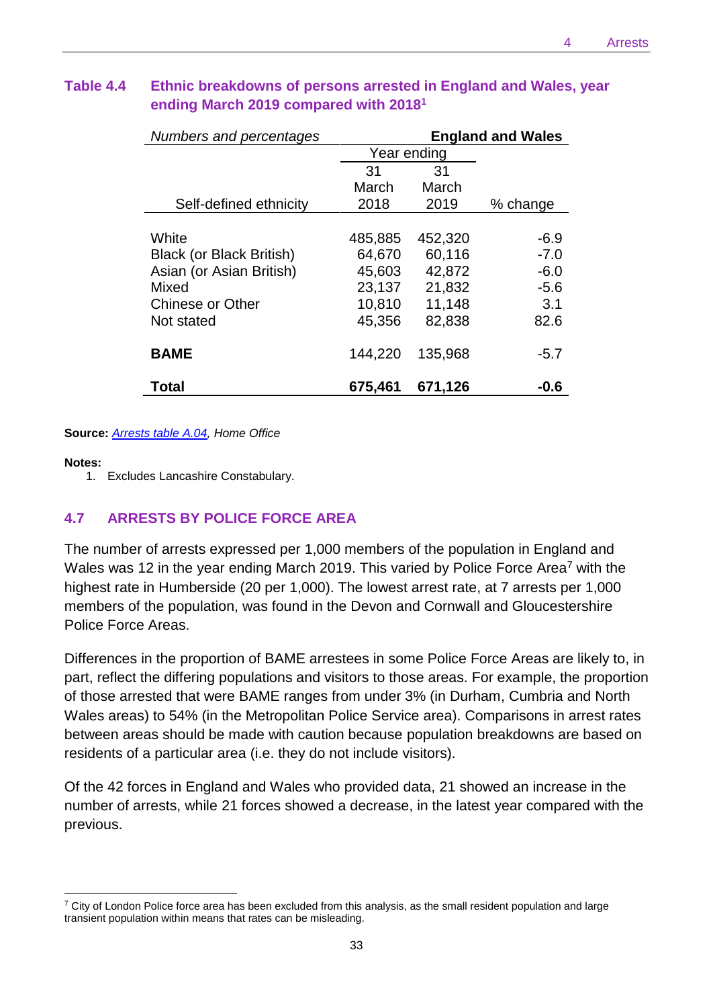| Numbers and percentages  |             | <b>England and Wales</b> |          |
|--------------------------|-------------|--------------------------|----------|
|                          | Year ending |                          |          |
|                          | 31          | 31                       |          |
|                          | March       | March                    |          |
| Self-defined ethnicity   | 2018        | 2019                     | % change |
|                          |             |                          |          |
| White                    | 485,885     | 452,320                  | -6.9     |
| Black (or Black British) | 64,670      | 60,116                   | $-7.0$   |
| Asian (or Asian British) | 45,603      | 42,872                   | $-6.0$   |
| Mixed                    | 23,137      | 21,832                   | $-5.6$   |
| <b>Chinese or Other</b>  | 10,810      | 11,148                   | 3.1      |
| Not stated               | 45,356      | 82,838                   | 82.6     |
|                          |             |                          |          |
| <b>BAME</b>              | 144,220     | 135,968                  | $-5.7$   |
|                          |             |                          |          |
| Total                    | 675,461     | 671,126                  | -0.6     |

# **Table 4.4 Ethnic breakdowns of persons arrested in England and Wales, year ending March 2019 compared with 2018 1**

**Source:** *[Arrests table A.04,](https://www.gov.uk/government/statistics/police-powers-and-procedures-england-and-wales-year-ending-31-march-2019) Home Office*

#### **Notes:**

 $\overline{\phantom{a}}$ 

1. Excludes Lancashire Constabulary.

## **4.7 ARRESTS BY POLICE FORCE AREA**

The number of arrests expressed per 1,000 members of the population in England and Wales was 12 in the year ending March 2019. This varied by Police Force Area<sup>7</sup> with the highest rate in Humberside (20 per 1,000). The lowest arrest rate, at 7 arrests per 1,000 members of the population, was found in the Devon and Cornwall and Gloucestershire Police Force Areas.

Differences in the proportion of BAME arrestees in some Police Force Areas are likely to, in part, reflect the differing populations and visitors to those areas. For example, the proportion of those arrested that were BAME ranges from under 3% (in Durham, Cumbria and North Wales areas) to 54% (in the Metropolitan Police Service area). Comparisons in arrest rates between areas should be made with caution because population breakdowns are based on residents of a particular area (i.e. they do not include visitors).

Of the 42 forces in England and Wales who provided data, 21 showed an increase in the number of arrests, while 21 forces showed a decrease, in the latest year compared with the previous.

 $7$  City of London Police force area has been excluded from this analysis, as the small resident population and large transient population within means that rates can be misleading.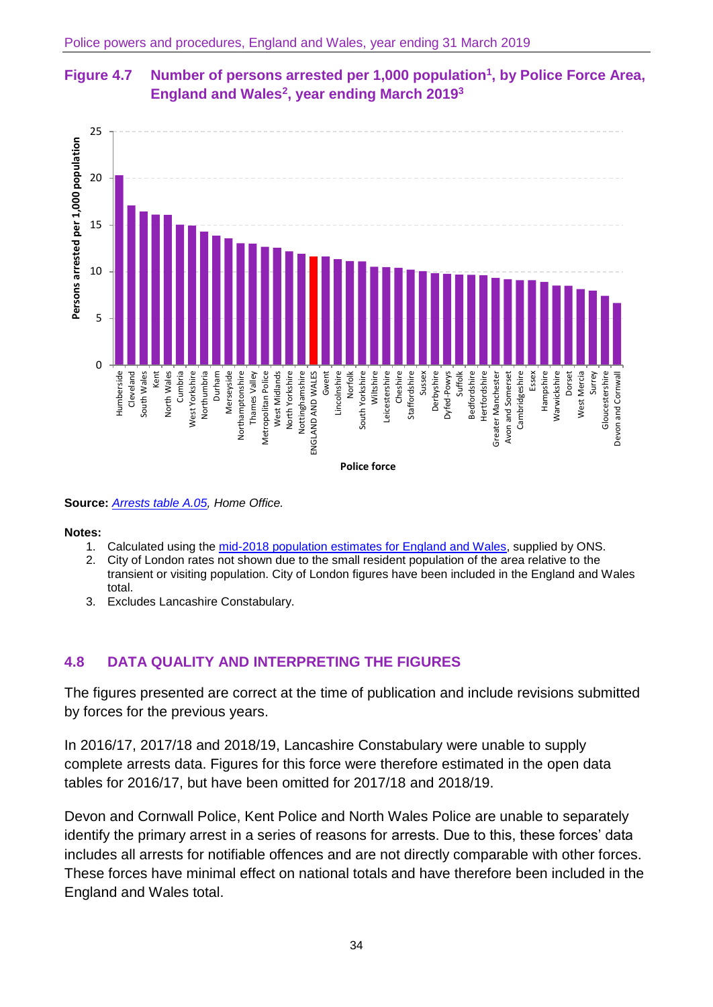# **Figure 4.7 Number of persons arrested per 1,000 population<sup>1</sup> , by Police Force Area, England and Wales<sup>2</sup> , year ending March 2019 3**



**Source:** *[Arrests table A.05,](https://www.gov.uk/government/statistics/police-powers-and-procedures-england-and-wales-year-ending-31-march-2019) Home Office.*

**Notes:**

- 1. Calculated using the mid-2018 [population estimates for England and Wales,](https://www.ons.gov.uk/peoplepopulationandcommunity/populationandmigration/populationestimates/bulletins/annualmidyearpopulationestimates/latest) supplied by ONS.
- 2. City of London rates not shown due to the small resident population of the area relative to the transient or visiting population. City of London figures have been included in the England and Wales total.
- 3. Excludes Lancashire Constabulary.

# **4.8 DATA QUALITY AND INTERPRETING THE FIGURES**

The figures presented are correct at the time of publication and include revisions submitted by forces for the previous years.

In 2016/17, 2017/18 and 2018/19, Lancashire Constabulary were unable to supply complete arrests data. Figures for this force were therefore estimated in the open data tables for 2016/17, but have been omitted for 2017/18 and 2018/19.

Devon and Cornwall Police, Kent Police and North Wales Police are unable to separately identify the primary arrest in a series of reasons for arrests. Due to this, these forces' data includes all arrests for notifiable offences and are not directly comparable with other forces. These forces have minimal effect on national totals and have therefore been included in the England and Wales total.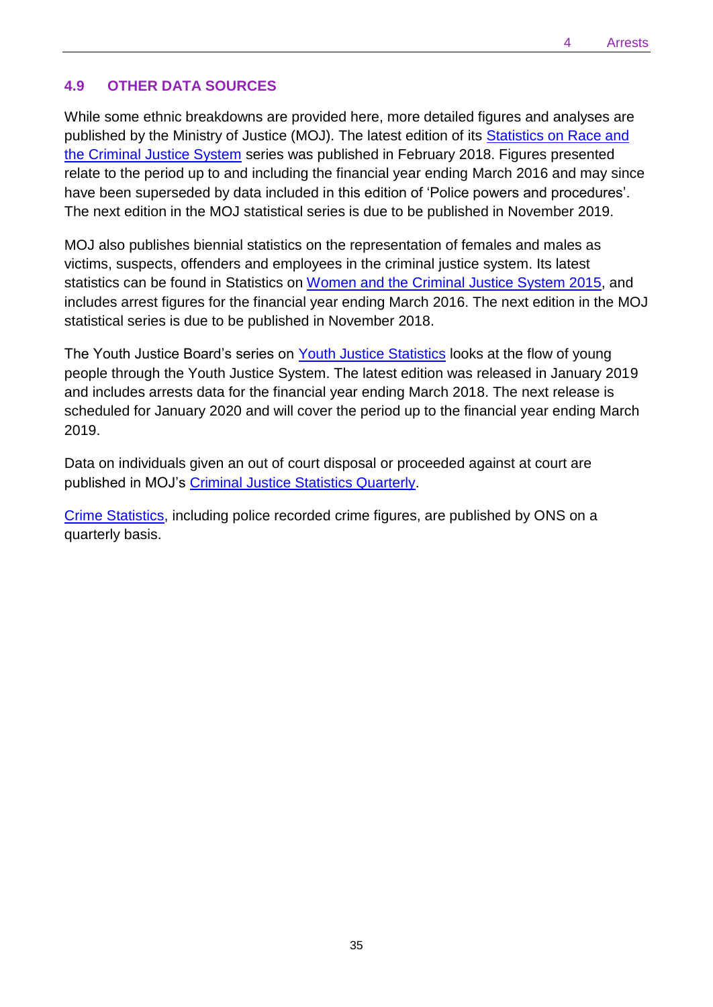## **4.9 OTHER DATA SOURCES**

While some ethnic breakdowns are provided here, more detailed figures and analyses are published by the Ministry of Justice (MOJ). The latest edition of its **Statistics on Race and** [the Criminal Justice System](https://www.gov.uk/government/collections/race-and-the-criminal-justice-system) series was published in February 2018. Figures presented relate to the period up to and including the financial year ending March 2016 and may since have been superseded by data included in this edition of 'Police powers and procedures'. The next edition in the MOJ statistical series is due to be published in November 2019.

MOJ also publishes biennial statistics on the representation of females and males as victims, suspects, offenders and employees in the criminal justice system. Its latest statistics can be found in Statistics on [Women and the Criminal Justice System 2015,](https://www.gov.uk/government/statistics/women-and-the-criminal-justice-system-statistics-2015) and includes arrest figures for the financial year ending March 2016. The next edition in the MOJ statistical series is due to be published in November 2018.

The Youth Justice Board's series on [Youth Justice Statistics](https://www.gov.uk/government/statistics/youth-justice-statistics-2015-to-2016) looks at the flow of young people through the Youth Justice System. The latest edition was released in January 2019 and includes arrests data for the financial year ending March 2018. The next release is scheduled for January 2020 and will cover the period up to the financial year ending March 2019.

Data on individuals given an out of court disposal or proceeded against at court are published in MOJ's [Criminal Justice Statistics Quarterly.](https://www.gov.uk/government/collections/criminal-justice-statistics-quarterly#history)

[Crime Statistics,](http://www.ons.gov.uk/ons/rel/crime-stats/crime-statistics/index.html) including police recorded crime figures, are published by ONS on a quarterly basis.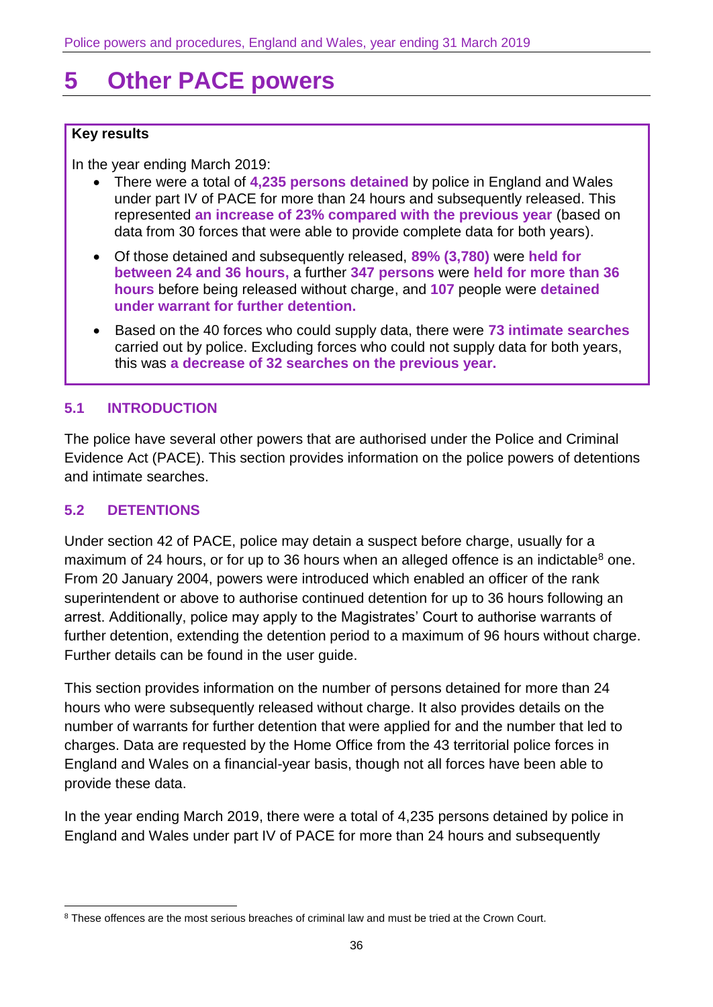# <span id="page-35-0"></span>**5 Other PACE powers**

#### **Key results**

In the year ending March 2019:

- There were a total of **4,235 persons detained** by police in England and Wales under part IV of PACE for more than 24 hours and subsequently released. This represented **an increase of 23% compared with the previous year** (based on data from 30 forces that were able to provide complete data for both years).
- Of those detained and subsequently released, **89% (3,780)** were **held for between 24 and 36 hours,** a further **347 persons** were **held for more than 36 hours** before being released without charge, and **107** people were **detained under warrant for further detention.**
- Based on the 40 forces who could supply data, there were **73 intimate searches** carried out by police. Excluding forces who could not supply data for both years, this was **a decrease of 32 searches on the previous year.**

#### **5.1 INTRODUCTION**

The police have several other powers that are authorised under the Police and Criminal Evidence Act (PACE). This section provides information on the police powers of detentions and intimate searches.

#### **5.2 DETENTIONS**

Under section 42 of PACE, police may detain a suspect before charge, usually for a maximum of 24 hours, or for up to 36 hours when an alleged offence is an indictable<sup>8</sup> one. From 20 January 2004, powers were introduced which enabled an officer of the rank superintendent or above to authorise continued detention for up to 36 hours following an arrest. Additionally, police may apply to the Magistrates' Court to authorise warrants of further detention, extending the detention period to a maximum of 96 hours without charge. Further details can be found in the [user guide.](https://www.gov.uk/government/collections/police-powers-and-procedures-england-and-waleshttps:/www.gov.uk/government/collections/police-powers-and-procedures-england-and-wales)

This section provides information on the number of persons detained for more than 24 hours who were subsequently released without charge. It also provides details on the number of warrants for further detention that were applied for and the number that led to charges. Data are requested by the Home Office from the 43 territorial police forces in England and Wales on a financial-year basis, though not all forces have been able to provide these data.

In the year ending March 2019, there were a total of 4,235 persons detained by police in England and Wales under part IV of PACE for more than 24 hours and subsequently

 $\overline{\phantom{a}}$ <sup>8</sup> These offences are the most serious breaches of criminal law and must be tried at the Crown Court.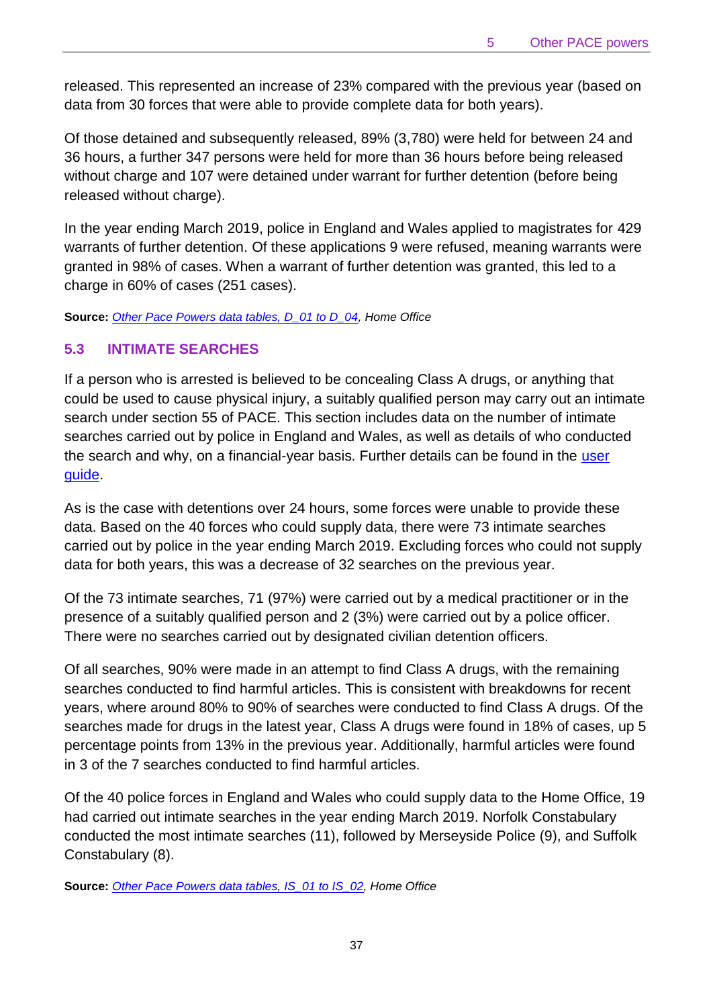released. This represented an increase of 23% compared with the previous year (based on data from 30 forces that were able to provide complete data for both years).

Of those detained and subsequently released, 89% (3,780) were held for between 24 and 36 hours, a further 347 persons were held for more than 36 hours before being released without charge and 107 were detained under warrant for further detention (before being released without charge).

In the year ending March 2019, police in England and Wales applied to magistrates for 429 warrants of further detention. Of these applications 9 were refused, meaning warrants were granted in 98% of cases. When a warrant of further detention was granted, this led to a charge in 60% of cases (251 cases).

**Source:** *[Other Pace Powers data tables, D\\_01 to D\\_04,](https://www.gov.uk/government/statistics/police-powers-and-procedures-england-and-wales-year-ending-31-march-2018) Home Office*

#### **5.3 INTIMATE SEARCHES**

If a person who is arrested is believed to be concealing Class A drugs, or anything that could be used to cause physical injury, a suitably qualified person may carry out an intimate search under section 55 of PACE. This section includes data on the number of intimate searches carried out by police in England and Wales, as well as details of who conducted the search and why, on a financial-year basis. Further details can be found in the [user](https://www.gov.uk/government/collections/police-powers-and-procedures-england-and-wales)  [guide.](https://www.gov.uk/government/collections/police-powers-and-procedures-england-and-wales)

As is the case with detentions over 24 hours, some forces were unable to provide these data. Based on the 40 forces who could supply data, there were 73 intimate searches carried out by police in the year ending March 2019. Excluding forces who could not supply data for both years, this was a decrease of 32 searches on the previous year.

Of the 73 intimate searches, 71 (97%) were carried out by a medical practitioner or in the presence of a suitably qualified person and 2 (3%) were carried out by a police officer. There were no searches carried out by designated civilian detention officers.

Of all searches, 90% were made in an attempt to find Class A drugs, with the remaining searches conducted to find harmful articles. This is consistent with breakdowns for recent years, where around 80% to 90% of searches were conducted to find Class A drugs. Of the searches made for drugs in the latest year, Class A drugs were found in 18% of cases, up 5 percentage points from 13% in the previous year. Additionally, harmful articles were found in 3 of the 7 searches conducted to find harmful articles.

Of the 40 police forces in England and Wales who could supply data to the Home Office, 19 had carried out intimate searches in the year ending March 2019. Norfolk Constabulary conducted the most intimate searches (11), followed by Merseyside Police (9), and Suffolk Constabulary (8).

**Source:** *[Other Pace Powers data tables, IS\\_01 to IS\\_02](https://www.gov.uk/government/statistics/police-powers-and-procedures-england-and-wales-year-ending-31-march-2019), Home Office*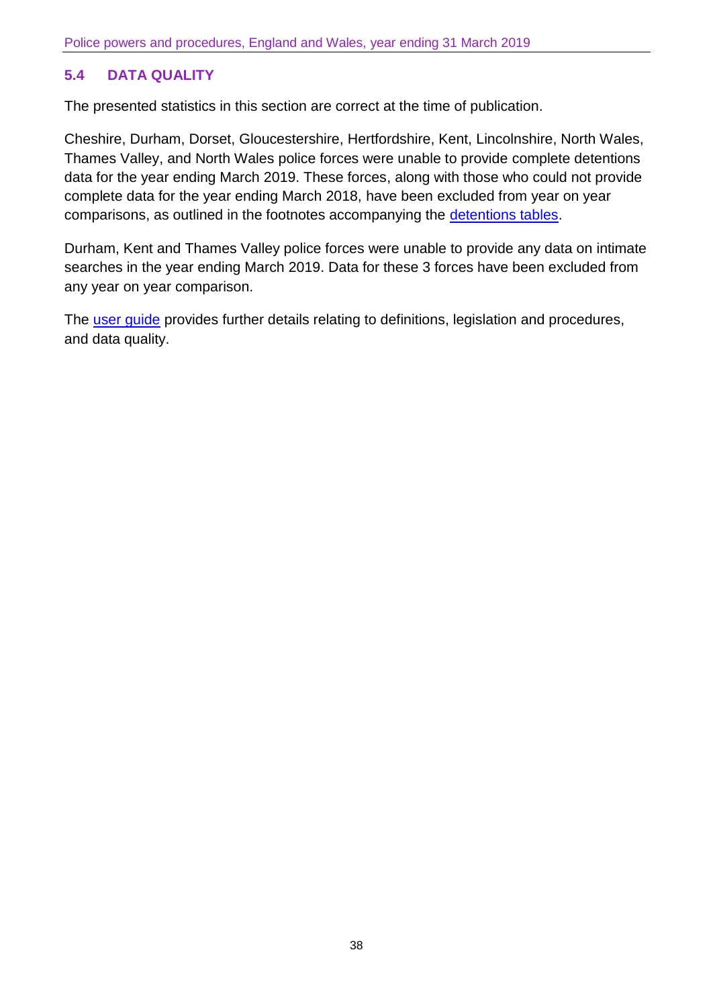# **5.4 DATA QUALITY**

The presented statistics in this section are correct at the time of publication.

Cheshire, Durham, Dorset, Gloucestershire, Hertfordshire, Kent, Lincolnshire, North Wales, Thames Valley, and North Wales police forces were unable to provide complete detentions data for the year ending March 2019. These forces, along with those who could not provide complete data for the year ending March 2018, have been excluded from year on year comparisons, as outlined in the footnotes accompanying the [detentions tables.](https://www.gov.uk/government/statistics/police-powers-and-procedures-england-and-wales-year-ending-31-march-2019)

Durham, Kent and Thames Valley police forces were unable to provide any data on intimate searches in the year ending March 2019. Data for these 3 forces have been excluded from any year on year comparison.

The [user guide](https://www.gov.uk/government/collections/police-powers-and-procedures-england-and-wales) provides further details relating to definitions, legislation and procedures, and data quality.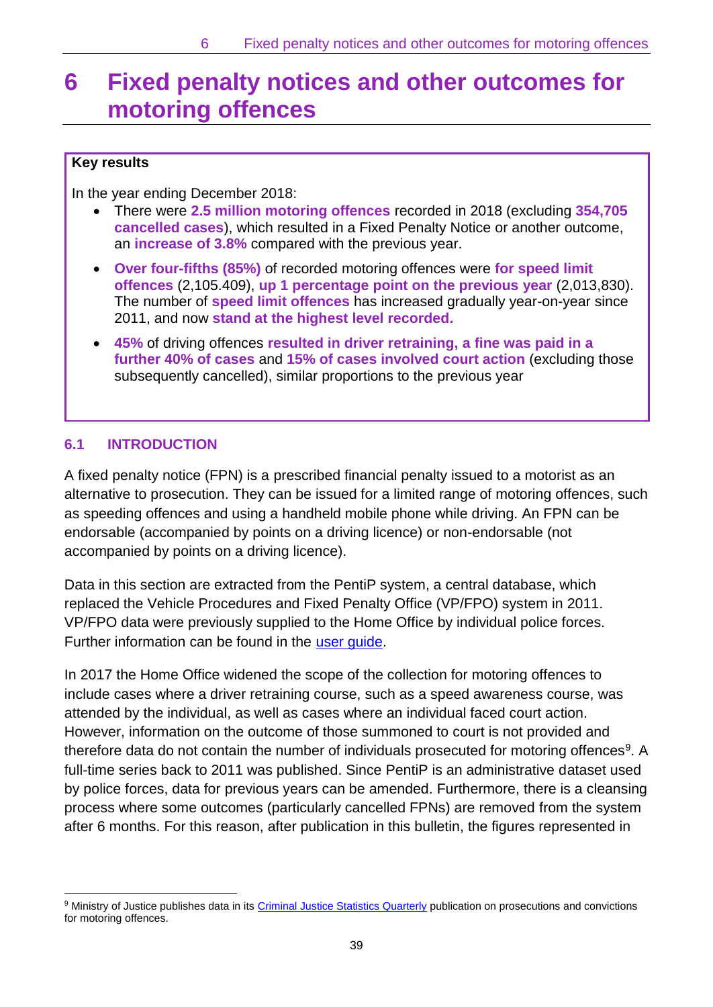# <span id="page-38-0"></span>**6 Fixed penalty notices and other outcomes for motoring offences**

### **Key results**

In the year ending December 2018:

- There were **2.5 million motoring offences** recorded in 2018 (excluding **354,705 cancelled cases**), which resulted in a Fixed Penalty Notice or another outcome, an **increase of 3.8%** compared with the previous year.
- **Over four-fifths (85%)** of recorded motoring offences were **for speed limit offences** (2,105.409), **up 1 percentage point on the previous year** (2,013,830). The number of **speed limit offences** has increased gradually year-on-year since 2011, and now **stand at the highest level recorded.**
- **45%** of driving offences **resulted in driver retraining, a fine was paid in a further 40% of cases** and **15% of cases involved court action** (excluding those subsequently cancelled), similar proportions to the previous year

## **6.1 INTRODUCTION**

 $\overline{\phantom{a}}$ 

A fixed penalty notice (FPN) is a prescribed financial penalty issued to a motorist as an alternative to prosecution. They can be issued for a limited range of motoring offences, such as speeding offences and using a handheld mobile phone while driving. An FPN can be endorsable (accompanied by points on a driving licence) or non-endorsable (not accompanied by points on a driving licence).

Data in this section are extracted from the PentiP system, a central database, which replaced the Vehicle Procedures and Fixed Penalty Office (VP/FPO) system in 2011. VP/FPO data were previously supplied to the Home Office by individual police forces. Further information can be found in the [user guide.](https://www.gov.uk/government/collections/police-powers-and-procedures-england-and-wales)

In 2017 the Home Office widened the scope of the collection for motoring offences to include cases where a driver retraining course, such as a speed awareness course, was attended by the individual, as well as cases where an individual faced court action. However, information on the outcome of those summoned to court is not provided and therefore data do not contain the number of individuals prosecuted for motoring offences<sup>9</sup>. A full-time series back to 2011 was published. Since PentiP is an administrative dataset used by police forces, data for previous years can be amended. Furthermore, there is a cleansing process where some outcomes (particularly cancelled FPNs) are removed from the system after 6 months. For this reason, after publication in this bulletin, the figures represented in

<sup>9</sup> Ministry of Justice publishes data in its [Criminal Justice Statistics Quarterly](https://www.gov.uk/government/collections/criminal-justice-statistics-quarterly) publication on prosecutions and convictions for motoring offences.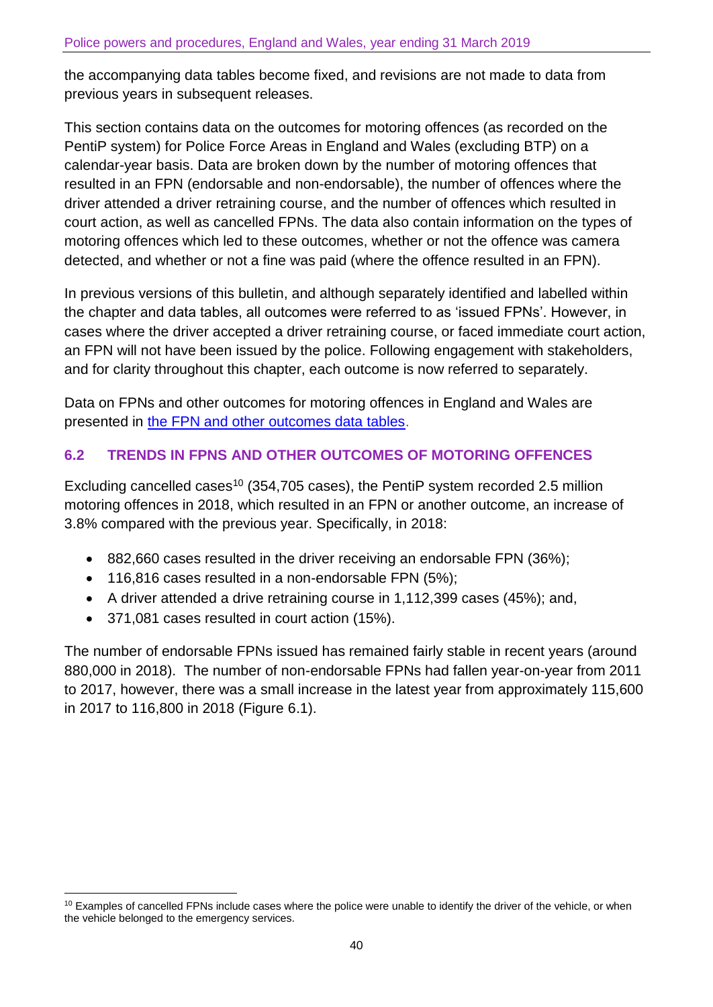the accompanying data tables become fixed, and revisions are not made to data from previous years in subsequent releases.

This section contains data on the outcomes for motoring offences (as recorded on the PentiP system) for Police Force Areas in England and Wales (excluding BTP) on a calendar-year basis. Data are broken down by the number of motoring offences that resulted in an FPN (endorsable and non-endorsable), the number of offences where the driver attended a driver retraining course, and the number of offences which resulted in court action, as well as cancelled FPNs. The data also contain information on the types of motoring offences which led to these outcomes, whether or not the offence was camera detected, and whether or not a fine was paid (where the offence resulted in an FPN).

In previous versions of this bulletin, and although separately identified and labelled within the chapter and data tables, all outcomes were referred to as 'issued FPNs'. However, in cases where the driver accepted a driver retraining course, or faced immediate court action, an FPN will not have been issued by the police. Following engagement with stakeholders, and for clarity throughout this chapter, each outcome is now referred to separately.

Data on FPNs and other outcomes for motoring offences in England and Wales are presented in [the FPN and other outcomes data tables.](https://www.gov.uk/government/statistics/police-powers-and-procedures-england-and-wales-year-ending-31-march-2019)

# **6.2 TRENDS IN FPNS AND OTHER OUTCOMES OF MOTORING OFFENCES**

Excluding cancelled cases<sup>10</sup> (354,705 cases), the PentiP system recorded 2.5 million motoring offences in 2018, which resulted in an FPN or another outcome, an increase of 3.8% compared with the previous year. Specifically, in 2018:

- 882,660 cases resulted in the driver receiving an endorsable FPN (36%);
- 116,816 cases resulted in a non-endorsable FPN (5%);
- A driver attended a drive retraining course in 1,112,399 cases (45%); and,
- 371,081 cases resulted in court action (15%).

 $\overline{\phantom{a}}$ 

The number of endorsable FPNs issued has remained fairly stable in recent years (around 880,000 in 2018). The number of non-endorsable FPNs had fallen year-on-year from 2011 to 2017, however, there was a small increase in the latest year from approximately 115,600 in 2017 to 116,800 in 2018 (Figure 6.1).

 $10$  Examples of cancelled FPNs include cases where the police were unable to identify the driver of the vehicle, or when the vehicle belonged to the emergency services.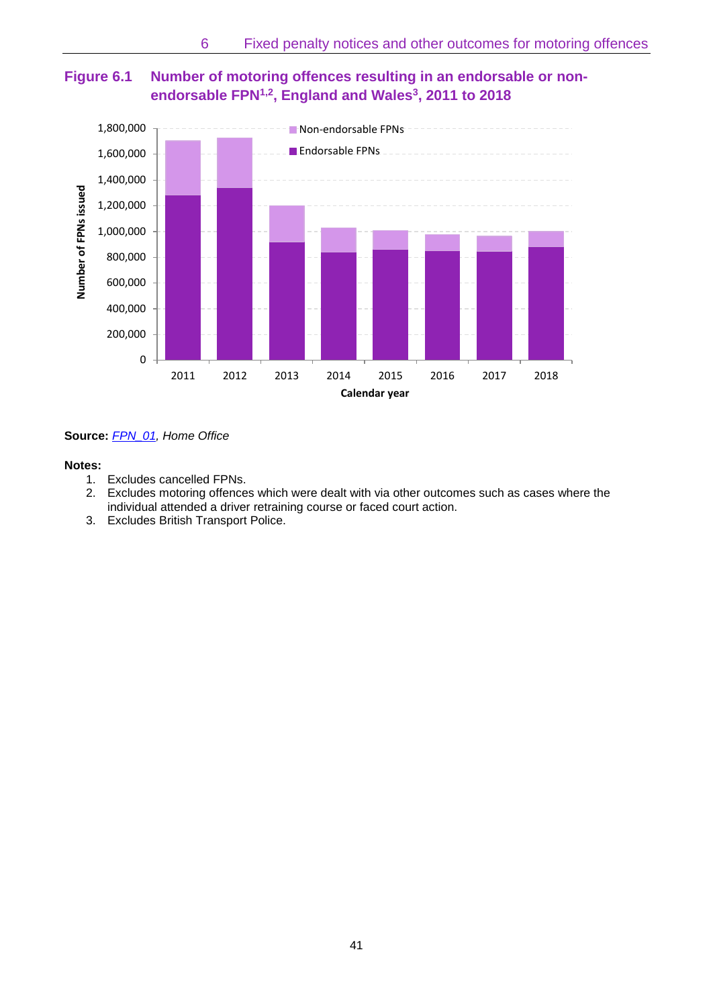



**Source:** *[FPN\\_01,](https://www.gov.uk/government/statistics/police-powers-and-procedures-england-and-wales-year-ending-31-march-2019) Home Office*

#### **Notes:**

- 1. Excludes cancelled FPNs.
- 2. Excludes motoring offences which were dealt with via other outcomes such as cases where the individual attended a driver retraining course or faced court action.
- 3. Excludes British Transport Police.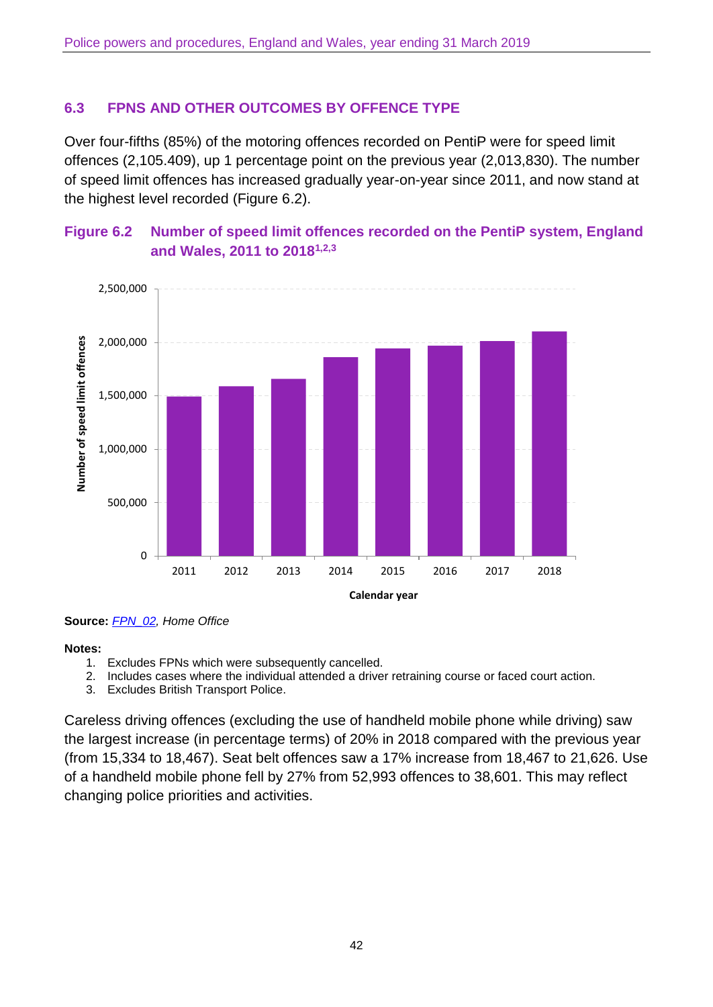## **6.3 FPNS AND OTHER OUTCOMES BY OFFENCE TYPE**

Over four-fifths (85%) of the motoring offences recorded on PentiP were for speed limit offences (2,105.409), up 1 percentage point on the previous year (2,013,830). The number of speed limit offences has increased gradually year-on-year since 2011, and now stand at the highest level recorded (Figure 6.2).





**Source:** *[FPN\\_02,](https://www.gov.uk/government/statistics/police-powers-and-procedures-england-and-wales-year-ending-31-march-2019) Home Office*

#### **Notes:**

- 1. Excludes FPNs which were subsequently cancelled.
- 2. Includes cases where the individual attended a driver retraining course or faced court action.
- 3. Excludes British Transport Police.

Careless driving offences (excluding the use of handheld mobile phone while driving) saw the largest increase (in percentage terms) of 20% in 2018 compared with the previous year (from 15,334 to 18,467). Seat belt offences saw a 17% increase from 18,467 to 21,626. Use of a handheld mobile phone fell by 27% from 52,993 offences to 38,601. This may reflect changing police priorities and activities.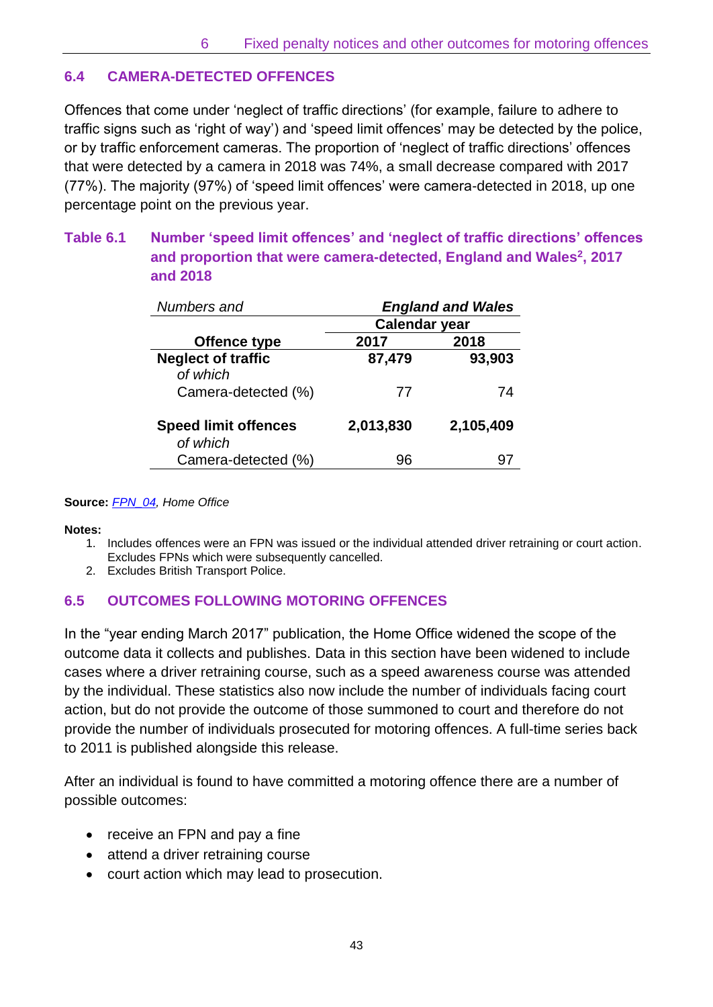# **6.4 CAMERA-DETECTED OFFENCES**

Offences that come under 'neglect of traffic directions' (for example, failure to adhere to traffic signs such as 'right of way') and 'speed limit offences' may be detected by the police, or by traffic enforcement cameras. The proportion of 'neglect of traffic directions' offences that were detected by a camera in 2018 was 74%, a small decrease compared with 2017 (77%). The majority (97%) of 'speed limit offences' were camera-detected in 2018, up one percentage point on the previous year.

## **Table 6.1 Number 'speed limit offences' and 'neglect of traffic directions' offences and proportion that were camera-detected, England and Wales<sup>2</sup> , 2017 and 2018**

| Numbers and                             | <b>England and Wales</b> |           |  |  |
|-----------------------------------------|--------------------------|-----------|--|--|
|                                         | <b>Calendar year</b>     |           |  |  |
| Offence type                            | 2017                     | 2018      |  |  |
| <b>Neglect of traffic</b><br>of which   | 87,479                   | 93,903    |  |  |
| Camera-detected (%)                     | 77                       | 74        |  |  |
| <b>Speed limit offences</b><br>of which | 2,013,830                | 2,105,409 |  |  |
| Camera-detected (%)                     | 96                       |           |  |  |

#### **Source:** *[FPN\\_04,](https://www.gov.uk/government/statistics/police-powers-and-procedures-england-and-wales-year-ending-31-march-2019) Home Office*

**Notes:**

- 1. Includes offences were an FPN was issued or the individual attended driver retraining or court action. Excludes FPNs which were subsequently cancelled.
- 2. Excludes British Transport Police.

## **6.5 OUTCOMES FOLLOWING MOTORING OFFENCES**

In the "year ending March 2017" publication, the Home Office widened the scope of the outcome data it collects and publishes. Data in this section have been widened to include cases where a driver retraining course, such as a speed awareness course was attended by the individual. These statistics also now include the number of individuals facing court action, but do not provide the outcome of those summoned to court and therefore do not provide the number of individuals prosecuted for motoring offences. A full-time series back to 2011 is published alongside this release.

After an individual is found to have committed a motoring offence there are a number of possible outcomes:

- receive an FPN and pay a fine
- attend a driver retraining course
- court action which may lead to prosecution.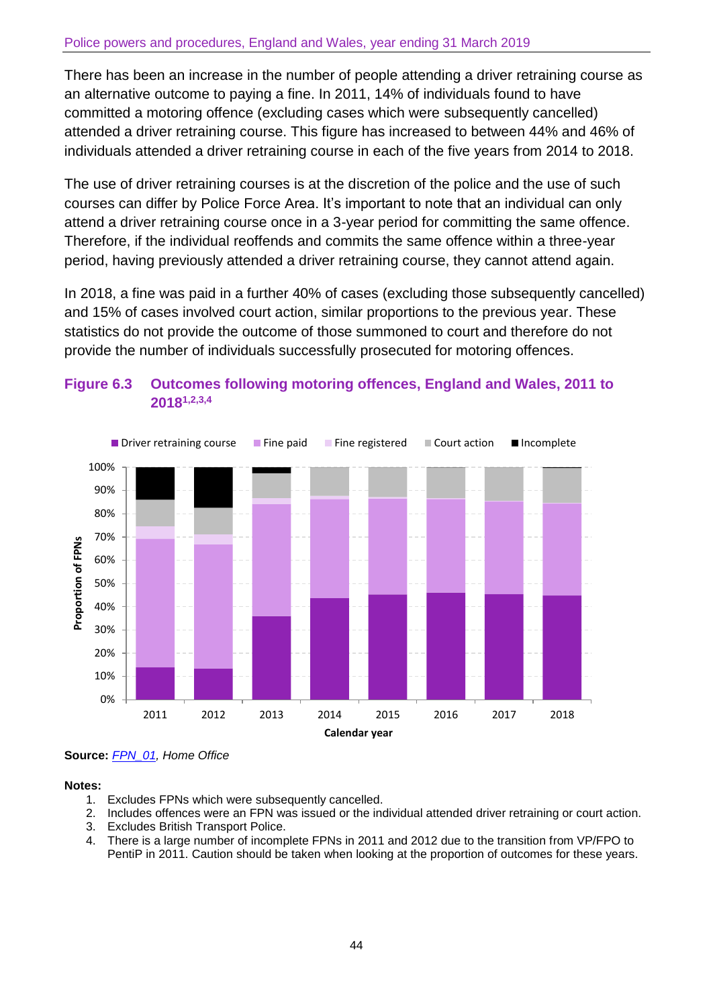There has been an increase in the number of people attending a driver retraining course as an alternative outcome to paying a fine. In 2011, 14% of individuals found to have committed a motoring offence (excluding cases which were subsequently cancelled) attended a driver retraining course. This figure has increased to between 44% and 46% of individuals attended a driver retraining course in each of the five years from 2014 to 2018.

The use of driver retraining courses is at the discretion of the police and the use of such courses can differ by Police Force Area. It's important to note that an individual can only attend a driver retraining course once in a 3-year period for committing the same offence. Therefore, if the individual reoffends and commits the same offence within a three-year period, having previously attended a driver retraining course, they cannot attend again.

In 2018, a fine was paid in a further 40% of cases (excluding those subsequently cancelled) and 15% of cases involved court action, similar proportions to the previous year. These statistics do not provide the outcome of those summoned to court and therefore do not provide the number of individuals successfully prosecuted for motoring offences.



**Figure 6.3 Outcomes following motoring offences, England and Wales, 2011 to 20181,2,3,4**

**Source:** *[FPN\\_01,](https://www.gov.uk/government/statistics/police-powers-and-procedures-england-and-wales-year-ending-31-march-2019) Home Office*

#### **Notes:**

- 1. Excludes FPNs which were subsequently cancelled.
- 2. Includes offences were an FPN was issued or the individual attended driver retraining or court action.
- 3. Excludes British Transport Police.
- 4. There is a large number of incomplete FPNs in 2011 and 2012 due to the transition from VP/FPO to PentiP in 2011. Caution should be taken when looking at the proportion of outcomes for these years.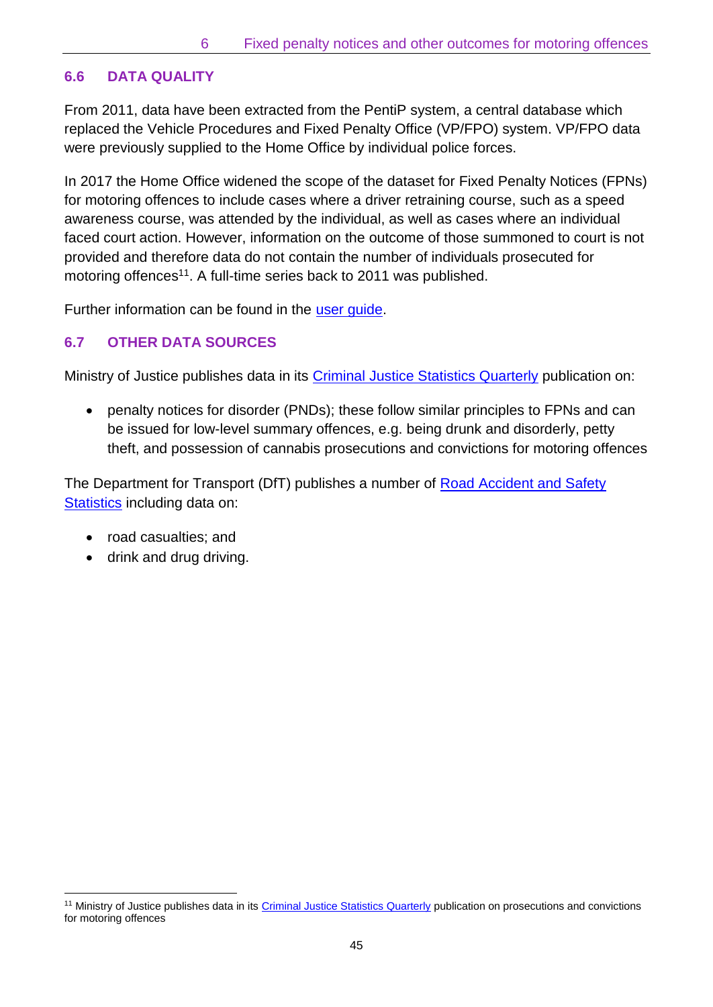# **6.6 DATA QUALITY**

From 2011, data have been extracted from the PentiP system, a central database which replaced the Vehicle Procedures and Fixed Penalty Office (VP/FPO) system. VP/FPO data were previously supplied to the Home Office by individual police forces.

In 2017 the Home Office widened the scope of the dataset for Fixed Penalty Notices (FPNs) for motoring offences to include cases where a driver retraining course, such as a speed awareness course, was attended by the individual, as well as cases where an individual faced court action. However, information on the outcome of those summoned to court is not provided and therefore data do not contain the number of individuals prosecuted for motoring offences<sup>11</sup>. A full-time series back to 2011 was published.

Further information can be found in the user quide.

# **6.7 OTHER DATA SOURCES**

Ministry of Justice publishes data in its [Criminal Justice Statistics Quarterly](https://www.gov.uk/government/collections/criminal-justice-statistics-quarterly) publication on:

• penalty notices for disorder (PNDs); these follow similar principles to FPNs and can be issued for low-level summary offences, e.g. being drunk and disorderly, petty theft, and possession of cannabis prosecutions and convictions for motoring offences

The Department for Transport (DfT) publishes a number of Road Accident and Safety [Statistics](https://www.gov.uk/government/collections/road-accidents-and-safety-statistics) including data on:

• road casualties; and

 $\overline{\phantom{a}}$ 

• drink and drug driving.

<sup>&</sup>lt;sup>11</sup> Ministry of Justice publishes data in it[s Criminal Justice Statistics Quarterly](https://www.gov.uk/government/collections/criminal-justice-statistics-quarterly) publication on prosecutions and convictions for motoring offences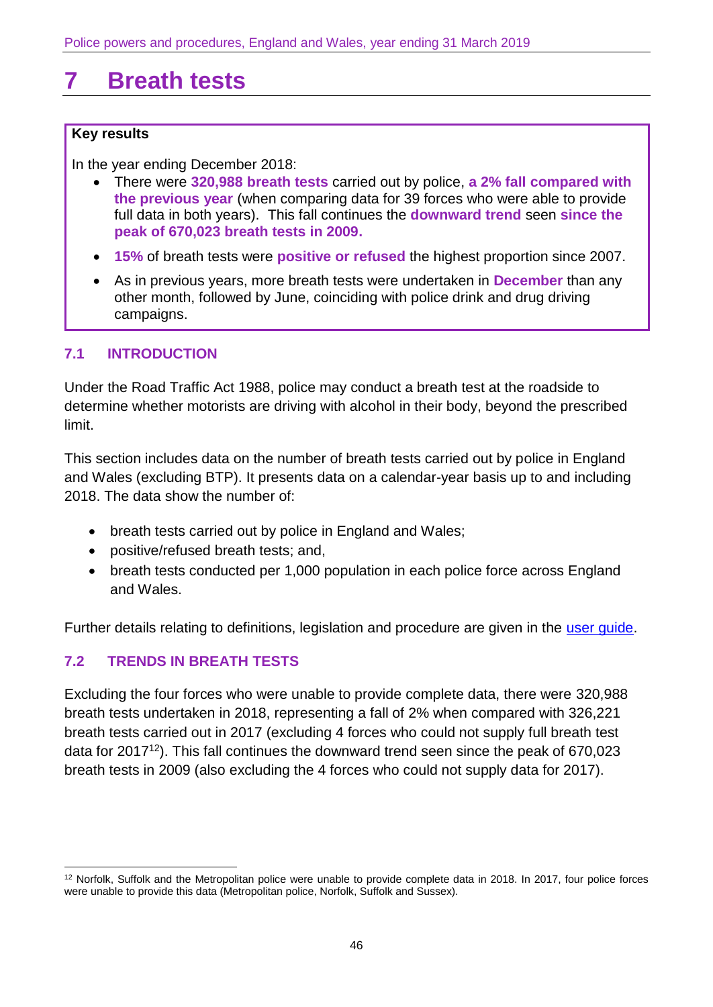# <span id="page-45-0"></span>**7 Breath tests**

#### **Key results**

In the year ending December 2018:

- There were **320,988 breath tests** carried out by police, **a 2% fall compared with the previous year** (when comparing data for 39 forces who were able to provide full data in both years). This fall continues the **downward trend** seen **since the peak of 670,023 breath tests in 2009.**
- **15%** of breath tests were **positive or refused** the highest proportion since 2007.
- As in previous years, more breath tests were undertaken in **December** than any other month, followed by June, coinciding with police drink and drug driving campaigns.

#### **7.1 INTRODUCTION**

Under the Road Traffic Act 1988, police may conduct a breath test at the roadside to determine whether motorists are driving with alcohol in their body, beyond the prescribed limit.

This section includes data on the number of breath tests carried out by police in England and Wales (excluding BTP). It presents data on a calendar-year basis up to and including 2018. The data show the number of:

- breath tests carried out by police in England and Wales;
- positive/refused breath tests; and,
- breath tests conducted per 1,000 population in each police force across England and Wales.

Further details relating to definitions, legislation and procedure are given in the [user guide.](https://www.gov.uk/government/publications/police-powers-and-procedures-in-england-and-wales-201112-user-guide)

## **7.2 TRENDS IN BREATH TESTS**

Excluding the four forces who were unable to provide complete data, there were 320,988 breath tests undertaken in 2018, representing a fall of 2% when compared with 326,221 breath tests carried out in 2017 (excluding 4 forces who could not supply full breath test data for 2017<sup>12</sup>). This fall continues the downward trend seen since the peak of 670,023 breath tests in 2009 (also excluding the 4 forces who could not supply data for 2017).

 $\overline{\phantom{a}}$ <sup>12</sup> Norfolk, Suffolk and the Metropolitan police were unable to provide complete data in 2018. In 2017, four police forces were unable to provide this data (Metropolitan police, Norfolk, Suffolk and Sussex).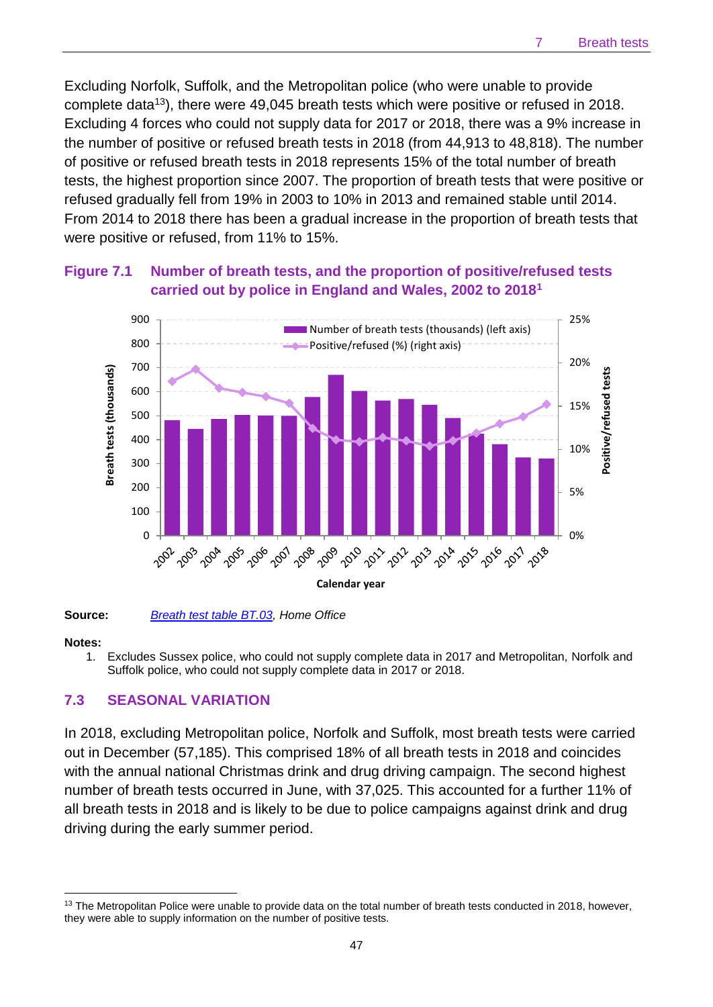Excluding Norfolk, Suffolk, and the Metropolitan police (who were unable to provide complete data<sup>13</sup>), there were 49,045 breath tests which were positive or refused in 2018. Excluding 4 forces who could not supply data for 2017 or 2018, there was a 9% increase in the number of positive or refused breath tests in 2018 (from 44,913 to 48,818). The number of positive or refused breath tests in 2018 represents 15% of the total number of breath tests, the highest proportion since 2007. The proportion of breath tests that were positive or refused gradually fell from 19% in 2003 to 10% in 2013 and remained stable until 2014. From 2014 to 2018 there has been a gradual increase in the proportion of breath tests that were positive or refused, from 11% to 15%.



## **Figure 7.1 Number of breath tests, and the proportion of positive/refused tests carried out by police in England and Wales, 2002 to 2018<sup>1</sup>**

**Source:** *[Breath test table BT.03,](https://www.gov.uk/government/statistics/police-powers-and-procedures-england-and-wales-year-ending-31-march-2019) Home Office*

#### **Notes:**

 $\overline{\phantom{a}}$ 

1. Excludes Sussex police, who could not supply complete data in 2017 and Metropolitan, Norfolk and Suffolk police, who could not supply complete data in 2017 or 2018.

#### **7.3 SEASONAL VARIATION**

In 2018, excluding Metropolitan police, Norfolk and Suffolk, most breath tests were carried out in December (57,185). This comprised 18% of all breath tests in 2018 and coincides with the annual national Christmas drink and drug driving campaign. The second highest number of breath tests occurred in June, with 37,025. This accounted for a further 11% of all breath tests in 2018 and is likely to be due to police campaigns against drink and drug driving during the early summer period.

<sup>&</sup>lt;sup>13</sup> The Metropolitan Police were unable to provide data on the total number of breath tests conducted in 2018, however, they were able to supply information on the number of positive tests.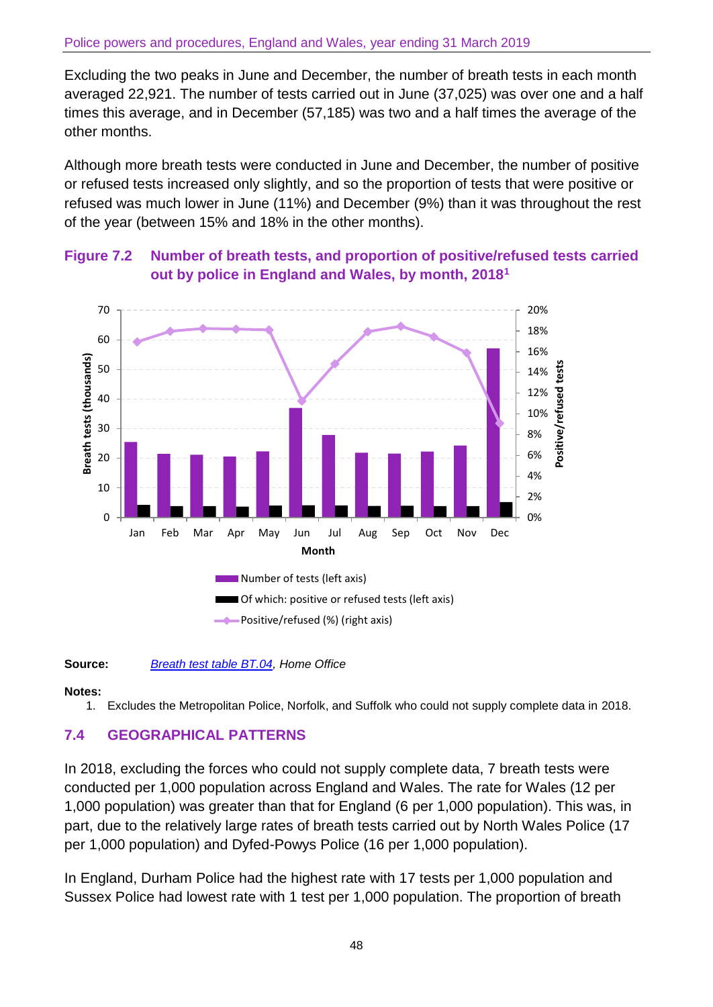Excluding the two peaks in June and December, the number of breath tests in each month averaged 22,921. The number of tests carried out in June (37,025) was over one and a half times this average, and in December (57,185) was two and a half times the average of the other months.

Although more breath tests were conducted in June and December, the number of positive or refused tests increased only slightly, and so the proportion of tests that were positive or refused was much lower in June (11%) and December (9%) than it was throughout the rest of the year (between 15% and 18% in the other months).



# **Figure 7.2 Number of breath tests, and proportion of positive/refused tests carried out by police in England and Wales, by month, 2018<sup>1</sup>**

**Source:** *[Breath test table BT.04,](https://www.gov.uk/government/statistics/police-powers-and-procedures-england-and-wales-year-ending-31-march-2019) Home Office*

#### **Notes:**

1. Excludes the Metropolitan Police, Norfolk, and Suffolk who could not supply complete data in 2018.

## **7.4 GEOGRAPHICAL PATTERNS**

In 2018, excluding the forces who could not supply complete data, 7 breath tests were conducted per 1,000 population across England and Wales. The rate for Wales (12 per 1,000 population) was greater than that for England (6 per 1,000 population). This was, in part, due to the relatively large rates of breath tests carried out by North Wales Police (17 per 1,000 population) and Dyfed-Powys Police (16 per 1,000 population).

In England, Durham Police had the highest rate with 17 tests per 1,000 population and Sussex Police had lowest rate with 1 test per 1,000 population. The proportion of breath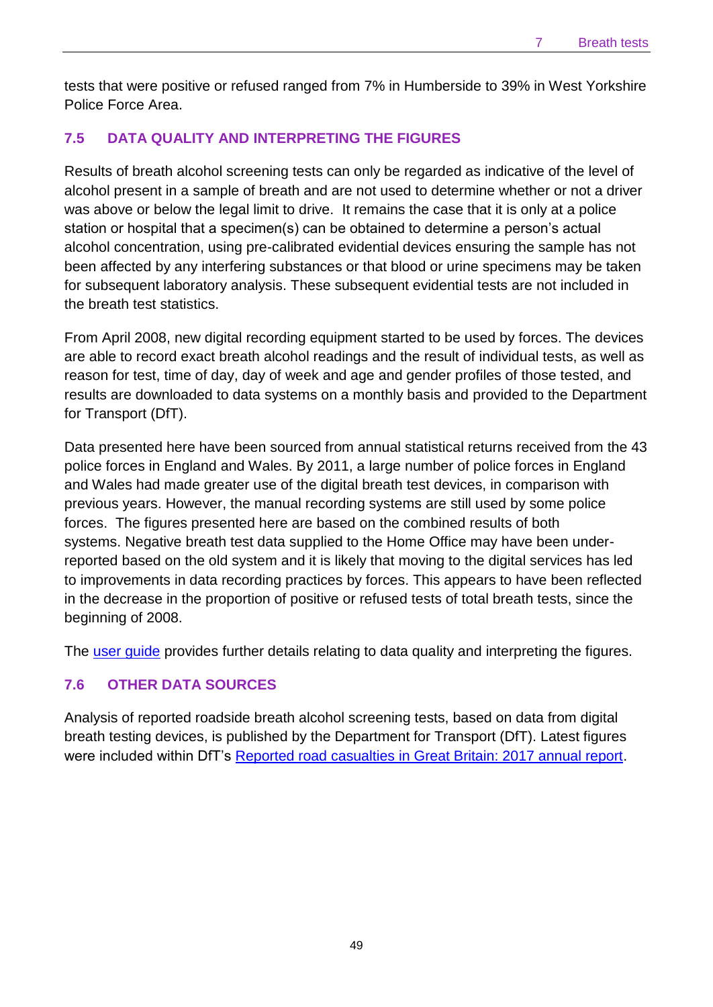tests that were positive or refused ranged from 7% in Humberside to 39% in West Yorkshire Police Force Area.

## **7.5 DATA QUALITY AND INTERPRETING THE FIGURES**

Results of breath alcohol screening tests can only be regarded as indicative of the level of alcohol present in a sample of breath and are not used to determine whether or not a driver was above or below the legal limit to drive. It remains the case that it is only at a police station or hospital that a specimen(s) can be obtained to determine a person's actual alcohol concentration, using pre-calibrated evidential devices ensuring the sample has not been affected by any interfering substances or that blood or urine specimens may be taken for subsequent laboratory analysis. These subsequent evidential tests are not included in the breath test statistics.

From April 2008, new digital recording equipment started to be used by forces. The devices are able to record exact breath alcohol readings and the result of individual tests, as well as reason for test, time of day, day of week and age and gender profiles of those tested, and results are downloaded to data systems on a monthly basis and provided to the Department for Transport (DfT).

Data presented here have been sourced from annual statistical returns received from the 43 police forces in England and Wales. By 2011, a large number of police forces in England and Wales had made greater use of the digital breath test devices, in comparison with previous years. However, the manual recording systems are still used by some police forces. The figures presented here are based on the combined results of both systems. Negative breath test data supplied to the Home Office may have been underreported based on the old system and it is likely that moving to the digital services has led to improvements in data recording practices by forces. This appears to have been reflected in the decrease in the proportion of positive or refused tests of total breath tests, since the beginning of 2008.

The [user guide](https://www.gov.uk/government/collections/police-powers-and-procedures-england-and-wales) provides further details relating to data quality and interpreting the figures.

## **7.6 OTHER DATA SOURCES**

Analysis of reported roadside breath alcohol screening tests, based on data from digital breath testing devices, is published by the Department for Transport (DfT). Latest figures were included within DfT's [Reported road casualties in Great Britain: 2017 annual report.](https://www.gov.uk/government/statistics/reported-road-casualties-great-britain-annual-report-2017)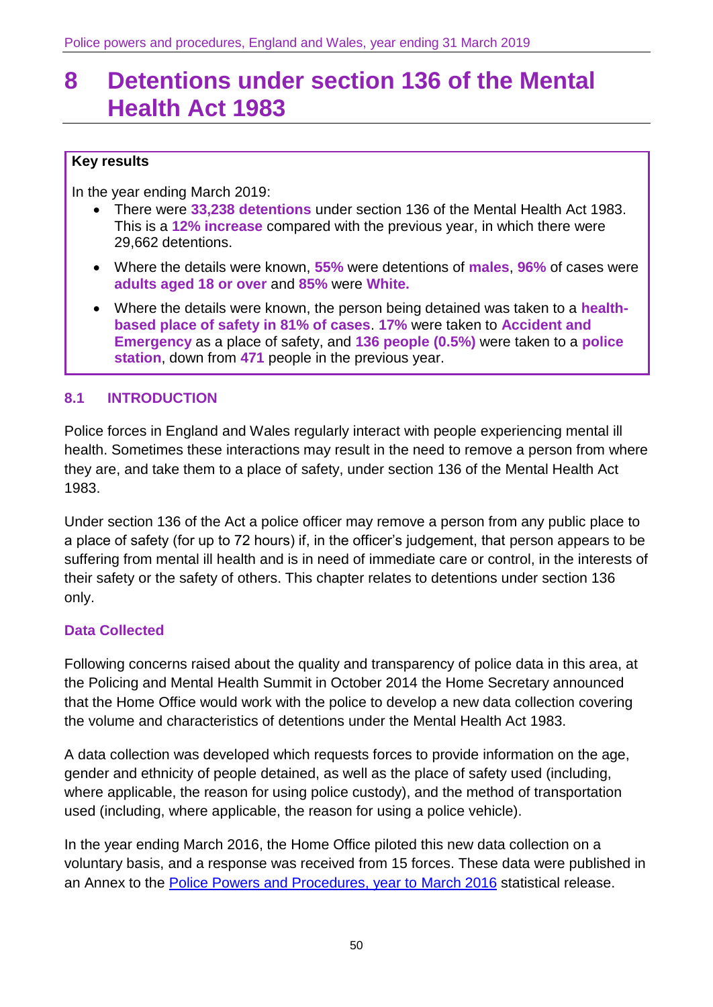# <span id="page-49-0"></span>**8 Detentions under section 136 of the Mental Health Act 1983**

## **Key results**

In the year ending March 2019:

- There were **33,238 detentions** under section 136 of the Mental Health Act 1983. This is a **12% increase** compared with the previous year, in which there were 29,662 detentions.
- Where the details were known, **55%** were detentions of **males**, **96%** of cases were **adults aged 18 or over** and **85%** were **White.**
- Where the details were known, the person being detained was taken to a **healthbased place of safety in 81% of cases**. **17%** were taken to **Accident and Emergency** as a place of safety, and **136 people (0.5%)** were taken to a **police station**, down from **471** people in the previous year.

## **8.1 INTRODUCTION**

Police forces in England and Wales regularly interact with people experiencing mental ill health. Sometimes these interactions may result in the need to remove a person from where they are, and take them to a place of safety, under section 136 of the Mental Health Act 1983.

Under section 136 of the Act a police officer may remove a person from any public place to a place of safety (for up to 72 hours) if, in the officer's judgement, that person appears to be suffering from mental ill health and is in need of immediate care or control, in the interests of their safety or the safety of others. This chapter relates to detentions under section 136 only.

## **Data Collected**

Following concerns raised about the quality and transparency of police data in this area, at the Policing and Mental Health Summit in October 2014 the Home Secretary announced that the Home Office would work with the police to develop a new data collection covering the volume and characteristics of detentions under the Mental Health Act 1983.

A data collection was developed which requests forces to provide information on the age, gender and ethnicity of people detained, as well as the place of safety used (including, where applicable, the reason for using police custody), and the method of transportation used (including, where applicable, the reason for using a police vehicle).

In the year ending March 2016, the Home Office piloted this new data collection on a voluntary basis, and a response was received from 15 forces. These data were published in an Annex to the [Police Powers and Procedures, year to](https://www.gov.uk/government/statistics/police-powers-and-procedures-england-and-wales-year-ending-31-march-2016) March 2016 statistical release.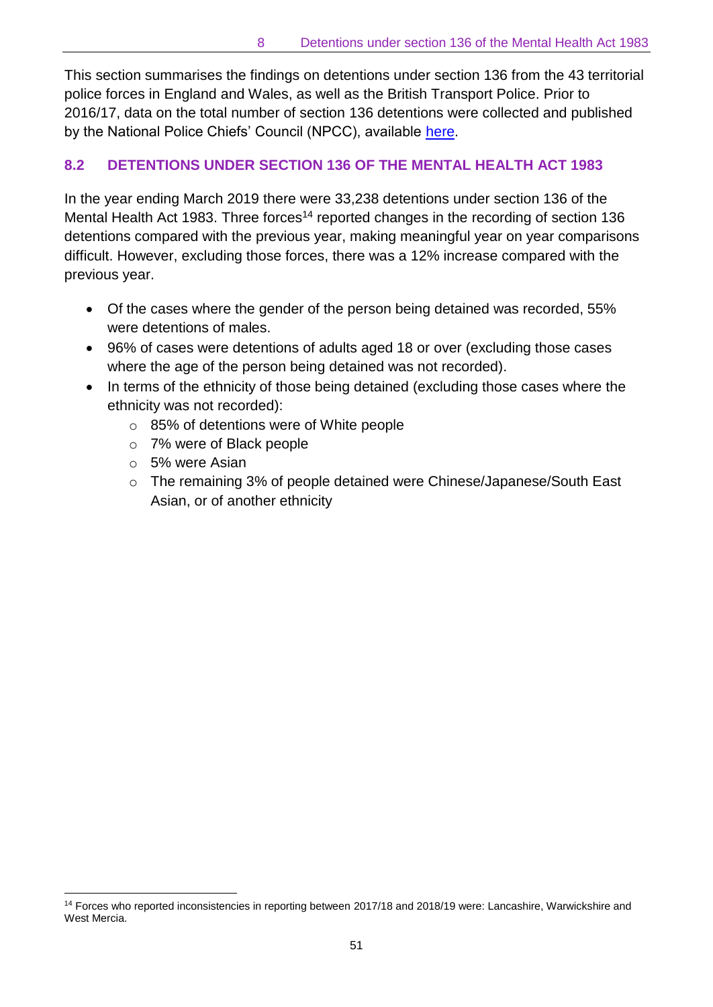This section summarises the findings on detentions under section 136 from the 43 territorial police forces in England and Wales, as well as the British Transport Police. Prior to 2016/17, data on the total number of section 136 detentions were collected and published by the National Police Chiefs' Council (NPCC), available [here.](http://www.npcc.police.uk/documents/S136%20Data%202015%2016.pdf)

# **8.2 DETENTIONS UNDER SECTION 136 OF THE MENTAL HEALTH ACT 1983**

In the year ending March 2019 there were 33,238 detentions under section 136 of the Mental Health Act 1983. Three forces<sup>14</sup> reported changes in the recording of section 136 detentions compared with the previous year, making meaningful year on year comparisons difficult. However, excluding those forces, there was a 12% increase compared with the previous year.

- Of the cases where the gender of the person being detained was recorded, 55% were detentions of males.
- 96% of cases were detentions of adults aged 18 or over (excluding those cases where the age of the person being detained was not recorded).
- In terms of the ethnicity of those being detained (excluding those cases where the ethnicity was not recorded):
	- o 85% of detentions were of White people
	- o 7% were of Black people
	- o 5% were Asian

 $\overline{\phantom{a}}$ 

o The remaining 3% of people detained were Chinese/Japanese/South East Asian, or of another ethnicity

<sup>14</sup> Forces who reported inconsistencies in reporting between 2017/18 and 2018/19 were: Lancashire, Warwickshire and West Mercia.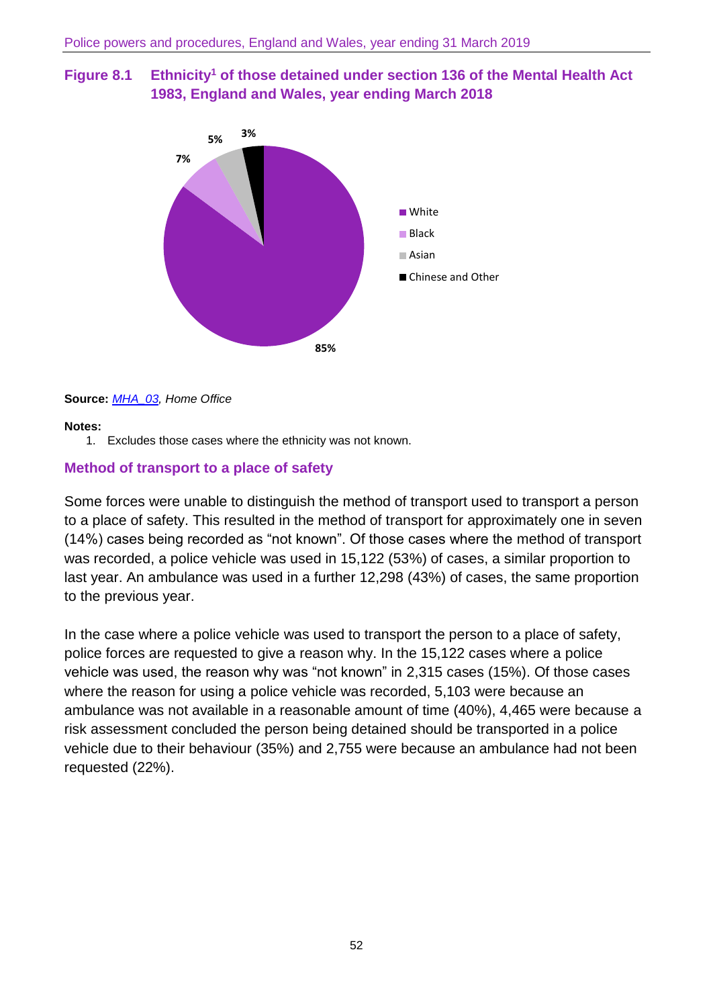



#### **Source:** *[MHA\\_03,](https://www.gov.uk/government/statistics/police-powers-and-procedures-england-and-wales-year-ending-31-march-2018) Home Office*

#### **Notes:**

1. Excludes those cases where the ethnicity was not known.

#### **Method of transport to a place of safety**

Some forces were unable to distinguish the method of transport used to transport a person to a place of safety. This resulted in the method of transport for approximately one in seven (14%) cases being recorded as "not known". Of those cases where the method of transport was recorded, a police vehicle was used in 15,122 (53%) of cases, a similar proportion to last year. An ambulance was used in a further 12,298 (43%) of cases, the same proportion to the previous year.

In the case where a police vehicle was used to transport the person to a place of safety, police forces are requested to give a reason why. In the 15,122 cases where a police vehicle was used, the reason why was "not known" in 2,315 cases (15%). Of those cases where the reason for using a police vehicle was recorded, 5,103 were because an ambulance was not available in a reasonable amount of time (40%), 4,465 were because a risk assessment concluded the person being detained should be transported in a police vehicle due to their behaviour (35%) and 2,755 were because an ambulance had not been requested (22%).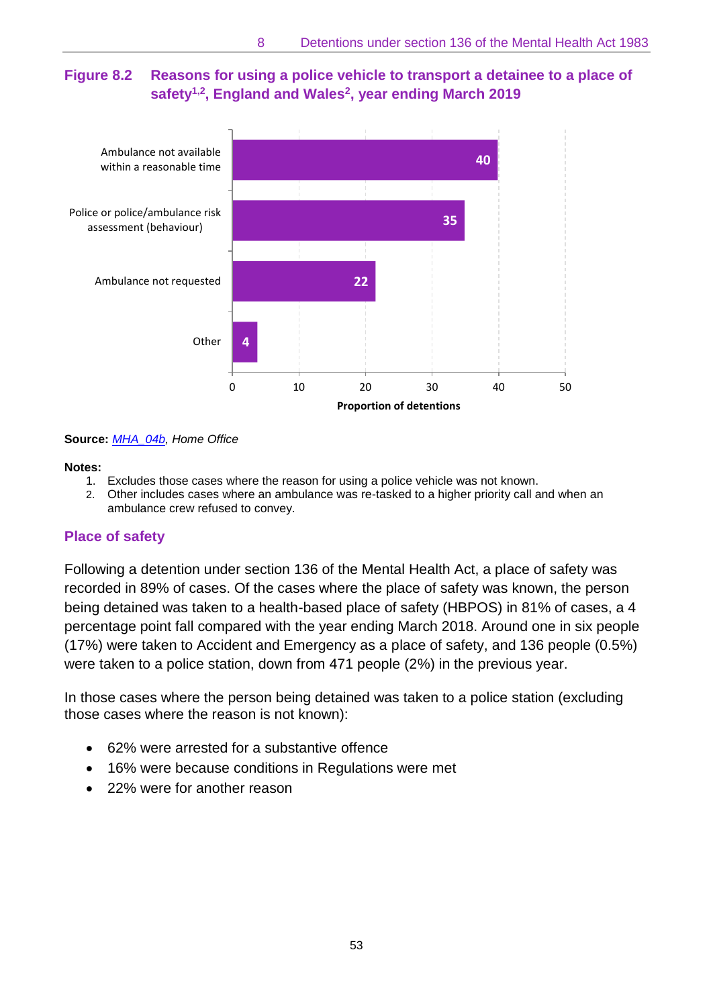# **Figure 8.2 Reasons for using a police vehicle to transport a detainee to a place of safety1,2, England and Wales<sup>2</sup> , year ending March 2019**



**Source:** *[MHA\\_04b,](https://www.gov.uk/government/statistics/police-powers-and-procedures-england-and-wales-year-ending-31-march-2019) Home Office*

#### **Notes:**

- 1. Excludes those cases where the reason for using a police vehicle was not known.
- 2. Other includes cases where an ambulance was re-tasked to a higher priority call and when an ambulance crew refused to convey.

## **Place of safety**

Following a detention under section 136 of the Mental Health Act, a place of safety was recorded in 89% of cases. Of the cases where the place of safety was known, the person being detained was taken to a health-based place of safety (HBPOS) in 81% of cases, a 4 percentage point fall compared with the year ending March 2018. Around one in six people (17%) were taken to Accident and Emergency as a place of safety, and 136 people (0.5%) were taken to a police station, down from 471 people (2%) in the previous year.

In those cases where the person being detained was taken to a police station (excluding those cases where the reason is not known):

- 62% were arrested for a substantive offence
- 16% were because conditions in Regulations were met
- 22% were for another reason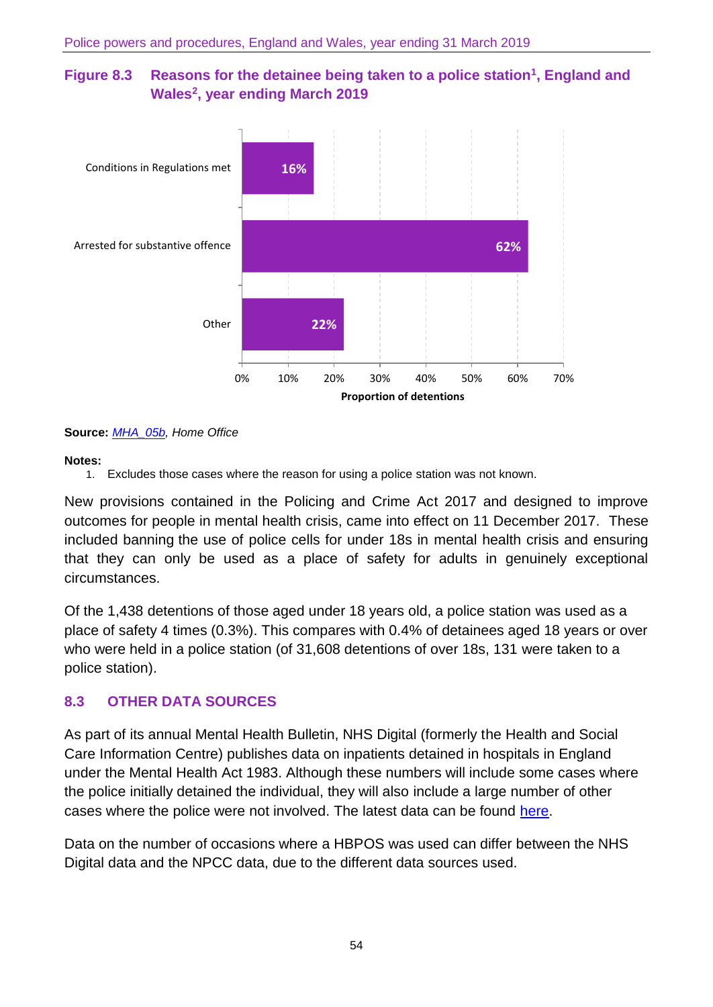# **Figure 8.3 Reasons for the detainee being taken to a police station<sup>1</sup> , England and Wales<sup>2</sup> , year ending March 2019**



#### **Source:** *[MHA\\_05b,](https://www.gov.uk/government/statistics/police-powers-and-procedures-england-and-wales-year-ending-31-march-2019) Home Office*

#### **Notes:**

1. Excludes those cases where the reason for using a police station was not known.

New provisions contained in the Policing and Crime Act 2017 and designed to improve outcomes for people in mental health crisis, came into effect on 11 December 2017. These included banning the use of police cells for under 18s in mental health crisis and ensuring that they can only be used as a place of safety for adults in genuinely exceptional circumstances.

Of the 1,438 detentions of those aged under 18 years old, a police station was used as a place of safety 4 times (0.3%). This compares with 0.4% of detainees aged 18 years or over who were held in a police station (of 31,608 detentions of over 18s, 131 were taken to a police station).

## **8.3 OTHER DATA SOURCES**

As part of its annual Mental Health Bulletin, NHS Digital (formerly the Health and Social Care Information Centre) publishes data on inpatients detained in hospitals in England under the Mental Health Act 1983. Although these numbers will include some cases where the police initially detained the individual, they will also include a large number of other cases where the police were not involved. The latest data can be found [here.](https://www.gov.uk/government/statistics/mental-health-bulletin-2017-18-annual-report)

Data on the number of occasions where a HBPOS was used can differ between the NHS Digital data and the NPCC data, due to the different data sources used.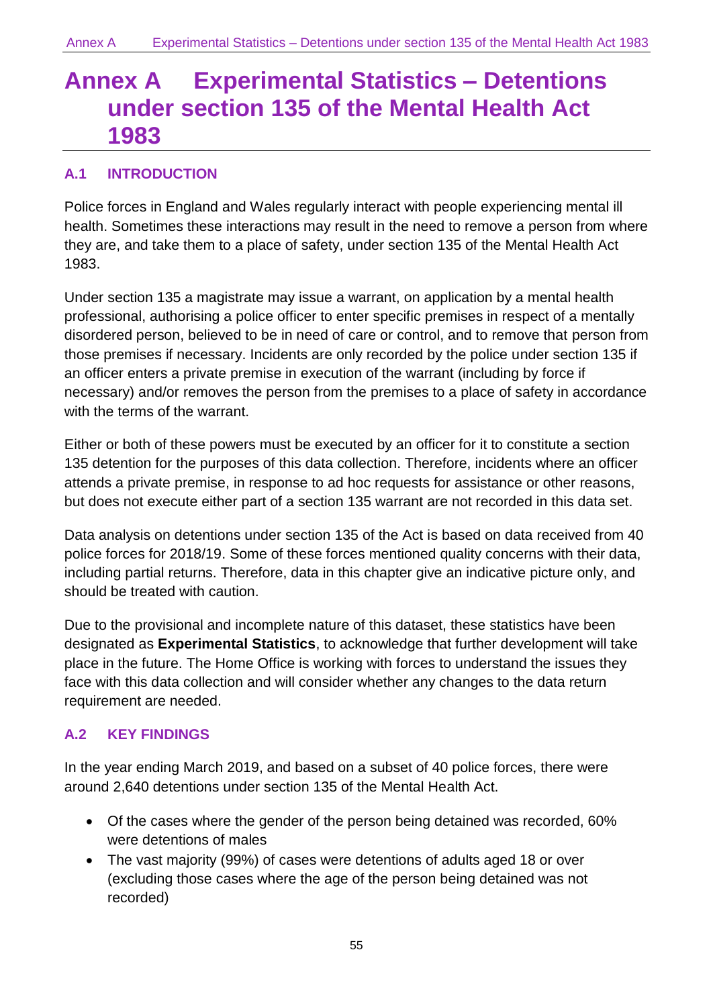# <span id="page-54-0"></span>**Annex A Experimental Statistics – Detentions under section 135 of the Mental Health Act 1983**

# **A.1 INTRODUCTION**

Police forces in England and Wales regularly interact with people experiencing mental ill health. Sometimes these interactions may result in the need to remove a person from where they are, and take them to a place of safety, under section 135 of the Mental Health Act 1983.

Under section 135 a magistrate may issue a warrant, on application by a mental health professional, authorising a police officer to enter specific premises in respect of a mentally disordered person, believed to be in need of care or control, and to remove that person from those premises if necessary. Incidents are only recorded by the police under section 135 if an officer enters a private premise in execution of the warrant (including by force if necessary) and/or removes the person from the premises to a place of safety in accordance with the terms of the warrant.

Either or both of these powers must be executed by an officer for it to constitute a section 135 detention for the purposes of this data collection. Therefore, incidents where an officer attends a private premise, in response to ad hoc requests for assistance or other reasons, but does not execute either part of a section 135 warrant are not recorded in this data set.

Data analysis on detentions under section 135 of the Act is based on data received from 40 police forces for 2018/19. Some of these forces mentioned quality concerns with their data, including partial returns. Therefore, data in this chapter give an indicative picture only, and should be treated with caution.

Due to the provisional and incomplete nature of this dataset, these statistics have been designated as **Experimental Statistics**, to acknowledge that further development will take place in the future. The Home Office is working with forces to understand the issues they face with this data collection and will consider whether any changes to the data return requirement are needed.

# **A.2 KEY FINDINGS**

In the year ending March 2019, and based on a subset of 40 police forces, there were around 2,640 detentions under section 135 of the Mental Health Act.

- Of the cases where the gender of the person being detained was recorded, 60% were detentions of males
- The vast majority (99%) of cases were detentions of adults aged 18 or over (excluding those cases where the age of the person being detained was not recorded)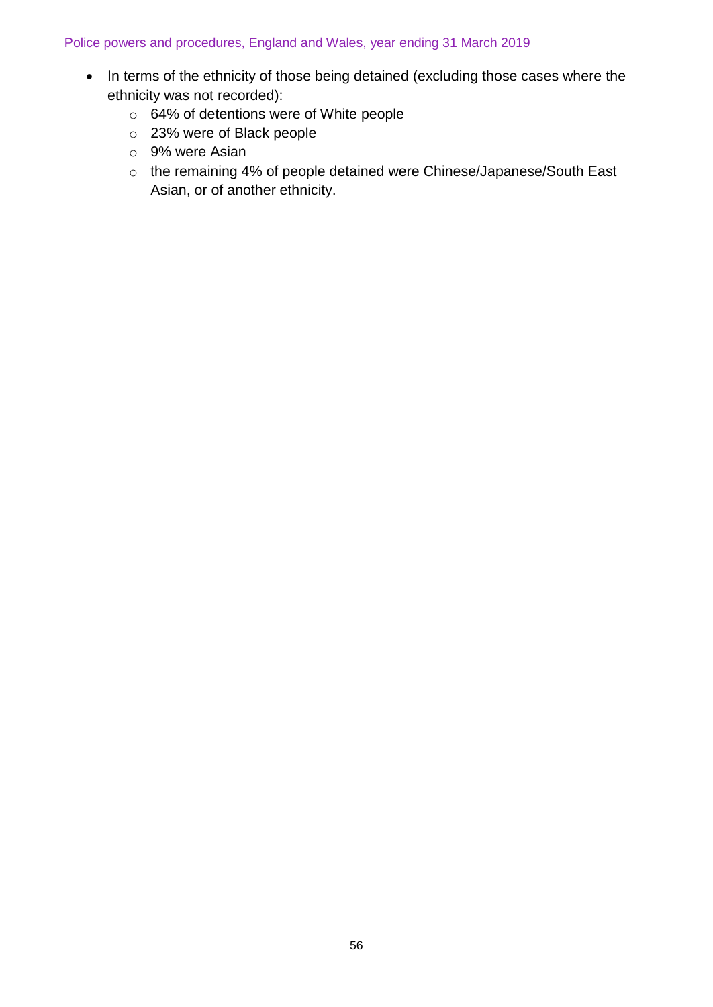- In terms of the ethnicity of those being detained (excluding those cases where the ethnicity was not recorded):
	- o 64% of detentions were of White people
	- o 23% were of Black people
	- o 9% were Asian
	- o the remaining 4% of people detained were Chinese/Japanese/South East Asian, or of another ethnicity.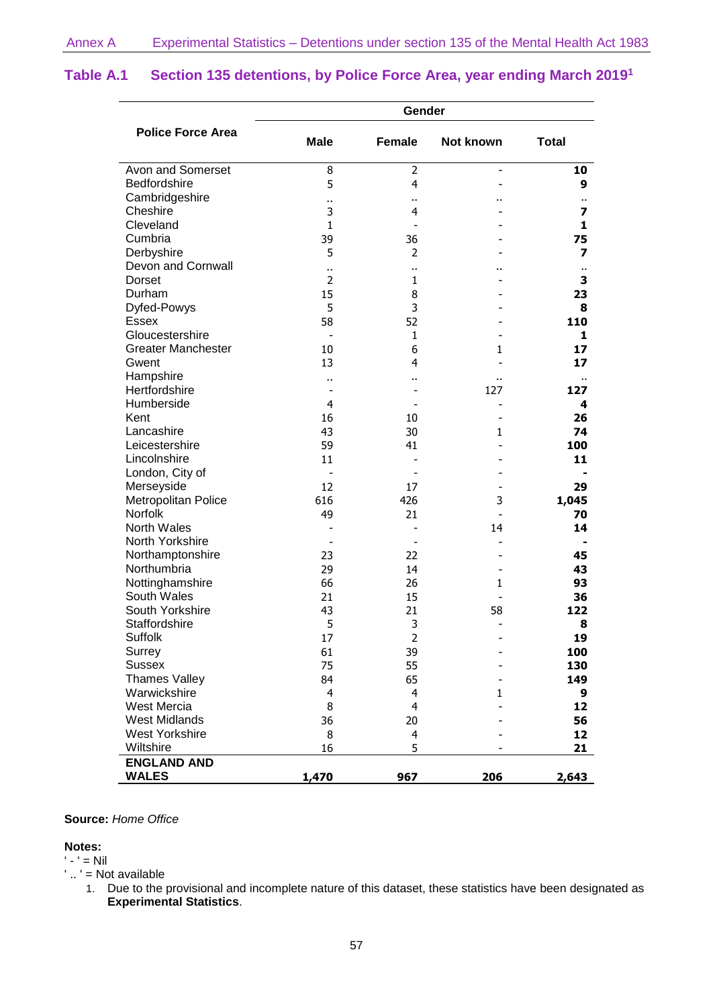|                           | Gender         |                |                          |                         |
|---------------------------|----------------|----------------|--------------------------|-------------------------|
| <b>Police Force Area</b>  | <b>Male</b>    | <b>Female</b>  | Not known                | <b>Total</b>            |
| Avon and Somerset         | 8              | 2              | $\overline{\phantom{a}}$ | 10                      |
| Bedfordshire              | 5              | $\overline{4}$ |                          | 9                       |
| Cambridgeshire            |                | ٠.             |                          |                         |
| Cheshire                  | 3              | $\overline{4}$ |                          | 7                       |
| Cleveland                 | 1              |                |                          | 1                       |
| Cumbria                   | 39             | 36             |                          | 75                      |
| Derbyshire                | 5              | $\overline{2}$ |                          | $\overline{\mathbf{z}}$ |
| Devon and Cornwall        | Ω.             | ٠.             |                          | ٠.                      |
| Dorset                    | $\overline{2}$ | 1              |                          | 3                       |
| Durham                    | 15             | 8              |                          | 23                      |
| Dyfed-Powys               | 5              | 3              |                          | 8                       |
| Essex                     | 58             | 52             |                          | 110                     |
| Gloucestershire           |                | 1              |                          | 1                       |
| <b>Greater Manchester</b> | 10             | 6              | 1                        | 17                      |
| Gwent                     | 13             | 4              |                          | 17                      |
| Hampshire                 |                | Ω.             |                          |                         |
| Hertfordshire             |                |                | 127                      | 127                     |
| Humberside                | $\overline{4}$ |                |                          | 4                       |
| Kent                      | 16             | 10             |                          | 26                      |
| Lancashire                | 43             | 30             | 1                        | 74                      |
| Leicestershire            | 59             | 41             |                          | 100                     |
| Lincolnshire              | 11             |                |                          | 11                      |
| London, City of           |                |                |                          |                         |
| Merseyside                | 12             | 17             |                          | 29                      |
| Metropolitan Police       | 616            | 426            | 3                        | 1,045                   |
| <b>Norfolk</b>            | 49             | 21             |                          | 70                      |
| <b>North Wales</b>        |                |                | 14                       | 14                      |
| North Yorkshire           |                |                |                          |                         |
| Northamptonshire          | 23             | 22             |                          | 45                      |
| Northumbria               | 29             | 14             |                          | 43                      |
| Nottinghamshire           | 66             | 26             | $\mathbf{1}$             | 93                      |
| South Wales               | 21             | 15             |                          | 36                      |
| South Yorkshire           | 43             | 21             | 58                       | 122                     |
| Staffordshire             | 5              | 3              | ÷,                       | 8                       |
| <b>Suffolk</b>            | 17             | $\overline{2}$ |                          | 19                      |
| Surrey                    | 61             | 39             |                          | 100                     |
| <b>Sussex</b>             | 75             | 55             |                          | 130                     |
| <b>Thames Valley</b>      | 84             | 65             |                          | 149                     |
| Warwickshire              | $\overline{4}$ | 4              | 1                        | 9                       |
| West Mercia               | 8              | $\overline{4}$ |                          | 12                      |
| <b>West Midlands</b>      | 36             | 20             |                          | 56                      |
| <b>West Yorkshire</b>     | 8              | $\overline{4}$ |                          | 12                      |
| Wiltshire                 | 16             | 5              |                          | 21                      |
| <b>ENGLAND AND</b>        |                |                |                          |                         |
| <b>WALES</b>              | 1,470          | 967            | 206                      | 2,643                   |

#### **Table A.1 Section 135 detentions, by Police Force Area, year ending March 2019 1**

#### **Source:** *Home Office*

#### **Notes:**

 $' - ' = Nil$ ' .. ' = Not available

1. Due to the provisional and incomplete nature of this dataset, these statistics have been designated as **Experimental Statistics**.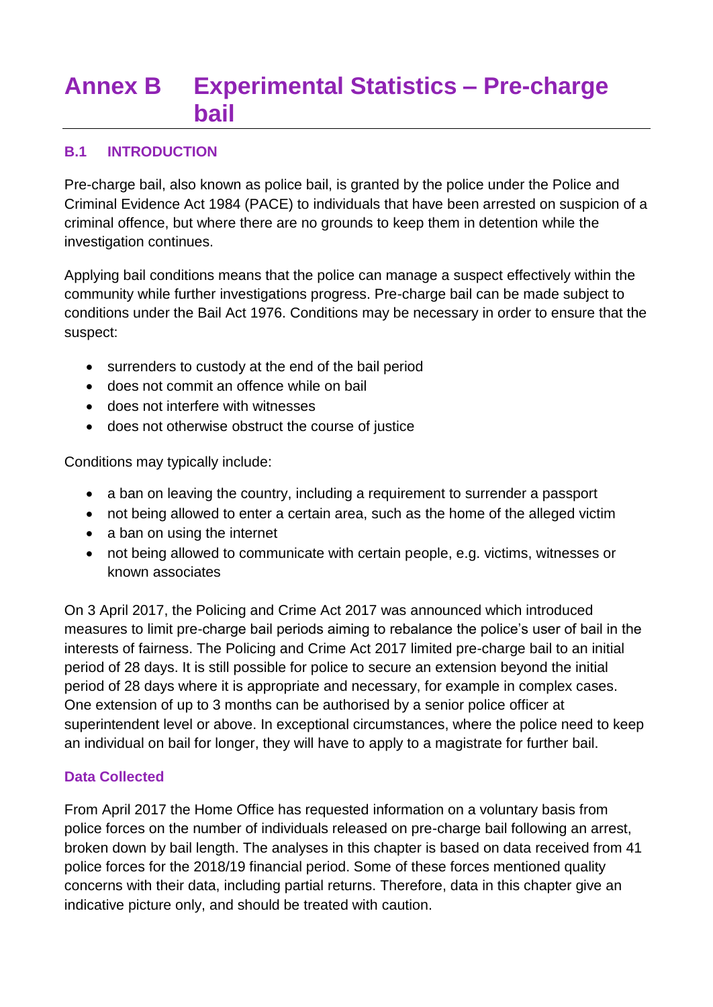# <span id="page-57-0"></span>**Annex B Experimental Statistics – Pre-charge bail**

## **B.1 INTRODUCTION**

Pre-charge bail, also known as police bail, is granted by the police under the Police and Criminal Evidence Act 1984 (PACE) to individuals that have been arrested on suspicion of a criminal offence, but where there are no grounds to keep them in detention while the investigation continues.

Applying bail conditions means that the police can manage a suspect effectively within the community while further investigations progress. Pre-charge bail can be made subject to conditions under the Bail Act 1976. Conditions may be necessary in order to ensure that the suspect:

- surrenders to custody at the end of the bail period
- does not commit an offence while on bail
- does not interfere with witnesses
- does not otherwise obstruct the course of justice

Conditions may typically include:

- a ban on leaving the country, including a requirement to surrender a passport
- not being allowed to enter a certain area, such as the home of the alleged victim
- a ban on using the internet
- not being allowed to communicate with certain people, e.g. victims, witnesses or known associates

On 3 April 2017, the Policing and Crime Act 2017 was announced which introduced measures to limit pre-charge bail periods aiming to rebalance the police's user of bail in the interests of fairness. The Policing and Crime Act 2017 limited pre-charge bail to an initial period of 28 days. It is still possible for police to secure an extension beyond the initial period of 28 days where it is appropriate and necessary, for example in complex cases. One extension of up to 3 months can be authorised by a senior police officer at superintendent level or above. In exceptional circumstances, where the police need to keep an individual on bail for longer, they will have to apply to a magistrate for further bail.

#### **Data Collected**

From April 2017 the Home Office has requested information on a voluntary basis from police forces on the number of individuals released on pre-charge bail following an arrest, broken down by bail length. The analyses in this chapter is based on data received from 41 police forces for the 2018/19 financial period. Some of these forces mentioned quality concerns with their data, including partial returns. Therefore, data in this chapter give an indicative picture only, and should be treated with caution.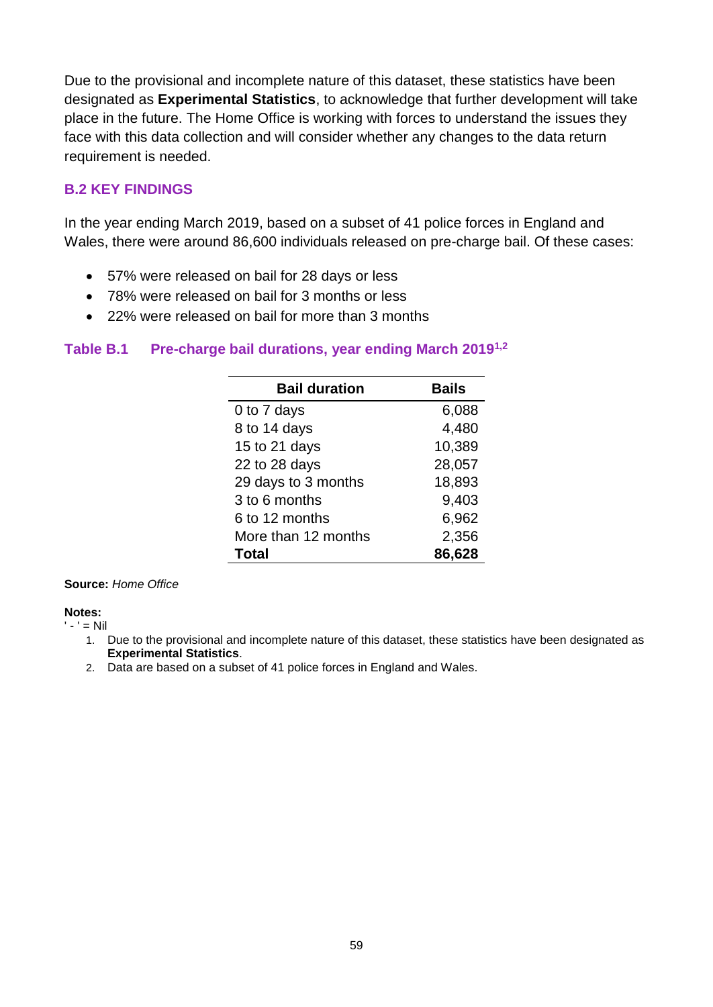Due to the provisional and incomplete nature of this dataset, these statistics have been designated as **Experimental Statistics**, to acknowledge that further development will take place in the future. The Home Office is working with forces to understand the issues they face with this data collection and will consider whether any changes to the data return requirement is needed.

## **B.2 KEY FINDINGS**

In the year ending March 2019, based on a subset of 41 police forces in England and Wales, there were around 86,600 individuals released on pre-charge bail. Of these cases:

- 57% were released on bail for 28 days or less
- 78% were released on bail for 3 months or less
- 22% were released on bail for more than 3 months

#### **Table B.1 Pre-charge bail durations, year ending March 20191,2**

| <b>Bail duration</b> | <b>Bails</b> |
|----------------------|--------------|
| 0 to 7 days          | 6,088        |
| 8 to 14 days         | 4,480        |
| 15 to 21 days        | 10,389       |
| 22 to 28 days        | 28,057       |
| 29 days to 3 months  | 18,893       |
| 3 to 6 months        | 9,403        |
| 6 to 12 months       | 6,962        |
| More than 12 months  | 2,356        |
| Total                | 86,628       |

#### **Source:** *Home Office*

**Notes:**

 $' - ' = Nil$ 

- 1. Due to the provisional and incomplete nature of this dataset, these statistics have been designated as **Experimental Statistics**.
- 2. Data are based on a subset of 41 police forces in England and Wales.